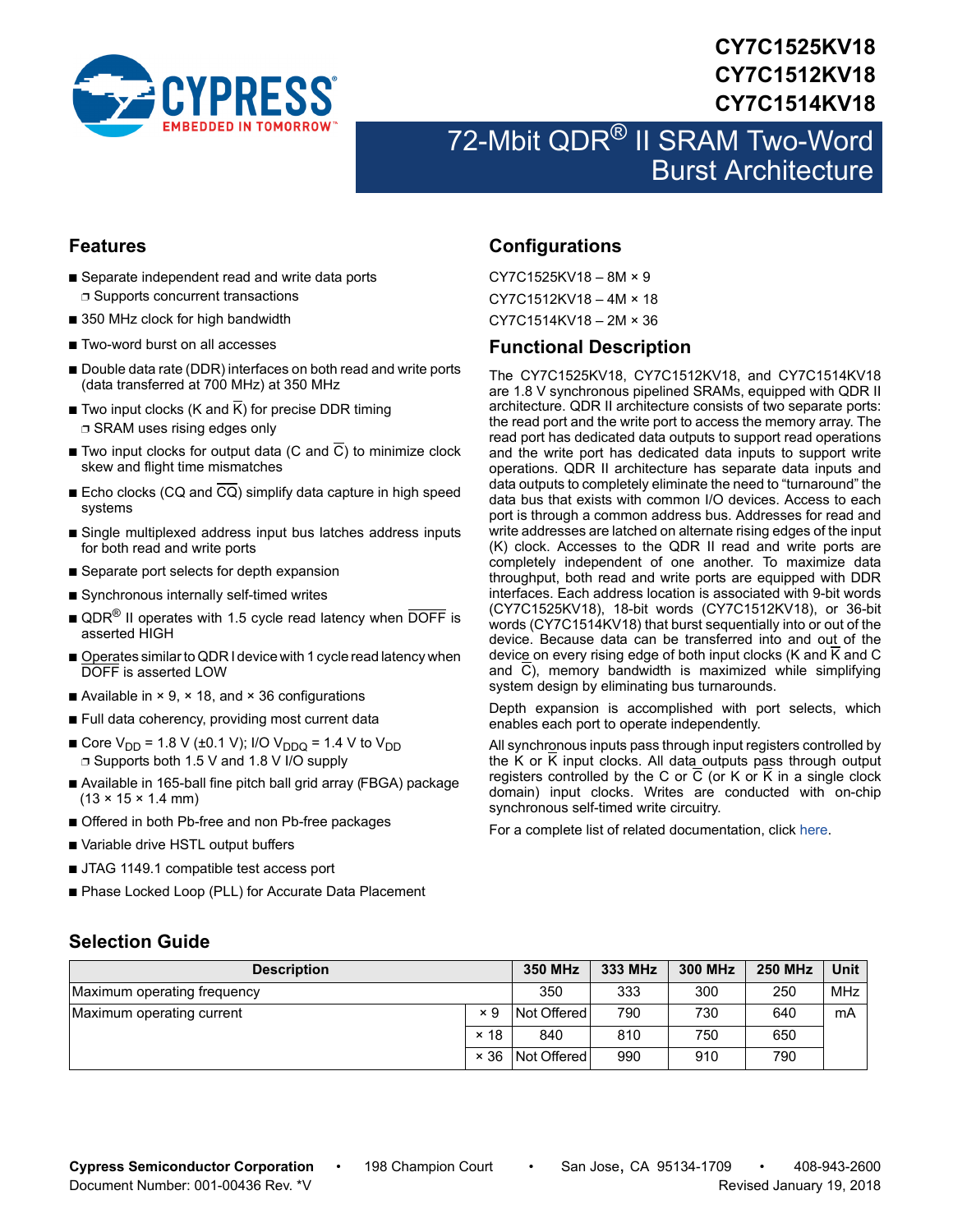

# **CY7C1525KV18 CY7C1512KV18 CY7C1514KV18**

# 72-Mbit QDR<sup>®</sup> II SRAM Two-Word Burst Architecture

### <span id="page-0-1"></span>**Features**

- Separate independent read and write data ports ❐ Supports concurrent transactions
- 350 MHz clock for high bandwidth
- Two-word burst on all accesses
- Double data rate (DDR) interfaces on both read and write ports (data transferred at 700 MHz) at 350 MHz
- Two input clocks (K and  $\overline{K}$ ) for precise DDR timing ❐ SRAM uses rising edges only
- Two input clocks for output data (C and  $\overline{C}$ ) to minimize clock skew and flight time mismatches
- Echo clocks (CQ and CQ) simplify data capture in high speed systems
- Single multiplexed address input bus latches address inputs for both read and write ports
- Separate port selects for depth expansion
- Synchronous internally self-timed writes
- $\blacksquare$  QDR<sup>®</sup> II operates with 1.5 cycle read latency when DOFF is asserted HIGH
- Operates similar to QDR I device with 1 cycle read latency when DOFF is asserted LOW
- Available in  $\times$  9,  $\times$  18, and  $\times$  36 configurations
- Full data coherency, providing most current data
- Core  $V_{DD}$  = 1.8 V (±0.1 V); I/O V<sub>DDQ</sub> = 1.4 V to V<sub>DD</sub> ❐ Supports both 1.5 V and 1.8 V I/O supply
- Available in 165-ball fine pitch ball grid array (FBGA) package  $(13 \times 15 \times 1.4 \text{ mm})$
- Offered in both Pb-free and non Pb-free packages
- Variable drive HSTL output buffers
- JTAG 1149.1 compatible test access port
- Phase Locked Loop (PLL) for Accurate Data Placement

### <span id="page-0-2"></span>**Configurations**

CY7C1525KV18 – 8M × 9 CY7C1512KV18 – 4M × 18 CY7C1514KV18 – 2M × 36

### <span id="page-0-3"></span>**Functional Description**

The CY7C1525KV18, CY7C1512KV18, and CY7C1514KV18 are 1.8 V synchronous pipelined SRAMs, equipped with QDR II architecture. QDR II architecture consists of two separate ports: the read port and the write port to access the memory array. The read port has dedicated data outputs to support read operations and the write port has dedicated data inputs to support write operations. QDR II architecture has separate data inputs and data outputs to completely eliminate the need to "turnaround" the data bus that exists with common I/O devices. Access to each port is through a common address bus. Addresses for read and write addresses are latched on alternate rising edges of the input (K) clock. Accesses to the QDR II read and write ports are completely independent of one another. To maximize data throughput, both read and write ports are equipped with DDR interfaces. Each address location is associated with 9-bit words (CY7C1525KV18), 18-bit words (CY7C1512KV18), or 36-bit words (CY7C1514KV18) that burst sequentially into or out of the device. Because data can be transferred into and out of the device on every rising edge of both input clocks (K and K and C and  $\overline{C}$ ), memory bandwidth is maximized while simplifying system design by eliminating bus turnarounds.

Depth expansion is accomplished with port selects, which enables each port to operate independently.

All synchronous inputs pass through input registers controlled by the K or  $\overline{K}$  input clocks. All data outputs pass through output registers controlled by the C or  $\overline{C}$  (or K or  $\overline{K}$  in a single clock domain) input clocks. Writes are conducted with on-chip synchronous self-timed write circuitry.

For a complete list of related documentation, click [here](http://www.cypress.com/?rID=37981).

### <span id="page-0-0"></span>**Selection Guide**

| <b>Description</b>          | <b>350 MHz</b> | 333 MHz          | <b>300 MHz</b> | <b>250 MHz</b> | Unit |            |
|-----------------------------|----------------|------------------|----------------|----------------|------|------------|
| Maximum operating frequency |                | 350              | 333            | 300            | 250  | <b>MHz</b> |
| Maximum operating current   | $\times$ 9     | Not Offered      | 790            | 730            | 640  | mA         |
|                             | $\times$ 18    | 840              | 810            | 750            | 650  |            |
|                             |                | × 36 Not Offered | 990            | 910            | 790  |            |

**Cypress Semiconductor Corporation** • 198 Champion Court • San Jose, CA 95134-1709 • 408-943-2600 Document Number: 001-00436 Rev. \*V Revised January 19, 2018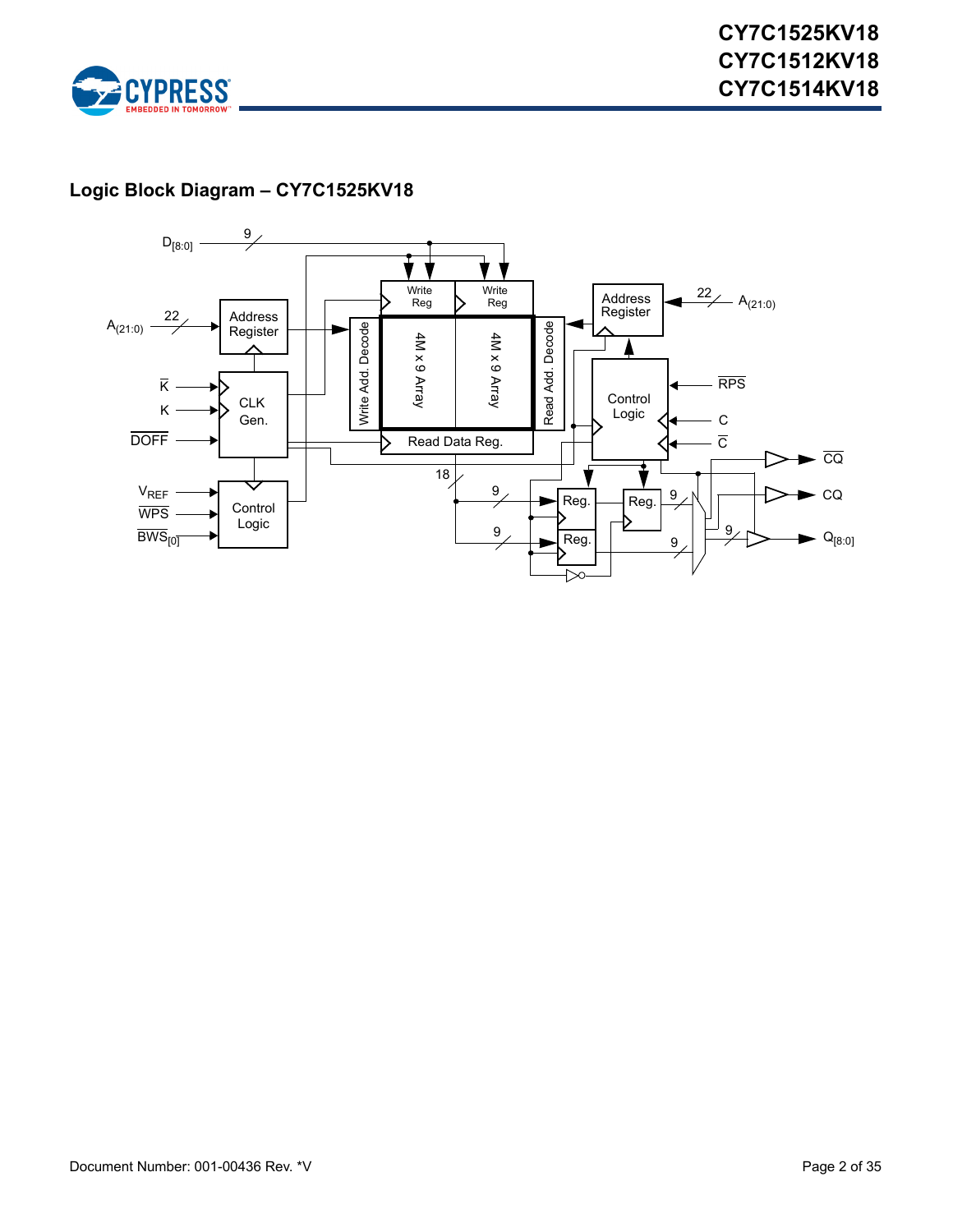

# **Logic Block Diagram – CY7C1525KV18**

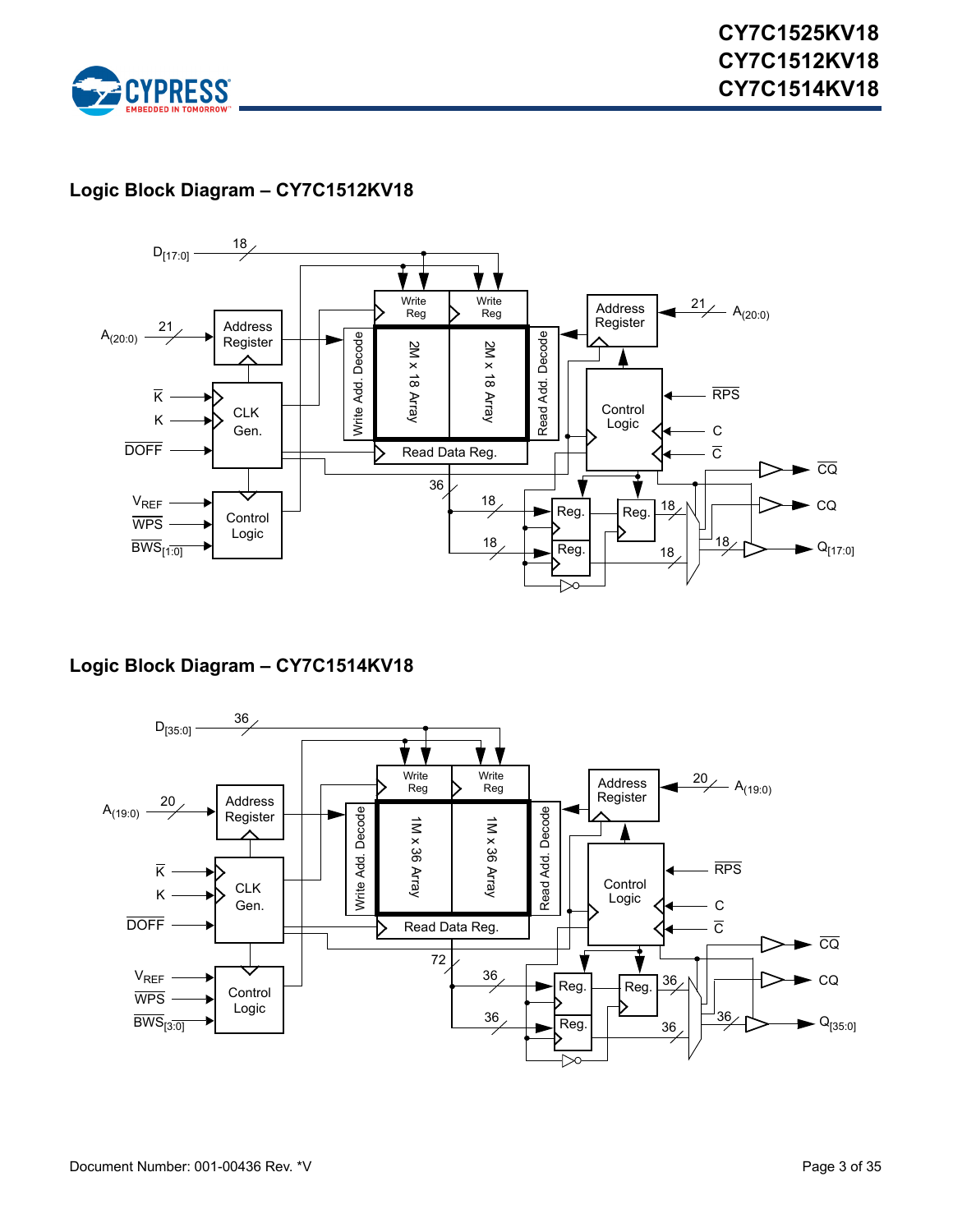

### **Logic Block Diagram – CY7C1512KV18**



### **Logic Block Diagram – CY7C1514KV18**

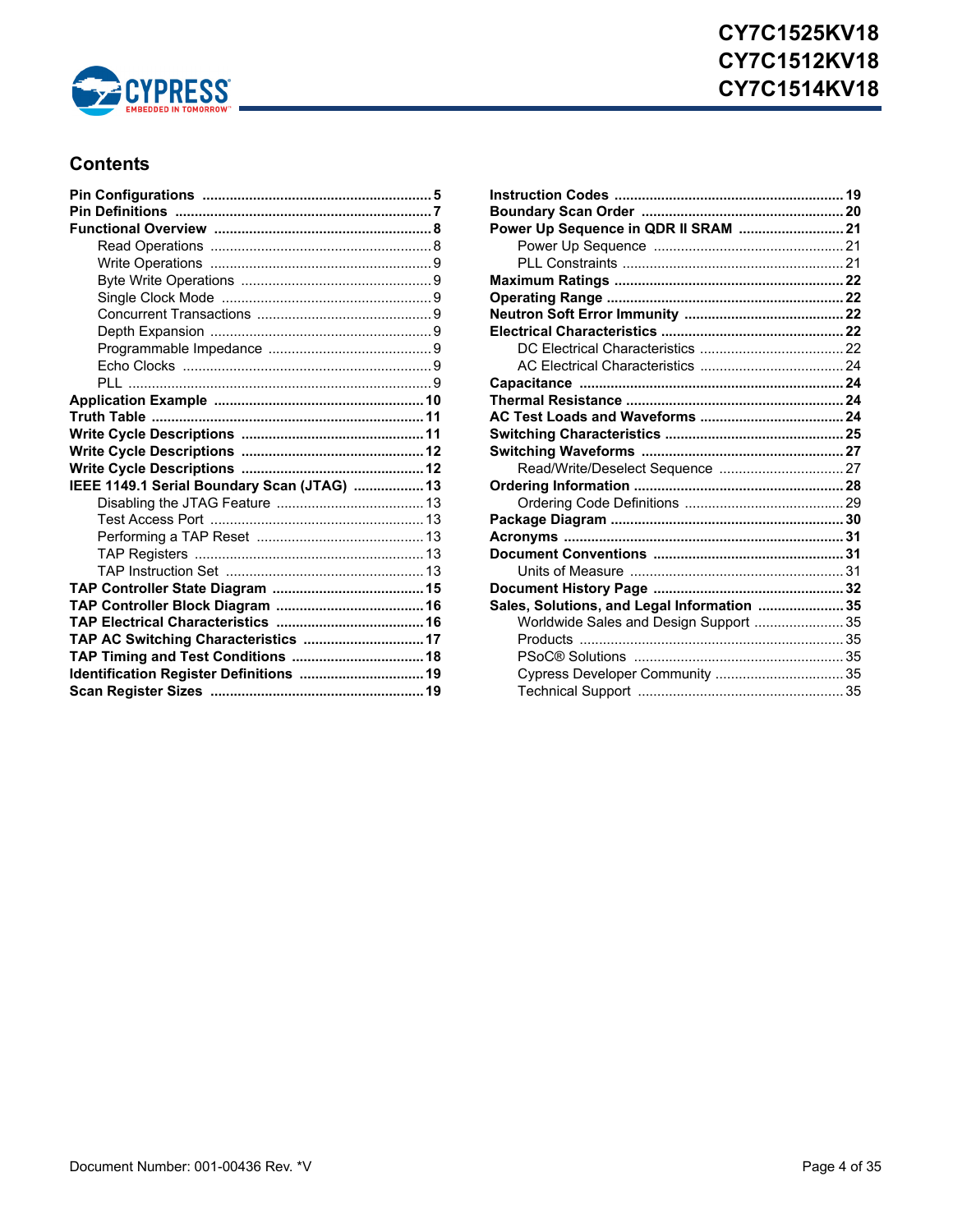

### **Contents**

| IEEE 1149.1 Serial Boundary Scan (JTAG)  13 |  |
|---------------------------------------------|--|
|                                             |  |
|                                             |  |
|                                             |  |
|                                             |  |
|                                             |  |
|                                             |  |
|                                             |  |
|                                             |  |
| TAP AC Switching Characteristics  17        |  |
| TAP Timing and Test Conditions  18          |  |
| Identification Register Definitions  19     |  |
|                                             |  |

| Power Up Sequence in QDR II SRAM  21        |  |
|---------------------------------------------|--|
|                                             |  |
|                                             |  |
|                                             |  |
|                                             |  |
|                                             |  |
|                                             |  |
|                                             |  |
|                                             |  |
|                                             |  |
|                                             |  |
|                                             |  |
|                                             |  |
|                                             |  |
| Read/Write/Deselect Sequence  27            |  |
|                                             |  |
|                                             |  |
|                                             |  |
|                                             |  |
|                                             |  |
|                                             |  |
|                                             |  |
| Sales, Solutions, and Legal Information  35 |  |
| Worldwide Sales and Design Support  35      |  |
|                                             |  |
|                                             |  |
| Cypress Developer Community  35             |  |
|                                             |  |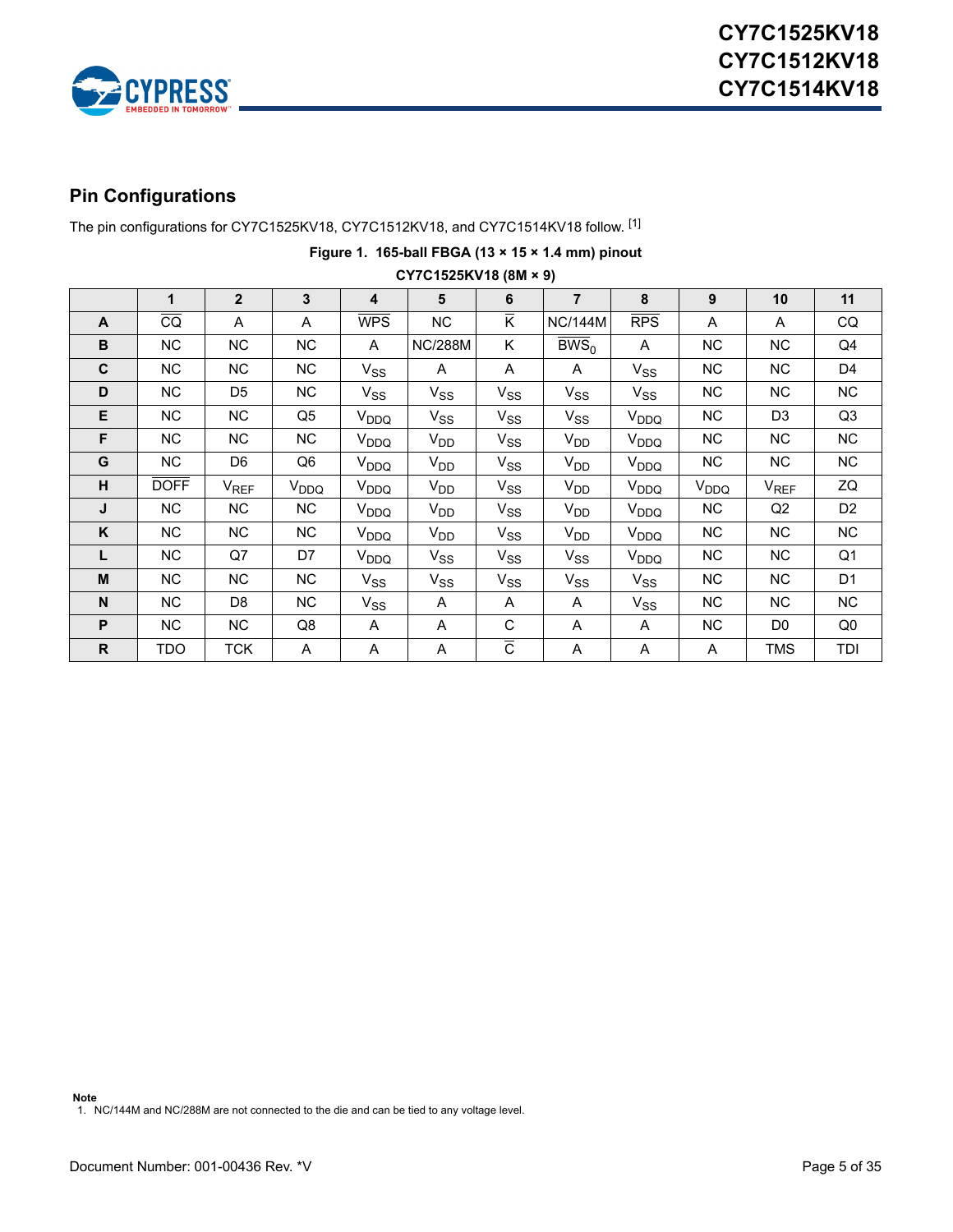

### <span id="page-4-0"></span>**Pin Configurations**

The pin configurations for CY7C1525KV18, CY7C1512KV18, and CY7C1514KV18 follow. [[1\]](#page-4-1)

|              | CY7C1525KV18 (8M × 9) |                |                  |                         |                |                         |                      |                  |           |                |                |  |
|--------------|-----------------------|----------------|------------------|-------------------------|----------------|-------------------------|----------------------|------------------|-----------|----------------|----------------|--|
|              | 1                     | $\overline{2}$ | $\mathbf{3}$     | $\overline{\mathbf{4}}$ | 5              | 6                       | $\overline{7}$       | 8                | 9         | 10             | 11             |  |
| $\mathsf{A}$ | $\overline{CQ}$       | A              | A                | <b>WPS</b>              | NC             | $\overline{\mathsf{K}}$ | <b>NC/144M</b>       | <b>RPS</b>       | A         | A              | CQ             |  |
| B            | NC.                   | NC.            | NC.              | A                       | <b>NC/288M</b> | K                       | $\overline{BWS}_{0}$ | A                | NC        | NC.            | Q4             |  |
| $\mathbf c$  | NC.                   | <b>NC</b>      | NC.              | $V_{SS}$                | A              | A                       | A                    | $V_{SS}$         | NC        | NC.            | D4             |  |
| D            | NC.                   | D <sub>5</sub> | NC.              | $V_{SS}$                | $V_{SS}$       | $V_{SS}$                | $V_{SS}$             | $V_{SS}$         | NC        | NC.            | <b>NC</b>      |  |
| Е            | NC.                   | <b>NC</b>      | Q <sub>5</sub>   | V <sub>DDQ</sub>        | $V_{SS}$       | $V_{SS}$                | $V_{SS}$             | V <sub>DDQ</sub> | NC        | D <sub>3</sub> | Q3             |  |
| F            | NC                    | NC.            | NC.              | V <sub>DDQ</sub>        | $V_{DD}$       | $V_{SS}$                | V <sub>DD</sub>      | V <sub>DDQ</sub> | NC.       | NC.            | NC.            |  |
| G            | NC.                   | D6             | Q6               | V <sub>DDQ</sub>        | $V_{DD}$       | $V_{SS}$                | $V_{DD}$             | V <sub>DDQ</sub> | NC.       | NC.            | NC             |  |
| н            | <b>DOFF</b>           | $V_{REF}$      | V <sub>DDQ</sub> | V <sub>DDQ</sub>        | $V_{DD}$       | $V_{SS}$                | $V_{DD}$             | V <sub>DDQ</sub> | $V_{DDQ}$ | $V_{REF}$      | ZQ             |  |
| J            | NC.                   | NC.            | <b>NC</b>        | V <sub>DDQ</sub>        | $V_{DD}$       | $V_{SS}$                | V <sub>DD</sub>      | V <sub>DDQ</sub> | NC        | Q2             | D <sub>2</sub> |  |
| Κ            | NC.                   | NC.            | NC.              | V <sub>DDQ</sub>        | $V_{DD}$       | $V_{SS}$                | V <sub>DD</sub>      | V <sub>DDQ</sub> | NC        | NC.            | NC.            |  |
| L            | NC.                   | Q7             | D7               | V <sub>DDQ</sub>        | $V_{SS}$       | $V_{SS}$                | $V_{SS}$             | V <sub>DDQ</sub> | NC.       | NC.            | Q1             |  |
| M            | NC.                   | <b>NC</b>      | <b>NC</b>        | $V_{SS}$                | $V_{SS}$       | $V_{SS}$                | $V_{SS}$             | $V_{SS}$         | NC.       | NC.            | D <sub>1</sub> |  |
| N            | NC.                   | D8             | NC.              | $V_{SS}$                | A              | A                       | A                    | $V_{SS}$         | NC        | NC.            | NC.            |  |
| P            | NC                    | NC             | Q8               | A                       | A              | C                       | A                    | A                | NC.       | D <sub>0</sub> | Q0             |  |
| R            | TDO                   | TCK            | A                | A                       | A              | $\overline{c}$          | Α                    | A                | A         | <b>TMS</b>     | TDI            |  |

# **Figure 1. 165-ball FBGA (13 × 15 × 1.4 mm) pinout**

**Note**

<span id="page-4-1"></span>1. NC/144M and NC/288M are not connected to the die and can be tied to any voltage level.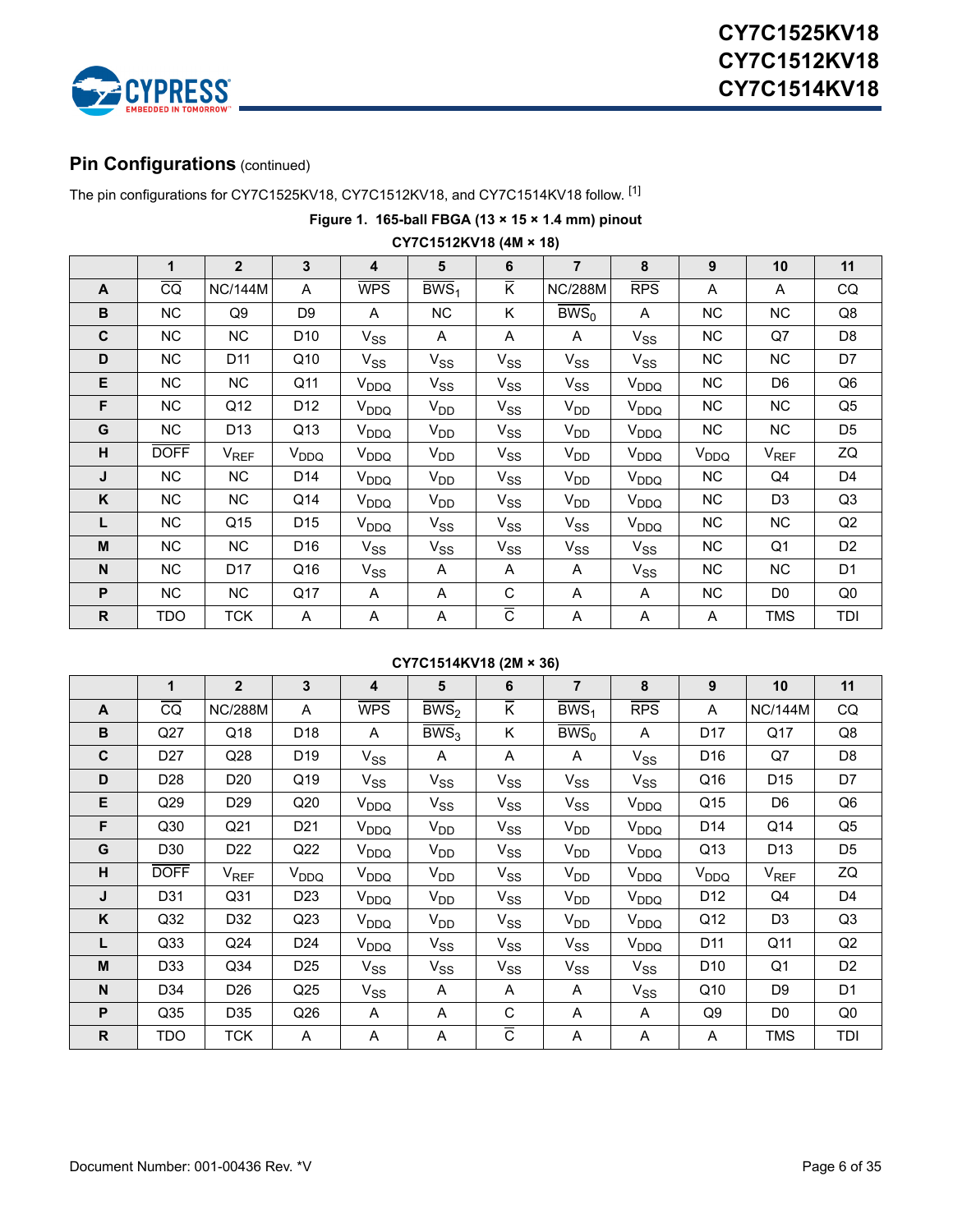

## **Pin Configurations** (continued)

The pin configurations for CY7C1525KV18, CY7C1512KV18, and CY7C1514KV18 follow. [1]

**Figure 1. 165-ball FBGA (13 × 15 × 1.4 mm) pinout**

|              | UT / U157 ZNV18 (4M × 18) |                  |                  |                  |                    |                                  |                           |                        |                  |                |                |
|--------------|---------------------------|------------------|------------------|------------------|--------------------|----------------------------------|---------------------------|------------------------|------------------|----------------|----------------|
|              | $\mathbf{1}$              | $2^{\circ}$      | 3                | 4                | 5                  | 6                                | $\overline{7}$            | 8                      | 9                | 10             | 11             |
| $\mathsf{A}$ | $\overline{CQ}$           | <b>NC/144M</b>   | A                | <b>WPS</b>       | $\overline{BWS}_1$ | $\overline{\mathsf{K}}$          | <b>NC/288M</b>            | RPS                    | A                | A              | CQ             |
| B            | <b>NC</b>                 | Q9               | D9               | A                | NC                 | K                                | $\overline{\text{BWS}}_0$ | A                      | NC.              | <b>NC</b>      | Q8             |
| C            | <b>NC</b>                 | <b>NC</b>        | D10              | $V_{SS}$         | A                  | A                                | A                         | $V_{SS}$               | <b>NC</b>        | Q7             | D8             |
| D            | <b>NC</b>                 | D11              | Q10              | $V_{SS}$         | $V_{SS}$           | $V_{SS}$                         | $V_{SS}$                  | $V_{SS}$               | NC               | <b>NC</b>      | D7             |
| E            | NC                        | NC               | Q11              | $V_{DDQ}$        | $V_{SS}$           | $V_{SS}$                         | $V_{SS}$                  | V <sub>DDQ</sub>       | NC               | D <sub>6</sub> | Q6             |
| F            | <b>NC</b>                 | Q12              | D <sub>12</sub>  | V <sub>DDQ</sub> | $V_{DD}$           | $V_{SS}$                         | $V_{DD}$                  | V <sub>DDQ</sub>       | NC.              | NC.            | Q5             |
| G            | NC                        | D <sub>13</sub>  | Q13              | V <sub>DDQ</sub> | V <sub>DD</sub>    | $V_{SS}$                         | $V_{DD}$                  | V <sub>DDQ</sub>       | NC               | NC.            | D <sub>5</sub> |
| н            | <b>DOFF</b>               | V <sub>REF</sub> | V <sub>DDQ</sub> | V <sub>DDQ</sub> | V <sub>DD</sub>    | $V_{SS}$                         | $V_{DD}$                  | V <sub>DDQ</sub>       | V <sub>DDQ</sub> | $V_{REF}$      | ZQ             |
| J            | <b>NC</b>                 | NC               | D14              | V <sub>DDQ</sub> | V <sub>DD</sub>    | $V_{SS}$                         | $V_{DD}$                  | <b>V<sub>DDQ</sub></b> | NC               | Q4             | D4             |
| K            | NC                        | NC               | Q14              | V <sub>DDQ</sub> | $V_{DD}$           | $V_{SS}$                         | $V_{DD}$                  | V <sub>DDQ</sub>       | NC               | D <sub>3</sub> | Q3             |
| L            | NC                        | Q15              | D <sub>15</sub>  | V <sub>DDQ</sub> | $V_{SS}$           | $V_{SS}$                         | $V_{SS}$                  | V <sub>DDQ</sub>       | NC               | NC.            | Q2             |
| M            | <b>NC</b>                 | <b>NC</b>        | D16              | $V_{SS}$         | $V_{SS}$           | $V_{SS}$                         | $V_{SS}$                  | $V_{SS}$               | NC.              | Q1             | D <sub>2</sub> |
| N            | <b>NC</b>                 | D <sub>17</sub>  | Q16              | $V_{SS}$         | Α                  | A                                | A                         | $V_{SS}$               | <b>NC</b>        | <b>NC</b>      | D <sub>1</sub> |
| P            | <b>NC</b>                 | NC               | Q17              | A                | Α                  | С                                | A                         | A                      | NC               | D <sub>0</sub> | Q <sub>0</sub> |
| $\mathsf{R}$ | <b>TDO</b>                | <b>TCK</b>       | A                | Α                | Α                  | $\overline{\overline{\text{c}}}$ | A                         | A                      | A                | TMS            | TDI            |

### **CY7C1512KV18 (4M × 18)**

#### **CY7C1514KV18 (2M × 36)**

|              | 1               | $\overline{2}$   | 3                | 4                | 5                  | 6                         | $\overline{7}$   | 8                | 9               | 10               | 11             |
|--------------|-----------------|------------------|------------------|------------------|--------------------|---------------------------|------------------|------------------|-----------------|------------------|----------------|
| $\mathsf{A}$ | $\overline{CQ}$ | <b>NC/288M</b>   | A                | <b>WPS</b>       | $\overline{BWS}_2$ | $\overline{\mathsf{K}}$   | BWS <sub>1</sub> | RPS              | A               | <b>NC/144M</b>   | CQ             |
| B            | Q27             | Q18              | D <sub>18</sub>  | A                | $\overline{BWS}_3$ | Κ                         | BWS <sub>0</sub> | A                | D <sub>17</sub> | Q17              | Q8             |
| C            | D <sub>27</sub> | Q28              | D <sub>19</sub>  | $V_{SS}$         | A                  | A                         | A                | $V_{SS}$         | D <sub>16</sub> | Q7               | D <sub>8</sub> |
| D            | D <sub>28</sub> | D <sub>20</sub>  | Q19              | $V_{SS}$         | $V_{SS}$           | $V_{SS}$                  | $V_{SS}$         | $V_{SS}$         | Q16             | D <sub>15</sub>  | D7             |
| E            | Q29             | D <sub>29</sub>  | Q20              | V <sub>DDQ</sub> | $V_{SS}$           | $V_{SS}$                  | $V_{SS}$         | V <sub>DDQ</sub> | Q15             | D <sub>6</sub>   | Q6             |
| F            | Q30             | Q <sub>21</sub>  | D <sub>21</sub>  | V <sub>DDQ</sub> | V <sub>DD</sub>    | $V_{SS}$                  | V <sub>DD</sub>  | V <sub>DDQ</sub> | D <sub>14</sub> | Q14              | Q5             |
| G            | D30             | D <sub>22</sub>  | Q22              | V <sub>DDQ</sub> | $V_{DD}$           | $V_{SS}$                  | $V_{DD}$         | V <sub>DDQ</sub> | Q13             | D <sub>13</sub>  | D <sub>5</sub> |
| н            | <b>DOFF</b>     | V <sub>REF</sub> | V <sub>DDQ</sub> | V <sub>DDQ</sub> | $V_{DD}$           | $V_{SS}$                  | $V_{DD}$         | V <sub>DDQ</sub> | $V_{DDQ}$       | V <sub>REF</sub> | ZQ             |
| J            | D31             | Q <sub>31</sub>  | D <sub>23</sub>  | V <sub>DDQ</sub> | V <sub>DD</sub>    | $V_{SS}$                  | V <sub>DD</sub>  | V <sub>DDQ</sub> | D <sub>12</sub> | Q4               | D4             |
| K            | Q <sub>32</sub> | D32              | Q <sub>23</sub>  | V <sub>DDQ</sub> | $V_{DD}$           | $V_{SS}$                  | $V_{DD}$         | V <sub>DDQ</sub> | Q12             | D <sub>3</sub>   | Q3             |
| L            | Q <sub>33</sub> | Q24              | D24              | V <sub>DDQ</sub> | $V_{SS}$           | $V_{SS}$                  | $V_{SS}$         | V <sub>DDQ</sub> | D11             | Q11              | Q2             |
| M            | D33             | Q34              | D <sub>25</sub>  | $V_{SS}$         | $V_{SS}$           | $V_{SS}$                  | $V_{SS}$         | $V_{SS}$         | D <sub>10</sub> | Q <sub>1</sub>   | D <sub>2</sub> |
| N            | D34             | D <sub>26</sub>  | Q <sub>25</sub>  | $V_{SS}$         | A                  | Α                         | Α                | $V_{SS}$         | Q10             | D <sub>9</sub>   | D <sub>1</sub> |
| P            | Q <sub>35</sub> | D35              | Q26              | A                | A                  | C                         | A                | A                | Q9              | D <sub>0</sub>   | Q <sub>0</sub> |
| R.           | TDO             | <b>TCK</b>       | A                | A                | A                  | $\overline{\overline{c}}$ | A                | A                | A               | <b>TMS</b>       | TDI            |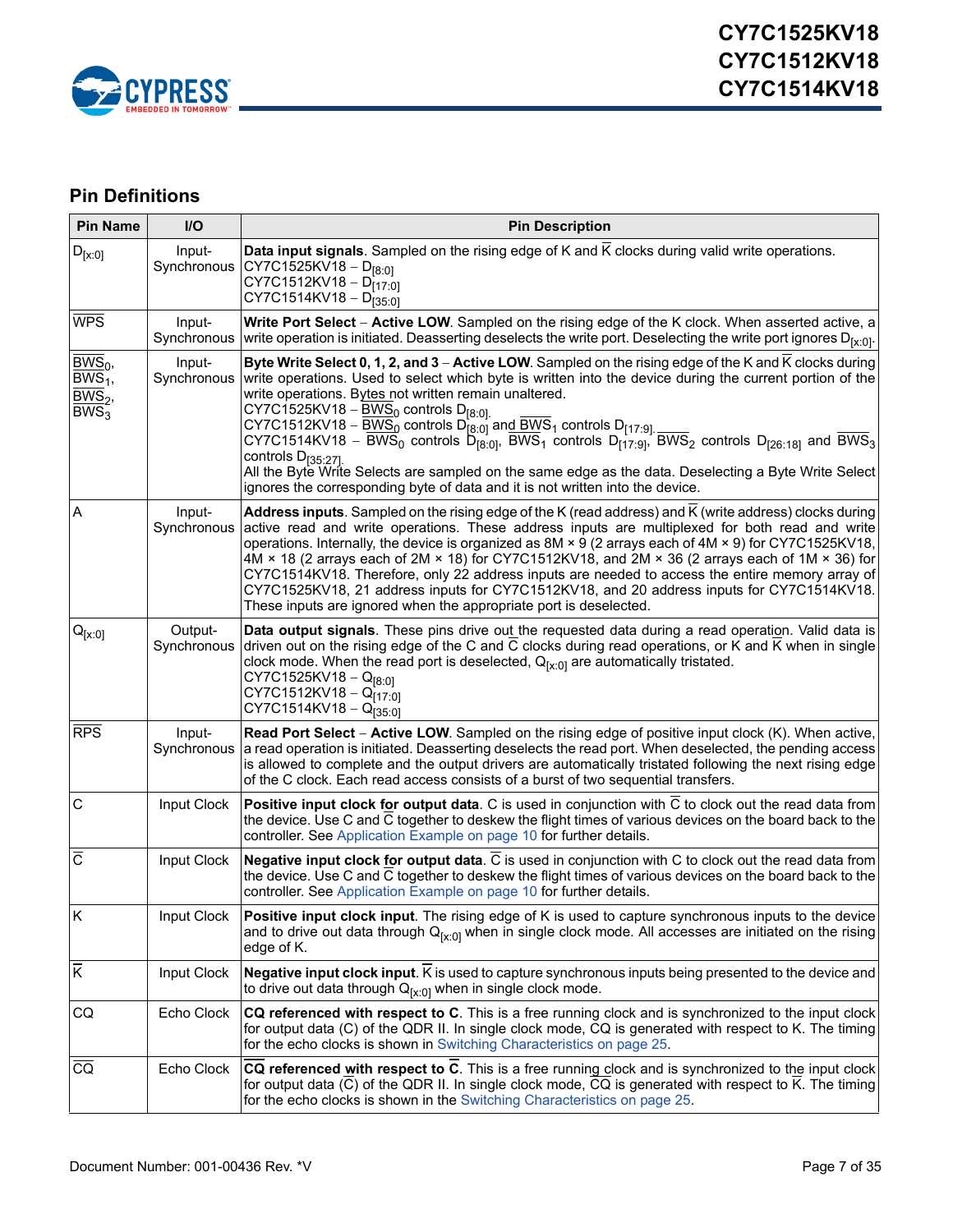

## <span id="page-6-0"></span>**Pin Definitions**

| <b>Pin Name</b>                                                          | I/O                    | <b>Pin Description</b>                                                                                                                                                                                                                                                                                                                                                                                                                                                                                                                                                                                                                                                                                                                                                                                                                                          |
|--------------------------------------------------------------------------|------------------------|-----------------------------------------------------------------------------------------------------------------------------------------------------------------------------------------------------------------------------------------------------------------------------------------------------------------------------------------------------------------------------------------------------------------------------------------------------------------------------------------------------------------------------------------------------------------------------------------------------------------------------------------------------------------------------------------------------------------------------------------------------------------------------------------------------------------------------------------------------------------|
| $D_{[x:0]}$                                                              | Input-<br>Synchronous  | <b>Data input signals</b> . Sampled on the rising edge of K and $\overline{K}$ clocks during valid write operations.<br>$CY7C1525KV18 - D_{[8:0]}$<br>CY7C1512KV18 - $D_{[17.0]}$<br>CY7C1514KV18 - D <sub>135:01</sub>                                                                                                                                                                                                                                                                                                                                                                                                                                                                                                                                                                                                                                         |
| WPS                                                                      | Input-<br>Synchronous  | Write Port Select - Active LOW. Sampled on the rising edge of the K clock. When asserted active, a<br>write operation is initiated. Deasserting deselects the write port. Deselecting the write port ignores $D_{[x:0]}$ .                                                                                                                                                                                                                                                                                                                                                                                                                                                                                                                                                                                                                                      |
| $\overline{\mathrm{BWS}}_0$ ,<br>$BWS1$ ,<br>$BWS_2$<br>BWS <sub>3</sub> | Input-<br>Synchronous  | Byte Write Select 0, 1, 2, and 3 - Active LOW. Sampled on the rising edge of the K and K clocks during<br>write operations. Used to select which byte is written into the device during the current portion of the<br>write operations. Bytes not written remain unaltered.<br>CY7C1525KV18 – $\overline{\text{BWS}}_0$ controls D <sub>[8:0]</sub><br>CY7C1512KV18 – $\overline{BWS_0}$ controls $D_{[8:0]}^{[0:0]}$ and $\overline{BWS}_1$ controls $D_{[17:9]}$ .<br>CY7C1514KV18 – $\overline{BWS}_0$ controls $D_{[8:0]}$ , $\overline{BWS}_1$ controls $D_{[17:9]}$ , $\overline{BWS}_2$ controls $D_{[26:18]}$ and $\overline{BWS}_3$<br>controls $D_{[35:27]}$<br>All the Byte Write Selects are sampled on the same edge as the data. Deselecting a Byte Write Select<br>ignores the corresponding byte of data and it is not written into the device. |
| Α                                                                        | Input-<br>Synchronous  | Address inputs. Sampled on the rising edge of the K (read address) and K (write address) clocks during<br>active read and write operations. These address inputs are multiplexed for both read and write<br>operations. Internally, the device is organized as $8M \times 9$ (2 arrays each of $4M \times 9$ ) for CY7C1525KV18,<br>4M $\times$ 18 (2 arrays each of 2M $\times$ 18) for CY7C1512KV18, and 2M $\times$ 36 (2 arrays each of 1M $\times$ 36) for<br>CY7C1514KV18. Therefore, only 22 address inputs are needed to access the entire memory array of<br>CY7C1525KV18, 21 address inputs for CY7C1512KV18, and 20 address inputs for CY7C1514KV18.<br>These inputs are ignored when the appropriate port is deselected.                                                                                                                            |
| ${\mathsf Q}_{[{\mathsf X}:0]}$                                          | Output-<br>Synchronous | Data output signals. These pins drive out the requested data during a read operation. Valid data is<br>driven out on the rising edge of the C and C clocks during read operations, or K and K when in single<br>clock mode. When the read port is deselected, $Q_{[x:0]}$ are automatically tristated.<br>CY7C1525KV18 - $Q_{[8:0]}$<br>CY7C1512KV18 - Q <sub>[17:0]</sub><br>$CY7C1514KV18 - Q[35.0]$                                                                                                                                                                                                                                                                                                                                                                                                                                                          |
| <b>RPS</b>                                                               | Input-<br>Synchronous  | Read Port Select - Active LOW. Sampled on the rising edge of positive input clock (K). When active,<br>a read operation is initiated. Deasserting deselects the read port. When deselected, the pending access<br>is allowed to complete and the output drivers are automatically tristated following the next rising edge<br>of the C clock. Each read access consists of a burst of two sequential transfers.                                                                                                                                                                                                                                                                                                                                                                                                                                                 |
| $\mathsf{C}$                                                             | Input Clock            | Positive input clock for output data. C is used in conjunction with C to clock out the read data from<br>the device. Use C and C together to deskew the flight times of various devices on the board back to the<br>controller. See Application Example on page 10 for further details.                                                                                                                                                                                                                                                                                                                                                                                                                                                                                                                                                                         |
| $\overline{\text{c}}$                                                    | Input Clock            | Negative input clock for output data. C is used in conjunction with C to clock out the read data from<br>the device. Use C and C together to deskew the flight times of various devices on the board back to the<br>controller. See Application Example on page 10 for further details.                                                                                                                                                                                                                                                                                                                                                                                                                                                                                                                                                                         |
| K                                                                        | Input Clock            | Positive input clock input. The rising edge of K is used to capture synchronous inputs to the device<br> and to drive out data through Q <sub>fx:01</sub> when in single clock mode. All accesses are initiated on the rising<br>edge of K.                                                                                                                                                                                                                                                                                                                                                                                                                                                                                                                                                                                                                     |
| Ι×                                                                       | Input Clock            | Negative input clock input. K is used to capture synchronous inputs being presented to the device and<br>to drive out data through $Q_{[x:0]}$ when in single clock mode.                                                                                                                                                                                                                                                                                                                                                                                                                                                                                                                                                                                                                                                                                       |
| CQ                                                                       | Echo Clock             | CQ referenced with respect to C. This is a free running clock and is synchronized to the input clock<br>for output data (C) of the QDR II. In single clock mode, CQ is generated with respect to K. The timing<br>for the echo clocks is shown in Switching Characteristics on page 25.                                                                                                                                                                                                                                                                                                                                                                                                                                                                                                                                                                         |
| $\overline{CQ}$                                                          | Echo Clock             | CQ referenced with respect to C. This is a free running clock and is synchronized to the input clock<br>for output data (C) of the QDR II. In single clock mode, CQ is generated with respect to K. The timing<br>for the echo clocks is shown in the Switching Characteristics on page 25.                                                                                                                                                                                                                                                                                                                                                                                                                                                                                                                                                                     |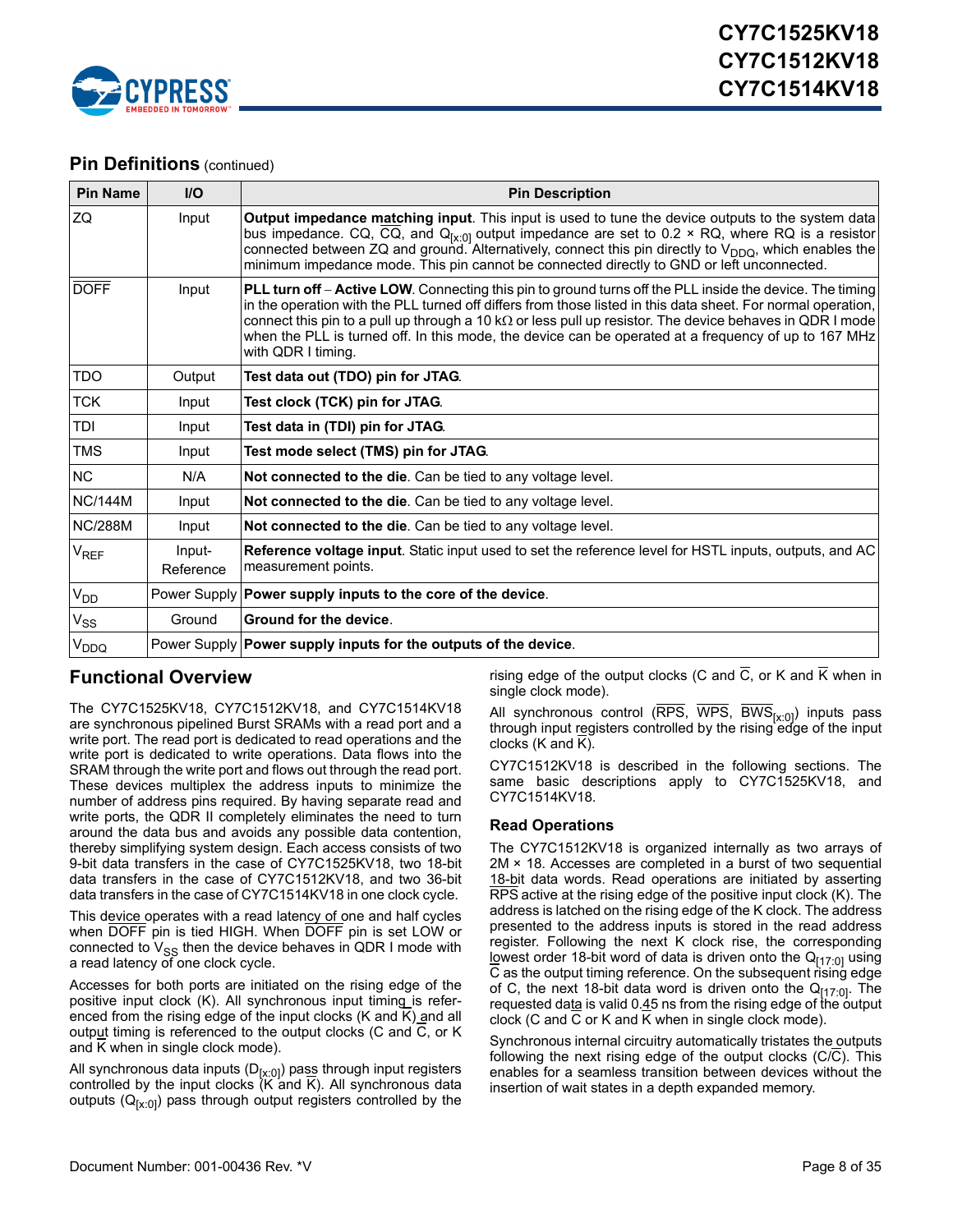

### **Pin Definitions** (continued)

| <b>Pin Name</b>             | $II$                | <b>Pin Description</b>                                                                                                                                                                                                                                                                                                                                                                                                                                                             |
|-----------------------------|---------------------|------------------------------------------------------------------------------------------------------------------------------------------------------------------------------------------------------------------------------------------------------------------------------------------------------------------------------------------------------------------------------------------------------------------------------------------------------------------------------------|
| ZQ                          | Input               | Output impedance matching input. This input is used to tune the device outputs to the system data<br>bus impedance. CQ, CQ, and $Q_{[x:0]}$ output impedance are set to 0.2 $\times$ RQ, where RQ is a resistor<br>connected between ZQ and ground. Alternatively, connect this pin directly to V <sub>DDQ</sub> , which enables the<br>minimum impedance mode. This pin cannot be connected directly to GND or left unconnected.                                                  |
| <b>DOFF</b>                 | Input               | <b>PLL turn off – Active LOW</b> . Connecting this pin to ground turns off the PLL inside the device. The timing<br>in the operation with the PLL turned off differs from those listed in this data sheet. For normal operation,<br>connect this pin to a pull up through a 10 k $\Omega$ or less pull up resistor. The device behaves in QDR I mode<br>when the PLL is turned off. In this mode, the device can be operated at a frequency of up to 167 MHz<br>with QDR I timing. |
| <b>TDO</b>                  | Output              | Test data out (TDO) pin for JTAG.                                                                                                                                                                                                                                                                                                                                                                                                                                                  |
| <b>TCK</b>                  | Input               | Test clock (TCK) pin for JTAG.                                                                                                                                                                                                                                                                                                                                                                                                                                                     |
| TDI                         | Input               | Test data in (TDI) pin for JTAG.                                                                                                                                                                                                                                                                                                                                                                                                                                                   |
| <b>TMS</b>                  | Input               | Test mode select (TMS) pin for JTAG.                                                                                                                                                                                                                                                                                                                                                                                                                                               |
| <b>NC</b>                   | N/A                 | Not connected to the die. Can be tied to any voltage level.                                                                                                                                                                                                                                                                                                                                                                                                                        |
| <b>NC/144M</b>              | Input               | Not connected to the die. Can be tied to any voltage level.                                                                                                                                                                                                                                                                                                                                                                                                                        |
| <b>NC/288M</b>              | Input               | Not connected to the die. Can be tied to any voltage level.                                                                                                                                                                                                                                                                                                                                                                                                                        |
| $\mathsf{V}_{\mathsf{REF}}$ | Input-<br>Reference | <b>Reference voltage input</b> . Static input used to set the reference level for HSTL inputs, outputs, and AC<br>measurement points.                                                                                                                                                                                                                                                                                                                                              |
| V <sub>DD</sub>             |                     | Power Supply   Power supply inputs to the core of the device.                                                                                                                                                                                                                                                                                                                                                                                                                      |
| $V_{SS}$                    | Ground              | Ground for the device.                                                                                                                                                                                                                                                                                                                                                                                                                                                             |
| V <sub>DDQ</sub>            |                     | Power Supply Power supply inputs for the outputs of the device.                                                                                                                                                                                                                                                                                                                                                                                                                    |

### <span id="page-7-0"></span>**Functional Overview**

The CY7C1525KV18, CY7C1512KV18, and CY7C1514KV18 are synchronous pipelined Burst SRAMs with a read port and a write port. The read port is dedicated to read operations and the write port is dedicated to write operations. Data flows into the SRAM through the write port and flows out through the read port. These devices multiplex the address inputs to minimize the number of address pins required. By having separate read and write ports, the QDR II completely eliminates the need to turn around the data bus and avoids any possible data contention, thereby simplifying system design. Each access consists of two 9-bit data transfers in the case of CY7C1525KV18, two 18-bit data transfers in the case of CY7C1512KV18, and two 36-bit data transfers in the case of CY7C1514KV18 in one clock cycle.

This device operates with a read latency of one and half cycles when DOFF pin is tied HIGH. When DOFF pin is set LOW or connected to  $\mathrm{V_{SS}}$  then the device behaves in QDR I mode with a read latency of one clock cycle.

Accesses for both ports are initiated on the rising edge of the positive input clock (K). All synchronous input timing is referenced from the rising edge of the input clocks (K and  $\overline{K}$ ) and all output timing is referenced to the output clocks (C and C, or K and K when in single clock mode).

All synchronous data inputs (D<sub>[x:0]</sub>) pas<u>s</u> through input registers controlled by the input clocks (K and K). All synchronous data outputs  $(Q_{[x:0]})$  pass through output registers controlled by the rising edge of the output clocks (C and  $\overline{C}$ , or K and  $\overline{K}$  when in single clock mode).

All synchronous control ( $\overline{\text{RPS}}, \overline{\text{WPS}}, \overline{\text{BWS}}_{[x:0]}$ ) inputs pass through input registers controlled by the rising edge of the input clocks (K and K).

CY7C1512KV18 is described in the following sections. The same basic descriptions apply to CY7C1525KV18, and CY7C1514KV18.

#### <span id="page-7-1"></span>**Read Operations**

The CY7C1512KV18 is organized internally as two arrays of 2M × 18. Accesses are completed in a burst of two sequential 18-bit data words. Read operations are initiated by asserting RPS active at the rising edge of the positive input clock (K). The address is latched on the rising edge of the K clock. The address presented to the address inputs is stored in the read address register. Following the next K clock rise, the corresponding lowest order 18-bit word of data is driven onto the  $Q_{[17:0]}$  using C as the output timing reference. On the subsequent rising edge of C, the next 18-bit data word is driven onto the  $Q_{[17:0]}$ . The requested data is valid 0.45 ns from the rising edge of the output clock (C and C or K and K when in single clock mode).

Synchronous internal circuitry automatically tristates the outputs following the next rising edge of the output clocks (C/C). This enables for a seamless transition between devices without the insertion of wait states in a depth expanded memory.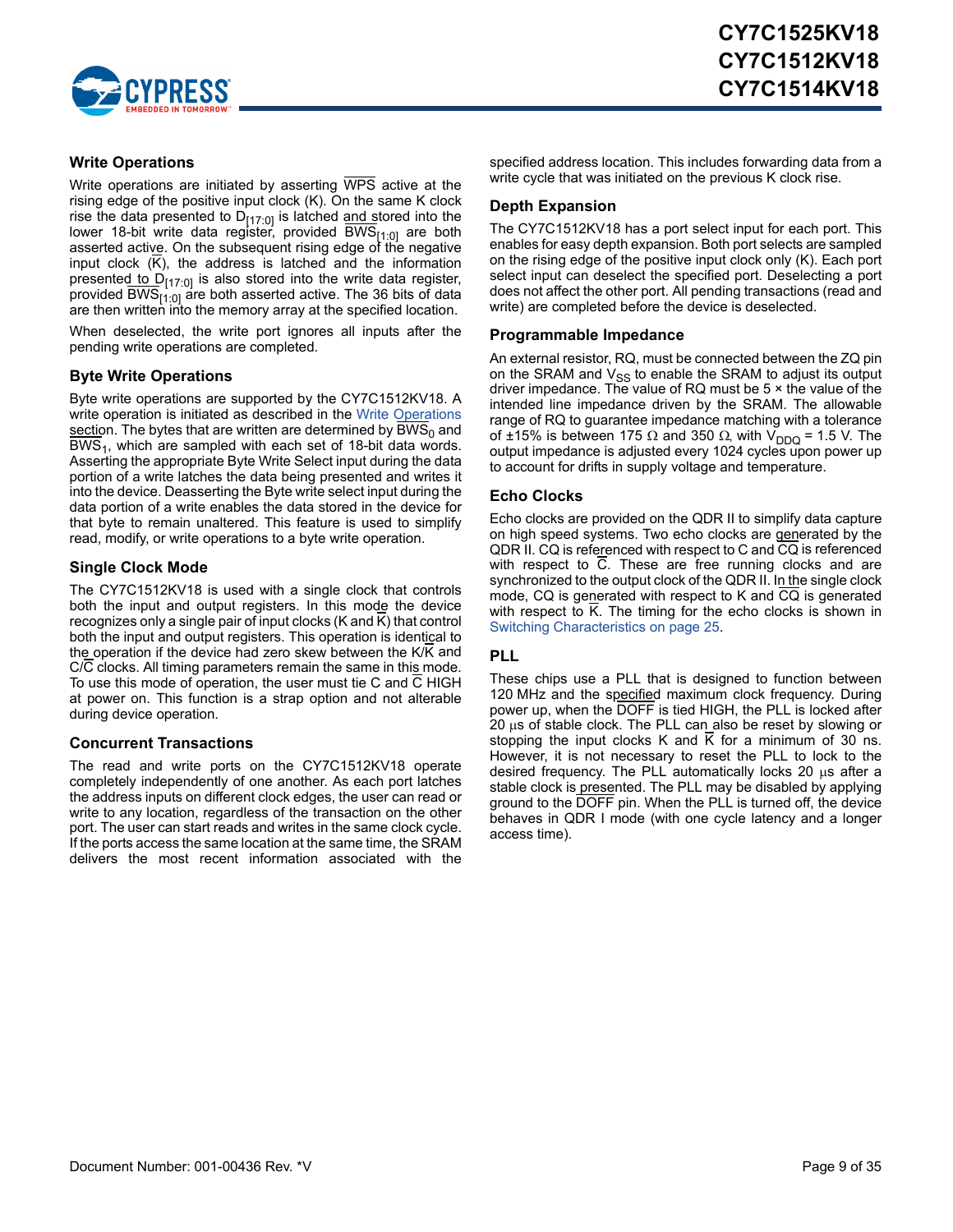

#### <span id="page-8-0"></span>**Write Operations**

Write operations are initiated by asserting WPS active at the rising edge of the positive input clock (K). On the same K clock rise the data presented to D<sub>[17:0]</sub> is latched and stored into the lower 18-bit write data register, provided BWS<sub>[1:0]</sub> are both asserted active. On the subsequent rising edge of the negative input clock (K), the address is latched and the information presented to  $D_{[17:0]}$  is also stored into the write data register, provided BWS<sub>[1:0]</sub> are both asserted active. The 36 bits of data are then written into the memory array at the specified location.

When deselected, the write port ignores all inputs after the pending write operations are completed.

#### <span id="page-8-1"></span>**Byte Write Operations**

Byte write operations are supported by the CY7C1512KV18. A write operation is initiated as described in the [Write Operations](#page-8-0) section. The bytes that are written are determined by  $BWS<sub>0</sub>$  and  $BWS<sub>1</sub>$ , which are sampled with each set of 18-bit data words. Asserting the appropriate Byte Write Select input during the data portion of a write latches the data being presented and writes it into the device. Deasserting the Byte write select input during the data portion of a write enables the data stored in the device for that byte to remain unaltered. This feature is used to simplify read, modify, or write operations to a byte write operation.

#### <span id="page-8-2"></span>**Single Clock Mode**

The CY7C1512KV18 is used with a single clock that controls both the input and output registers. In this mode the device recognizes only a single pair of input clocks (K and K) that control both the input and output registers. This operation is identical to the operation if the device had zero skew between the K/K and C/C clocks. All timing parameters remain the same in this mode. To use this mode of operation, the user must tie C and C HIGH at power on. This function is a strap option and not alterable during device operation.

#### <span id="page-8-3"></span>**Concurrent Transactions**

The read and write ports on the CY7C1512KV18 operate completely independently of one another. As each port latches the address inputs on different clock edges, the user can read or write to any location, regardless of the transaction on the other port. The user can start reads and writes in the same clock cycle. If the ports access the same location at the same time, the SRAM delivers the most recent information associated with the

specified address location. This includes forwarding data from a write cycle that was initiated on the previous K clock rise.

#### <span id="page-8-4"></span>**Depth Expansion**

The CY7C1512KV18 has a port select input for each port. This enables for easy depth expansion. Both port selects are sampled on the rising edge of the positive input clock only (K). Each port select input can deselect the specified port. Deselecting a port does not affect the other port. All pending transactions (read and write) are completed before the device is deselected.

#### <span id="page-8-5"></span>**Programmable Impedance**

An external resistor, RQ, must be connected between the ZQ pin on the SRAM and  $V_{SS}$  to enable the SRAM to adjust its output driver impedance. The value of RQ must be 5 × the value of the intended line impedance driven by the SRAM. The allowable range of RQ to guarantee impedance matching with a tolerance of ±15% is between 175  $\Omega$  and 350  $\Omega$ , with V<sub>DDQ</sub> = 1.5 V. The output impedance is adjusted every 1024 cycles upon power up to account for drifts in supply voltage and temperature.

#### <span id="page-8-6"></span>**Echo Clocks**

Echo clocks are provided on the QDR II to simplify data capture on high speed systems. Two echo clocks are generated by the QDR II. CQ is referenced with respect to C and CQ is referenced with respect to C. These are free running clocks and are synchronized to the output clock of the QDR II. In the single clock mode, CQ is generated with respect to K and CQ is generated with respect to K. The timing for the echo clocks is shown in [Switching Characteristics on page 25](#page-24-0).

#### <span id="page-8-7"></span>**PLL**

These chips use a PLL that is designed to function between 120 MHz and the specified maximum clock frequency. During power up, when the DOFF is tied HIGH, the PLL is locked after 20  $\mu$ s of stable clock. The PLL can also be reset by slowing or stopping the input clocks K and K for a minimum of 30 ns. However, it is not necessary to reset the PLL to lock to the desired frequency. The PLL automatically locks 20  $\mu$ s after a stable clock is presented. The PLL may be disabled by applying ground to the DOFF pin. When the PLL is turned off, the device behaves in QDR I mode (with one cycle latency and a longer access time).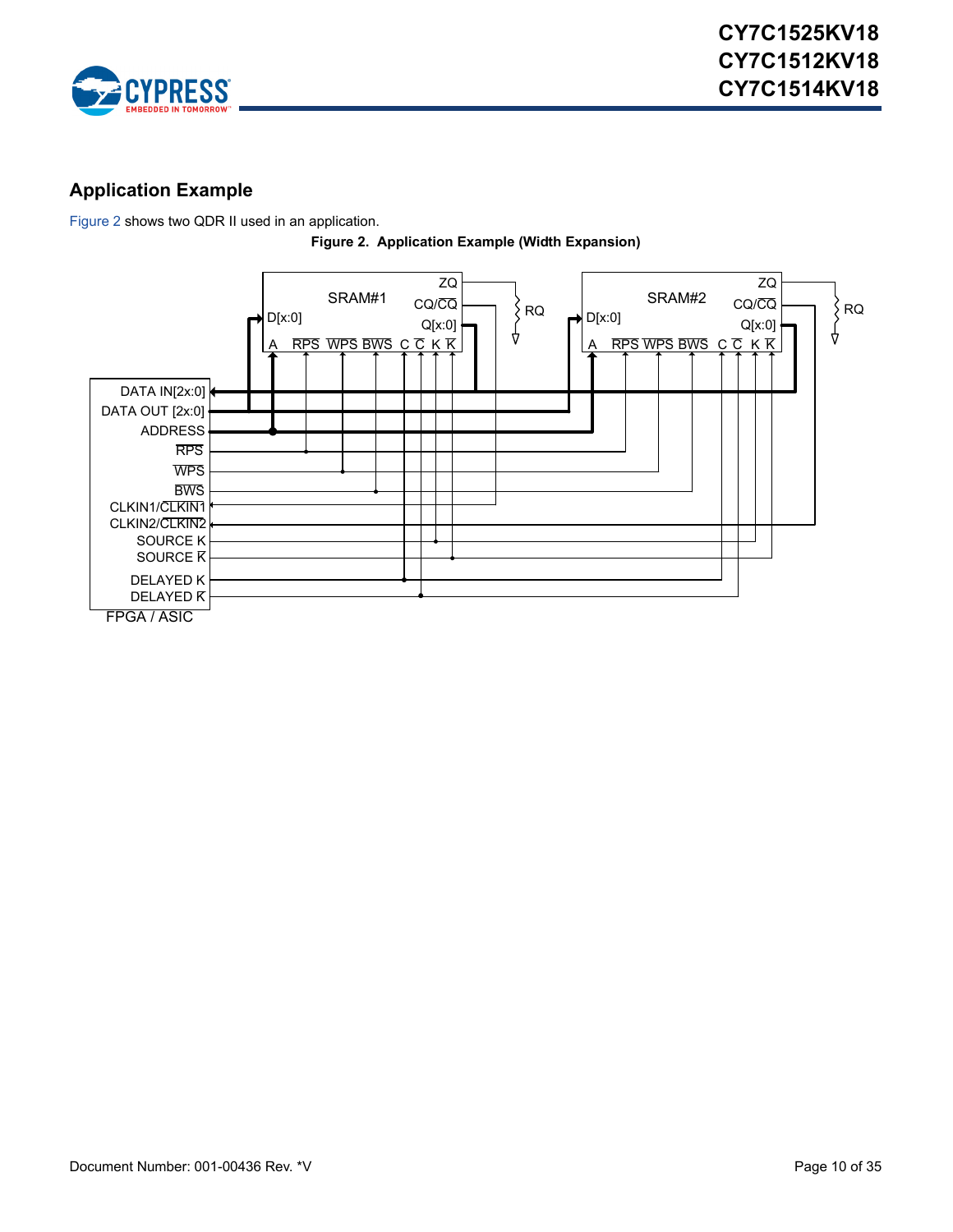

### <span id="page-9-0"></span>**Application Example**

<span id="page-9-1"></span>[Figure 2](#page-9-1) shows two QDR II used in an application.



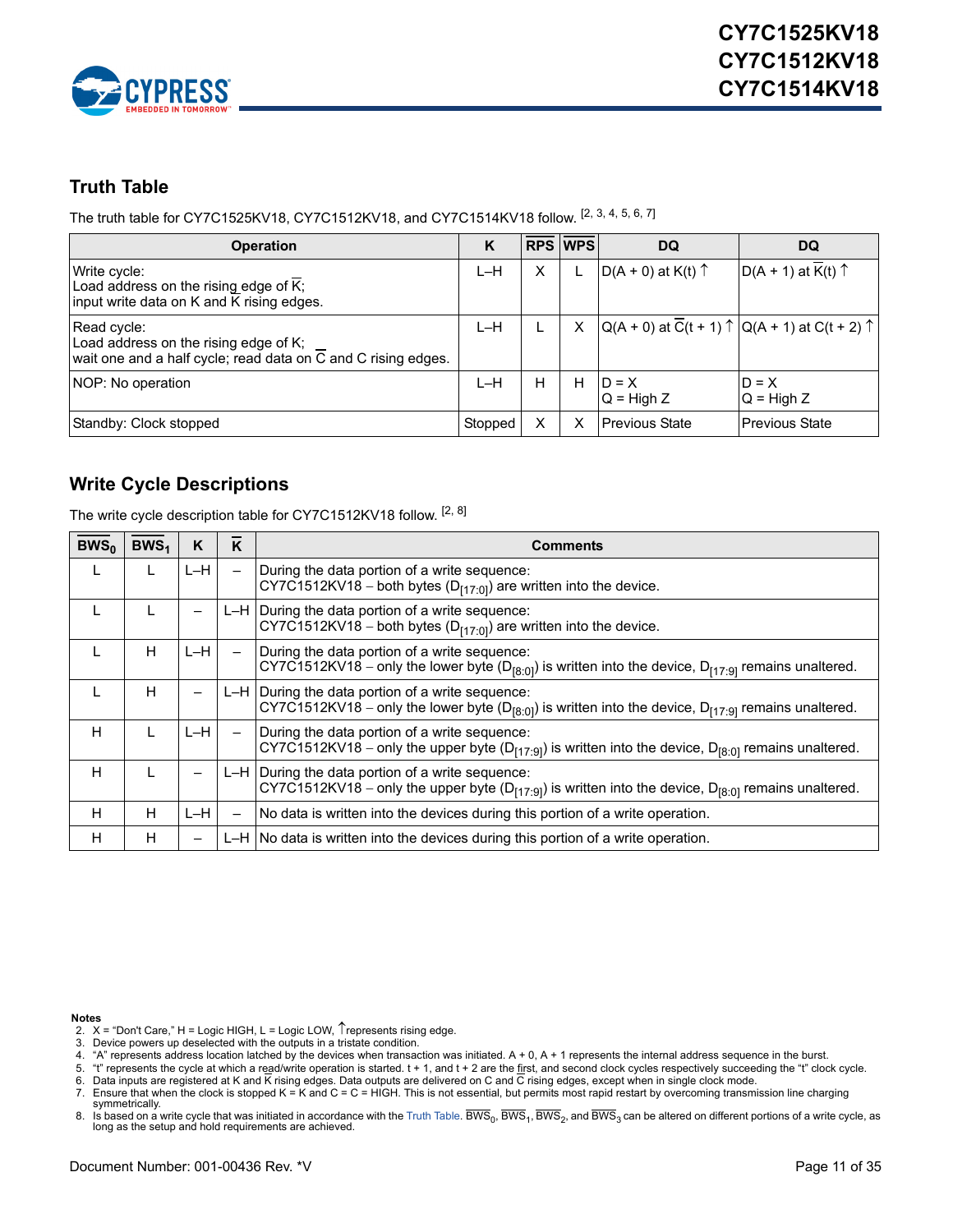

### <span id="page-10-0"></span>**Truth Table**

The truth table for CY7C1525KV18, CY7C1512KV18, and CY7C1514KV18 follow. [\[2](#page-10-2), [3](#page-10-3), [4](#page-10-4), [5](#page-10-5), [6](#page-10-6), [7](#page-10-7)]

| <b>Operation</b>                                                                                                                   | K       |   | <b>RPS WPS</b> | DQ                            | DQ                                                                                 |
|------------------------------------------------------------------------------------------------------------------------------------|---------|---|----------------|-------------------------------|------------------------------------------------------------------------------------|
| Write cycle:<br>Load address on the rising edge of K;<br>input write data on K and K rising edges.                                 | $L-H$   | X |                | $D(A + 0)$ at K(t) $\uparrow$ | $D(A + 1)$ at $\overline{K}(t)$ $\uparrow$                                         |
| Read cycle:<br>Load address on the rising edge of K;<br>wait one and a half cycle; read data on $\overline{C}$ and C rising edges. | $L-H$   |   | X              |                               | $Q(A + 0)$ at $\overline{C}(t + 1)$ $\uparrow$ $Q(A + 1)$ at $C(t + 2)$ $\uparrow$ |
| NOP: No operation                                                                                                                  | $L-H$   | н | H              | $ID = X$<br>$Q = High Z$      | $D = X$<br>$Q = High Z$                                                            |
| Standby: Clock stopped                                                                                                             | Stopped | Χ |                | l Previous State              | <b>Previous State</b>                                                              |

### <span id="page-10-1"></span>**Write Cycle Descriptions**

The write cycle description table for CY7C1512KV18 follow. [[2,](#page-10-2) [8\]](#page-10-8)

| $BWS_{0}$ | BWS <sub>1</sub> | K     | K                        | Comments                                                                                                                                                                    |
|-----------|------------------|-------|--------------------------|-----------------------------------------------------------------------------------------------------------------------------------------------------------------------------|
|           |                  | $L-H$ | $\overline{\phantom{0}}$ | During the data portion of a write sequence:<br>CY7C1512KV18 – both bytes $(D_{[17:0]} )$ are written into the device.                                                      |
|           |                  |       |                          | L-H During the data portion of a write sequence:<br>CY7C1512KV18 – both bytes $(D_{[17:0]} )$ are written into the device.                                                  |
|           | н                | L-H   | $\overline{\phantom{m}}$ | During the data portion of a write sequence:<br>CY7C1512KV18 – only the lower byte (D <sub>[8:0]</sub> ) is written into the device, D <sub>[17:9]</sub> remains unaltered. |
|           | н                |       |                          | $L-H$ During the data portion of a write sequence:<br>CY7C1512KV18 – only the lower byte ( $D_{[8:0]}$ ) is written into the device, $D_{[17:9]}$ remains unaltered.        |
| н         |                  | L-H   | $\overline{\phantom{0}}$ | During the data portion of a write sequence:<br>CY7C1512KV18 – only the upper byte ( $D_{[17:9]}$ ) is written into the device, $D_{[8:0]}$ remains unaltered.              |
| н         |                  |       |                          | L-H During the data portion of a write sequence:<br>CY7C1512KV18 – only the upper byte ( $D_{[17:9]}$ ) is written into the device, $D_{[8:0]}$ remains unaltered.          |
| H         | н                | $L-H$ | $\qquad \qquad -$        | No data is written into the devices during this portion of a write operation.                                                                                               |
| H         | н                |       |                          | $L-H$ No data is written into the devices during this portion of a write operation.                                                                                         |

#### **Notes**

<span id="page-10-2"></span>2.  $X =$  "Don't Care," H = Logic HIGH, L = Logic LOW,  $\uparrow$  represents rising edge.

<span id="page-10-3"></span>3. Device powers up deselected with the outputs in a tristate condition.

<span id="page-10-4"></span>4. "A" represents address location latched by the devices when transaction was initiated. A + 0, A + 1 represents the internal address sequence in the burst.

<span id="page-10-5"></span>5. "t" represents the cycle at which a read/write operation is started. t + 1, and t + 2 are the first, and second clock cycles respectively succeeding the "t" clock cycle. 6. Data inputs are registered at K and K rising edges. Data outputs are delivered on C and  $\overline{C}$  rising edges, except when in single clock mode.

<span id="page-10-6"></span>

<span id="page-10-7"></span>7. Ensure that when the clock is stopped K = K and C = C = HIGH. This is not essential, but permits most rapid restart by overcoming transmission line charging symmetrically.

<span id="page-10-8"></span>8. Is based on a write cycle that was initiated in accordance with the [Truth Table.](#page-10-0) BWS<sub>0</sub>, BWS<sub>1</sub>, BWS<sub>2</sub>, and BWS<sub>3</sub> can be altered on different portions of a write cycle, as long as the setup and hold requirements are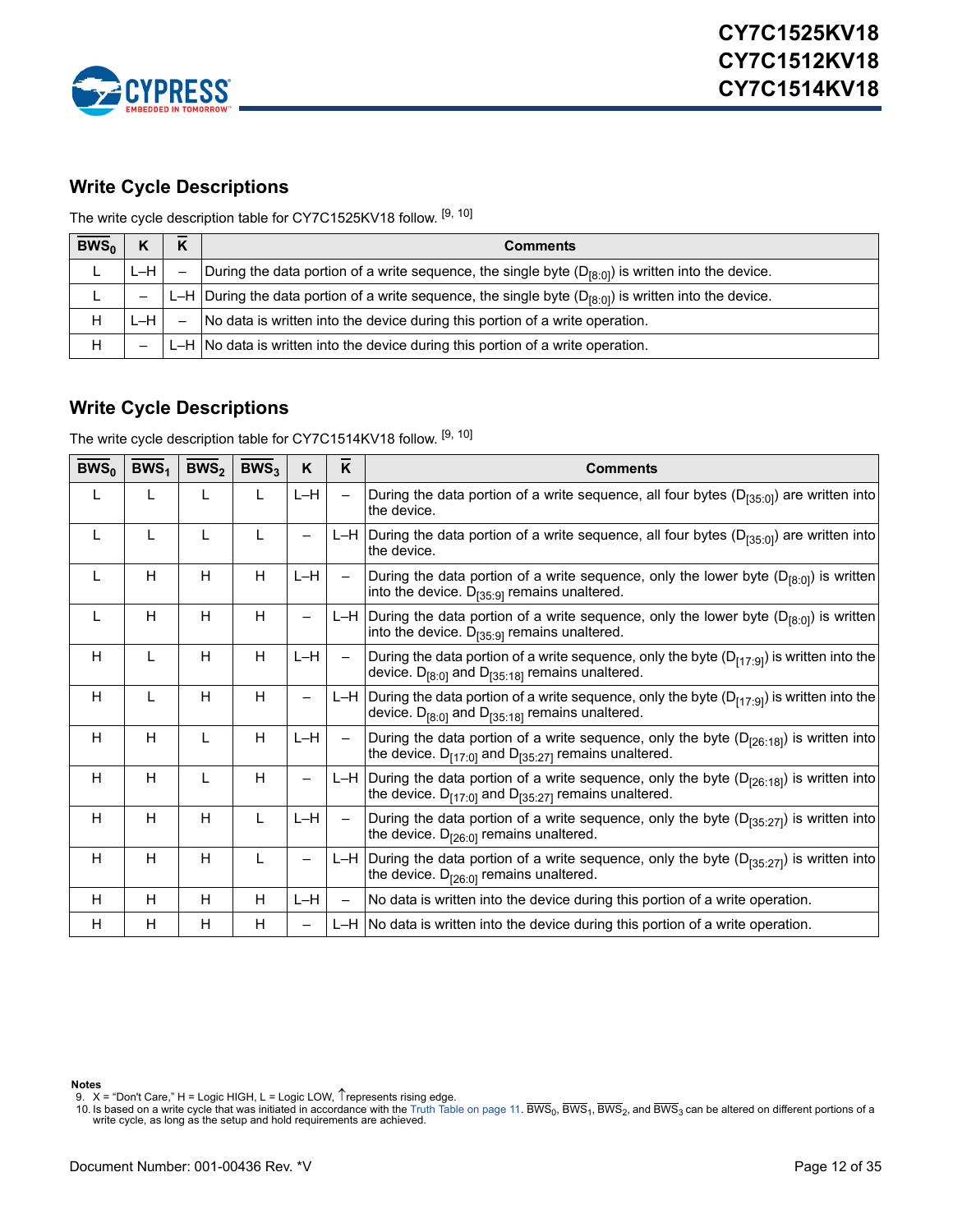

### <span id="page-11-0"></span>**Write Cycle Descriptions**

The write cycle description table for CY7C1525KV18 follow. [[9,](#page-11-2) [10\]](#page-11-3)

| $BWS_0$ |       |                 | <b>Comments</b>                                                                                            |
|---------|-------|-----------------|------------------------------------------------------------------------------------------------------------|
|         | $L-H$ | $\qquad \qquad$ | During the data portion of a write sequence, the single byte $(D_{[8:0]})$ is written into the device.     |
|         |       |                 | L-H During the data portion of a write sequence, the single byte $(D_{[8:0]})$ is written into the device. |
| Н       | L-H.  |                 | No data is written into the device during this portion of a write operation.                               |
| Н       | -     |                 | $L-H$ No data is written into the device during this portion of a write operation.                         |

### <span id="page-11-1"></span>**Write Cycle Descriptions**

The write cycle description table for CY7C1514KV18 follow. [[9,](#page-11-2) [10\]](#page-11-3)

| $BWS_0$ | BWS <sub>1</sub> | BWS <sub>2</sub> | BWS <sub>3</sub> | K     | K                        | <b>Comments</b>                                                                                                                                                 |
|---------|------------------|------------------|------------------|-------|--------------------------|-----------------------------------------------------------------------------------------------------------------------------------------------------------------|
| L       | L                | L                | L                | $L-H$ | $\overline{\phantom{0}}$ | During the data portion of a write sequence, all four bytes $(D_{[35:0]} )$ are written into<br>the device.                                                     |
| L       | L                | L                | L                | —     |                          | L-H During the data portion of a write sequence, all four bytes ( $D_{[35:0]}$ ) are written into<br>the device.                                                |
| L       | H                | H                | H                | $L-H$ | $\overline{\phantom{0}}$ | During the data portion of a write sequence, only the lower byte ( $D_{[8:0]}$ ) is written<br>into the device. $D_{[35:9]}$ remains unaltered.                 |
| L       | H                | H                | H                |       |                          | L-H During the data portion of a write sequence, only the lower byte $(D_{[8:0]})$ is written<br>into the device. $D_{[35:9]}$ remains unaltered.               |
| H       | L                | H                | H                | $L-H$ | $\overline{\phantom{0}}$ | During the data portion of a write sequence, only the byte $(D_{[17:9]} )$ is written into the<br>device. $D_{[8:0]}$ and $D_{[35:18]}$ remains unaltered.      |
| H       | L                | H                | H                | —     |                          | L-H During the data portion of a write sequence, only the byte $(D_{[17:9]})$ is written into the<br>device. $D_{[8:0]}$ and $D_{[35:18]}$ remains unaltered.   |
| H       | H                | L                | H                | $L-H$ | $\overline{\phantom{0}}$ | During the data portion of a write sequence, only the byte ( $D_{[26:18]}$ ) is written into<br>the device. $D_{[17:0]}$ and $D_{[35:27]}$ remains unaltered.   |
| H       | H                | L                | H                |       |                          | L-H During the data portion of a write sequence, only the byte $(D_{[26:18]})$ is written into<br>the device. $D_{[17:0]}$ and $D_{[35:27]}$ remains unaltered. |
| H       | H                | H                | L                | $L-H$ | $\overline{\phantom{0}}$ | During the data portion of a write sequence, only the byte $(D_{135:271})$ is written into<br>the device. $D_{[26:0]}$ remains unaltered.                       |
| H       | H                | H                | L                | —     | L-H                      | During the data portion of a write sequence, only the byte ( $D_{[35:27]}$ ) is written into<br>the device. $D_{[26:0]}$ remains unaltered.                     |
| H.      | н                | H                | H                | $L-H$ | $\overline{\phantom{0}}$ | No data is written into the device during this portion of a write operation.                                                                                    |
| H.      | H                | н                | H                | —     |                          | $L-H$ No data is written into the device during this portion of a write operation.                                                                              |

**Notes**

<span id="page-11-2"></span>9.  $\,$  X = "Don't Care," H = Logic HIGH, L = Logic LOW,  $\, \hat{}\,$  represents rising edge.

<span id="page-11-3"></span>10. Is based on a write cycle that was initiated in accordance with the [Truth Table on page 11.](#page-10-0) BWS<sub>0</sub>, BWS<sub>1</sub>, BWS<sub>2</sub>, and BWS<sub>3</sub> can be altered on different portions of a write cycle, as long as the setup and hold requi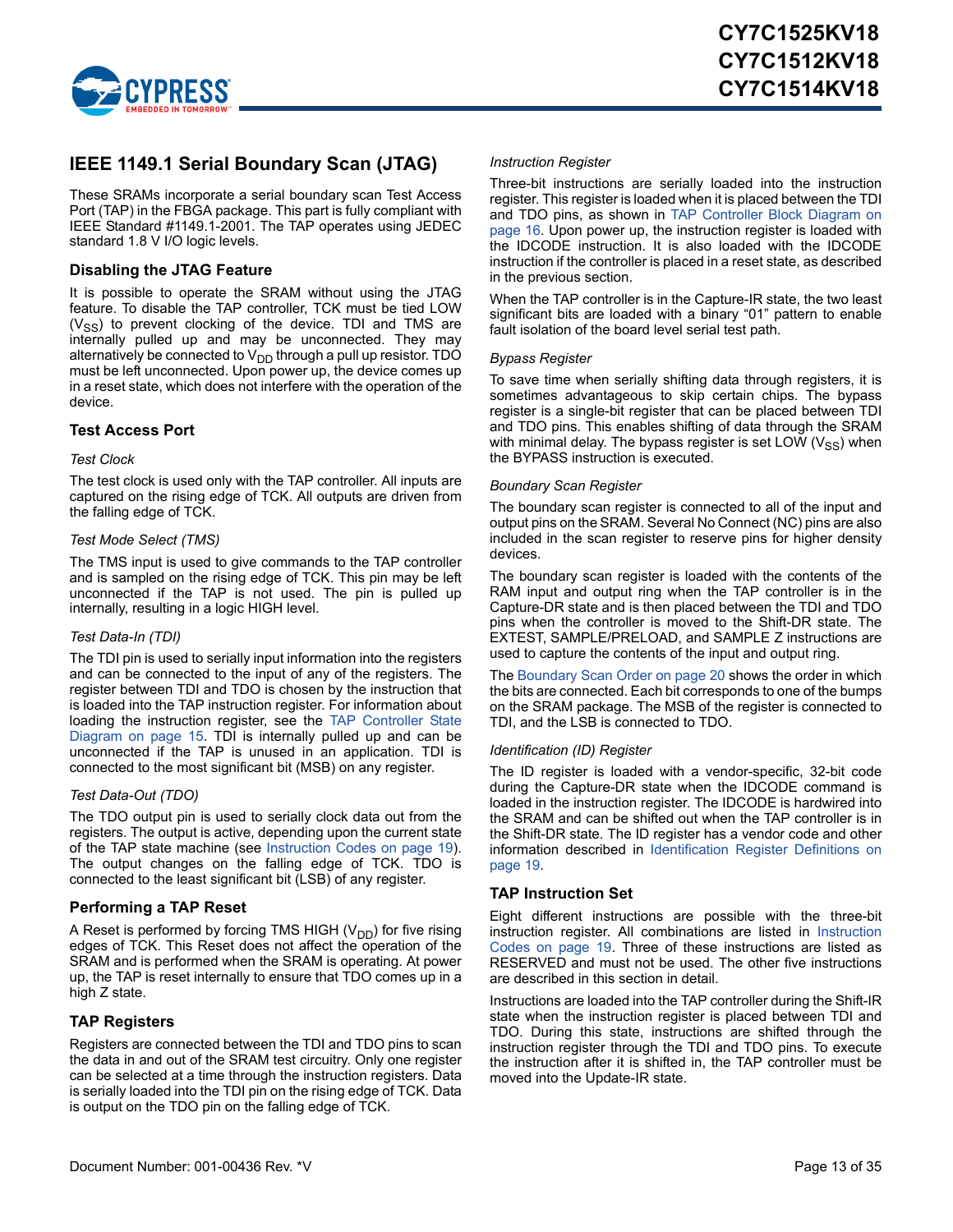

### <span id="page-12-0"></span>**IEEE 1149.1 Serial Boundary Scan (JTAG)**

These SRAMs incorporate a serial boundary scan Test Access Port (TAP) in the FBGA package. This part is fully compliant with IEEE Standard #1149.1-2001. The TAP operates using JEDEC standard 1.8 V I/O logic levels.

#### <span id="page-12-1"></span>**Disabling the JTAG Feature**

It is possible to operate the SRAM without using the JTAG feature. To disable the TAP controller, TCK must be tied LOW  $(V_{SS})$  to prevent clocking of the device. TDI and TMS are internally pulled up and may be unconnected. They may alternatively be connected to  $\rm V_{DD}$  through a pull up resistor. TDO must be left unconnected. Upon power up, the device comes up in a reset state, which does not interfere with the operation of the device.

#### <span id="page-12-2"></span>**Test Access Port**

#### *Test Clock*

The test clock is used only with the TAP controller. All inputs are captured on the rising edge of TCK. All outputs are driven from the falling edge of TCK.

#### *Test Mode Select (TMS)*

The TMS input is used to give commands to the TAP controller and is sampled on the rising edge of TCK. This pin may be left unconnected if the TAP is not used. The pin is pulled up internally, resulting in a logic HIGH level.

#### *Test Data-In (TDI)*

The TDI pin is used to serially input information into the registers and can be connected to the input of any of the registers. The register between TDI and TDO is chosen by the instruction that is loaded into the TAP instruction register. For information about loading the instruction register, see the [TAP Controller State](#page-14-0) [Diagram on page 15.](#page-14-0) TDI is internally pulled up and can be unconnected if the TAP is unused in an application. TDI is connected to the most significant bit (MSB) on any register.

#### *Test Data-Out (TDO)*

The TDO output pin is used to serially clock data out from the registers. The output is active, depending upon the current state of the TAP state machine (see [Instruction Codes on page 19](#page-18-2)). The output changes on the falling edge of TCK. TDO is connected to the least significant bit (LSB) of any register.

#### <span id="page-12-3"></span>**Performing a TAP Reset**

A Reset is performed by forcing TMS HIGH  $(V_{DD})$  for five rising edges of TCK. This Reset does not affect the operation of the SRAM and is performed when the SRAM is operating. At power up, the TAP is reset internally to ensure that TDO comes up in a high Z state.

#### <span id="page-12-4"></span>**TAP Registers**

Registers are connected between the TDI and TDO pins to scan the data in and out of the SRAM test circuitry. Only one register can be selected at a time through the instruction registers. Data is serially loaded into the TDI pin on the rising edge of TCK. Data is output on the TDO pin on the falling edge of TCK.

#### *Instruction Register*

Three-bit instructions are serially loaded into the instruction register. This register is loaded when it is placed between the TDI and TDO pins, as shown in [TAP Controller Block Diagram on](#page-15-0) [page 16](#page-15-0). Upon power up, the instruction register is loaded with the IDCODE instruction. It is also loaded with the IDCODE instruction if the controller is placed in a reset state, as described in the previous section.

When the TAP controller is in the Capture-IR state, the two least significant bits are loaded with a binary "01" pattern to enable fault isolation of the board level serial test path.

#### *Bypass Register*

To save time when serially shifting data through registers, it is sometimes advantageous to skip certain chips. The bypass register is a single-bit register that can be placed between TDI and TDO pins. This enables shifting of data through the SRAM with minimal delay. The bypass register is set LOW  $(V_{SS})$  when the BYPASS instruction is executed.

#### *Boundary Scan Register*

The boundary scan register is connected to all of the input and output pins on the SRAM. Several No Connect (NC) pins are also included in the scan register to reserve pins for higher density devices.

The boundary scan register is loaded with the contents of the RAM input and output ring when the TAP controller is in the Capture-DR state and is then placed between the TDI and TDO pins when the controller is moved to the Shift-DR state. The EXTEST, SAMPLE/PRELOAD, and SAMPLE Z instructions are used to capture the contents of the input and output ring.

The [Boundary Scan Order on page 20](#page-19-0) shows the order in which the bits are connected. Each bit corresponds to one of the bumps on the SRAM package. The MSB of the register is connected to TDI, and the LSB is connected to TDO.

#### *Identification (ID) Register*

The ID register is loaded with a vendor-specific, 32-bit code during the Capture-DR state when the IDCODE command is loaded in the instruction register. The IDCODE is hardwired into the SRAM and can be shifted out when the TAP controller is in the Shift-DR state. The ID register has a vendor code and other information described in [Identification Register Definitions on](#page-18-0) [page 19](#page-18-0).

#### <span id="page-12-5"></span>**TAP Instruction Set**

Eight different instructions are possible with the three-bit instruction register. All combinations are listed in [Instruction](#page-18-2) [Codes on page 19](#page-18-2). Three of these instructions are listed as RESERVED and must not be used. The other five instructions are described in this section in detail.

Instructions are loaded into the TAP controller during the Shift-IR state when the instruction register is placed between TDI and TDO. During this state, instructions are shifted through the instruction register through the TDI and TDO pins. To execute the instruction after it is shifted in, the TAP controller must be moved into the Update-IR state.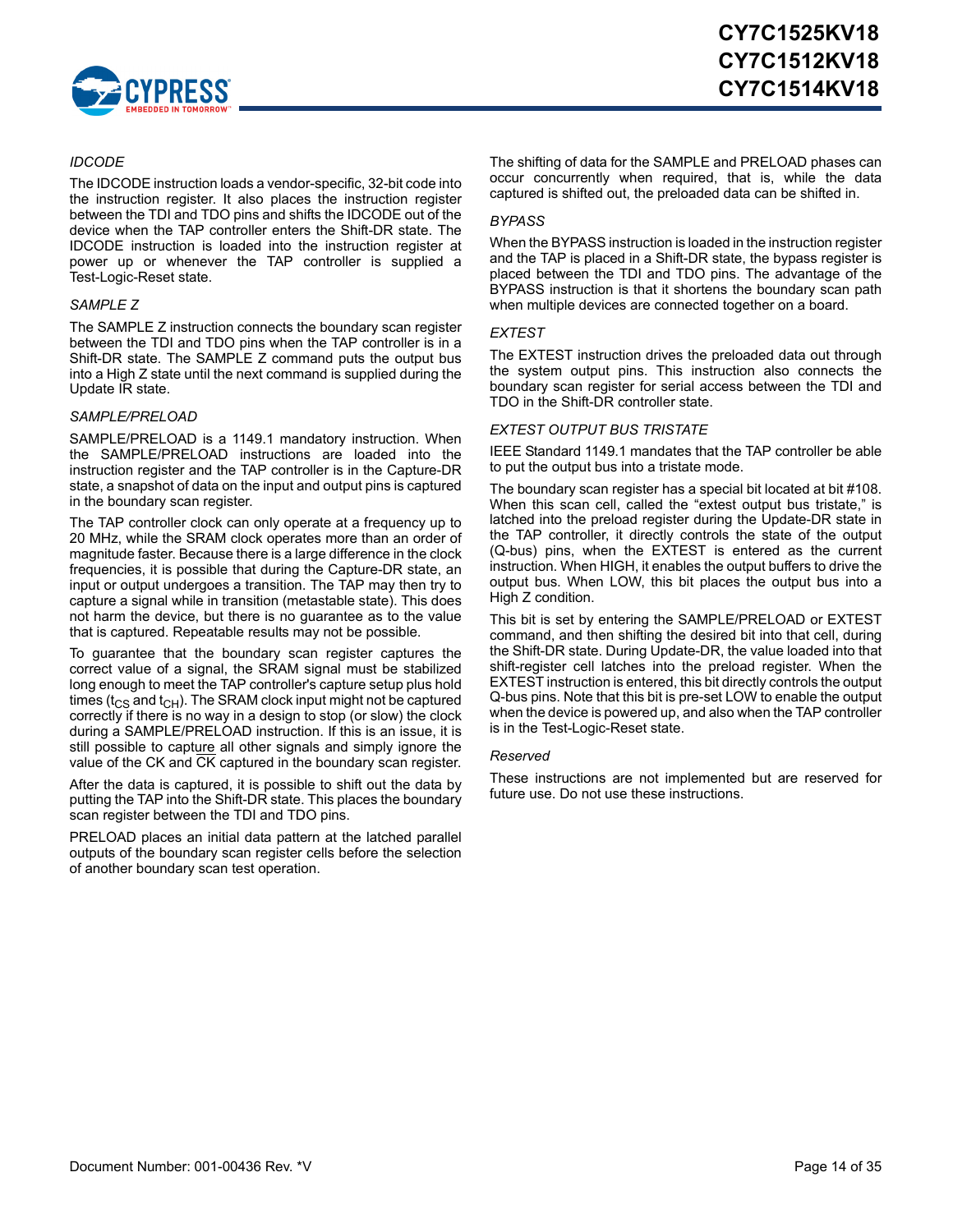

#### *IDCODE*

The IDCODE instruction loads a vendor-specific, 32-bit code into the instruction register. It also places the instruction register between the TDI and TDO pins and shifts the IDCODE out of the device when the TAP controller enters the Shift-DR state. The IDCODE instruction is loaded into the instruction register at power up or whenever the TAP controller is supplied a Test-Logic-Reset state.

#### *SAMPLE Z*

The SAMPLE Z instruction connects the boundary scan register between the TDI and TDO pins when the TAP controller is in a Shift-DR state. The SAMPLE Z command puts the output bus into a High Z state until the next command is supplied during the Update IR state.

#### *SAMPLE/PRELOAD*

SAMPLE/PRELOAD is a 1149.1 mandatory instruction. When the SAMPLE/PRELOAD instructions are loaded into the instruction register and the TAP controller is in the Capture-DR state, a snapshot of data on the input and output pins is captured in the boundary scan register.

The TAP controller clock can only operate at a frequency up to 20 MHz, while the SRAM clock operates more than an order of magnitude faster. Because there is a large difference in the clock frequencies, it is possible that during the Capture-DR state, an input or output undergoes a transition. The TAP may then try to capture a signal while in transition (metastable state). This does not harm the device, but there is no guarantee as to the value that is captured. Repeatable results may not be possible.

To guarantee that the boundary scan register captures the correct value of a signal, the SRAM signal must be stabilized long enough to meet the TAP controller's capture setup plus hold times ( $t_{CS}$  and  $t_{CH}$ ). The SRAM clock input might not be captured correctly if there is no way in a design to stop (or slow) the clock during a SAMPLE/PRELOAD instruction. If this is an issue, it is still possible to capture all other signals and simply ignore the value of the CK and CK captured in the boundary scan register.

After the data is captured, it is possible to shift out the data by putting the TAP into the Shift-DR state. This places the boundary scan register between the TDI and TDO pins.

PRELOAD places an initial data pattern at the latched parallel outputs of the boundary scan register cells before the selection of another boundary scan test operation.

The shifting of data for the SAMPLE and PRELOAD phases can occur concurrently when required, that is, while the data captured is shifted out, the preloaded data can be shifted in.

#### *BYPASS*

When the BYPASS instruction is loaded in the instruction register and the TAP is placed in a Shift-DR state, the bypass register is placed between the TDI and TDO pins. The advantage of the BYPASS instruction is that it shortens the boundary scan path when multiple devices are connected together on a board.

#### *EXTEST*

The EXTEST instruction drives the preloaded data out through the system output pins. This instruction also connects the boundary scan register for serial access between the TDI and TDO in the Shift-DR controller state.

#### *EXTEST OUTPUT BUS TRISTATE*

IEEE Standard 1149.1 mandates that the TAP controller be able to put the output bus into a tristate mode.

The boundary scan register has a special bit located at bit #108. When this scan cell, called the "extest output bus tristate," is latched into the preload register during the Update-DR state in the TAP controller, it directly controls the state of the output (Q-bus) pins, when the EXTEST is entered as the current instruction. When HIGH, it enables the output buffers to drive the output bus. When LOW, this bit places the output bus into a High Z condition.

This bit is set by entering the SAMPLE/PRELOAD or EXTEST command, and then shifting the desired bit into that cell, during the Shift-DR state. During Update-DR, the value loaded into that shift-register cell latches into the preload register. When the EXTEST instruction is entered, this bit directly controls the output Q-bus pins. Note that this bit is pre-set LOW to enable the output when the device is powered up, and also when the TAP controller is in the Test-Logic-Reset state.

#### *Reserved*

These instructions are not implemented but are reserved for future use. Do not use these instructions.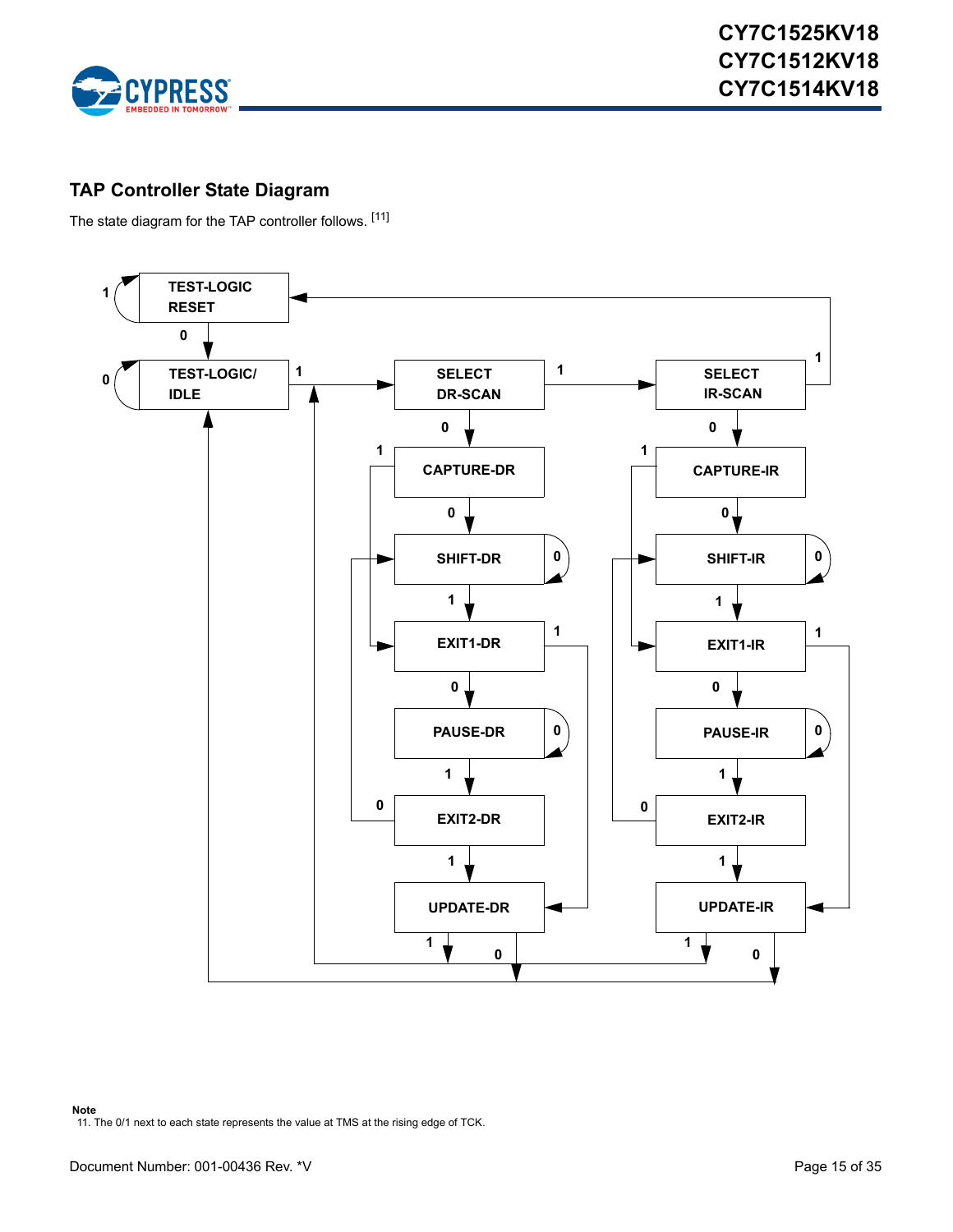

### <span id="page-14-0"></span>**TAP Controller State Diagram**

The state diagram for the TAP controller follows. [[11](#page-14-1)]

<span id="page-14-1"></span>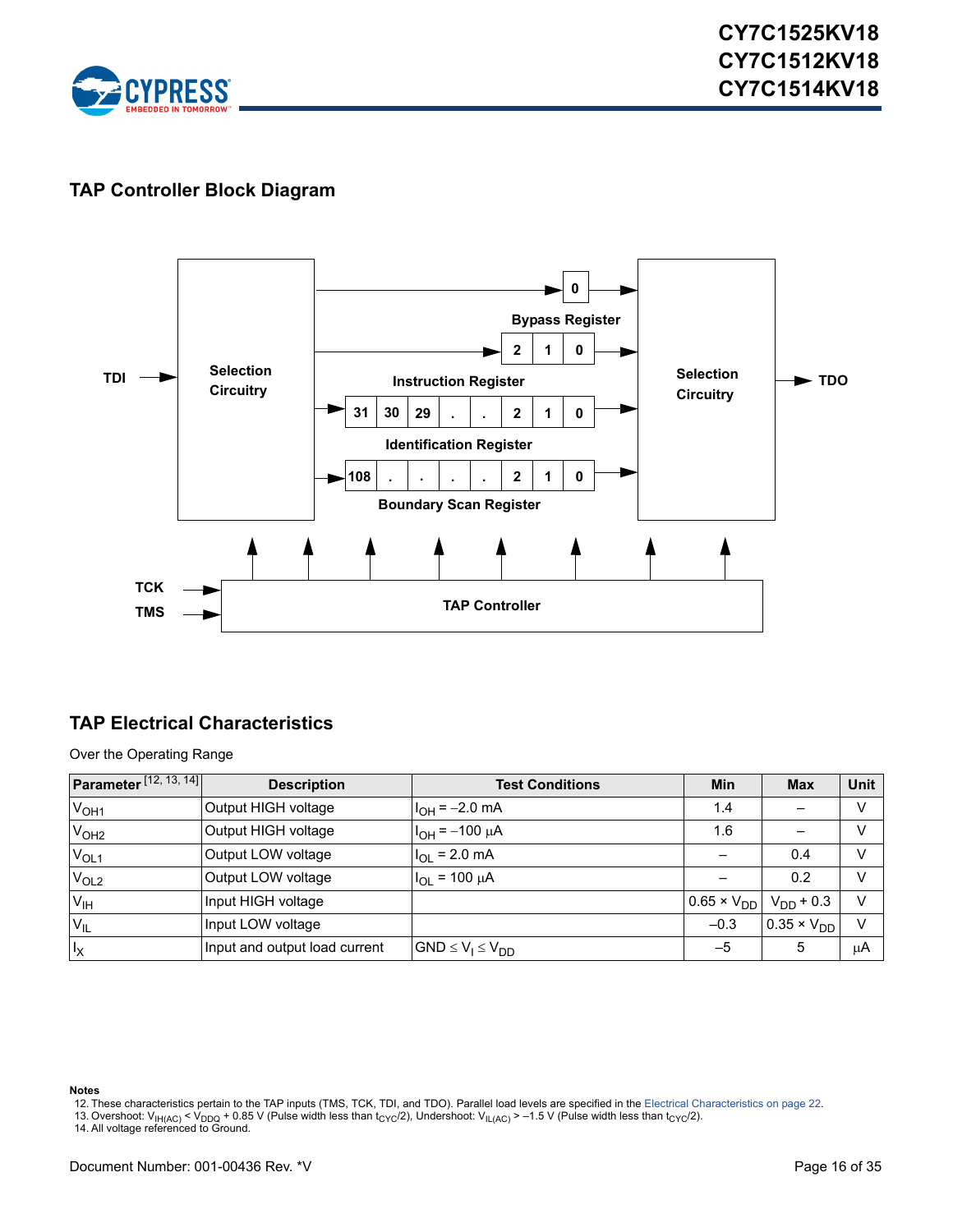

### <span id="page-15-0"></span>**TAP Controller Block Diagram**



### <span id="page-15-1"></span>**TAP Electrical Characteristics**

Over the Operating Range

| <b>Parameter</b> $[12, 13, 14]$ | <b>Description</b>            | <b>Test Conditions</b>   | Min                  | <b>Max</b>            | <b>Unit</b> |
|---------------------------------|-------------------------------|--------------------------|----------------------|-----------------------|-------------|
| V <sub>OH1</sub>                | Output HIGH voltage           | $I_{OH} = -2.0$ mA       | 1.4                  |                       | v           |
| V <sub>OH2</sub>                | Output HIGH voltage           | $I_{OH} = -100 \mu A$    | 1.6                  |                       | V           |
| $V_{OL1}$                       | Output LOW voltage            | $I_{OL}$ = 2.0 mA        |                      | 0.4                   | v           |
| V <sub>OL2</sub>                | Output LOW voltage            | $I_{OL}$ = 100 $\mu$ A   |                      | 0.2                   | $\vee$      |
| V <sub>IH</sub>                 | Input HIGH voltage            |                          | $0.65 \times V_{DD}$ | $V_{DD}$ + 0.3        | $\vee$      |
| $V_{IL}$                        | Input LOW voltage             |                          | $-0.3$               | $10.35 \times V_{DD}$ | $\vee$      |
| $I_X$                           | Input and output load current | $GND \le V_1 \le V_{DD}$ | $-5$                 | 5                     | μA          |

#### **Notes**

- <span id="page-15-2"></span>12. These characteristics pertain to the TAP inputs (TMS, TCK, TDI, and TDO). Parallel load levels are specified in the [Electrical Characteristics on page 22.](#page-21-3)
- <span id="page-15-3"></span>13. Overshoot: V<sub>IH(AC)</sub> < V<sub>DDQ</sub> + 0.85 V (Pulse width less than t<sub>CYC</sub>/2), Undershoot: V<sub>IL(AC)</sub> > –1.5 V (Pulse width less than t<sub>CYC</sub>/2).<br>14. All voltage referenced to Ground.

<span id="page-15-4"></span>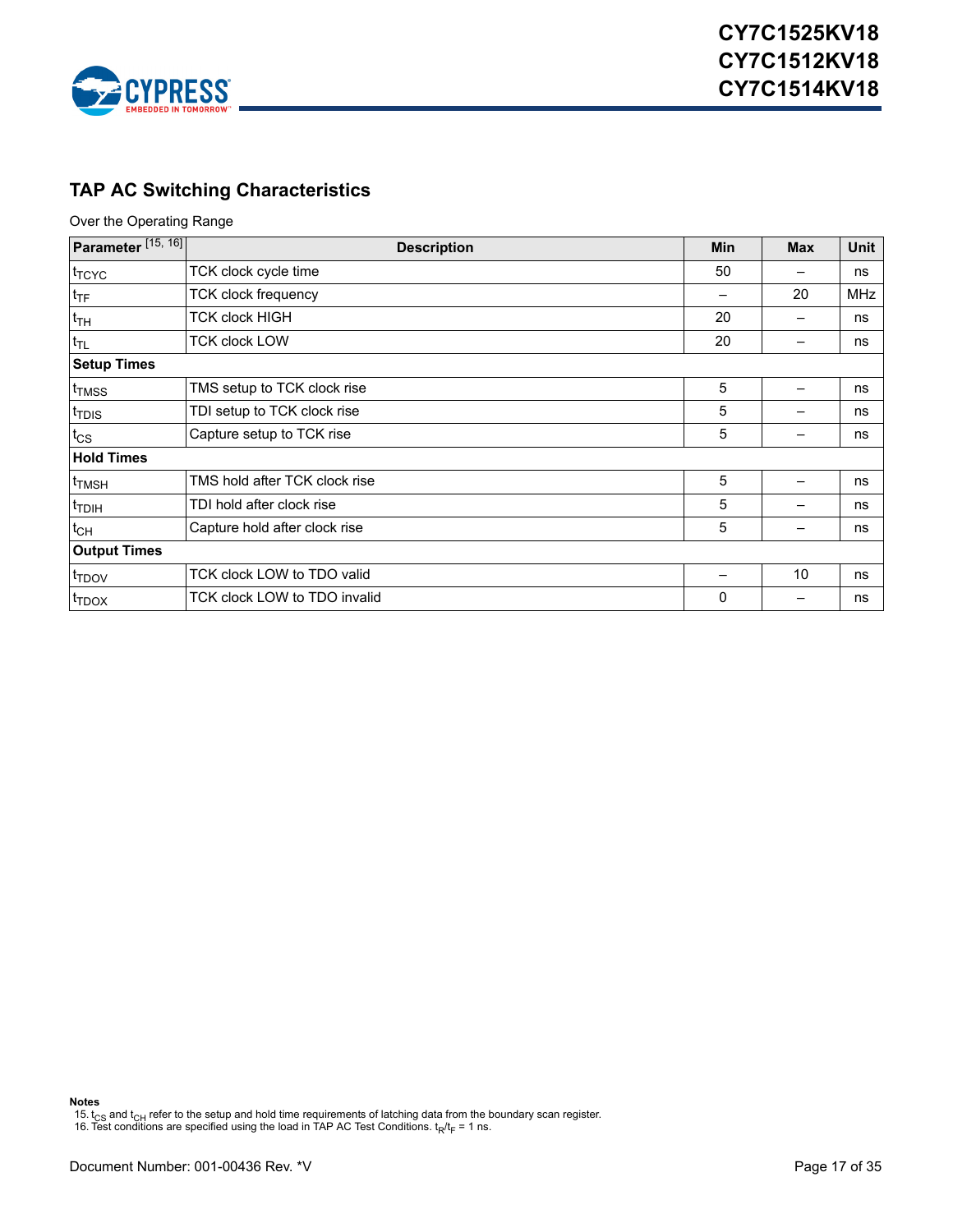

## <span id="page-16-0"></span>**TAP AC Switching Characteristics**

Over the Operating Range

| Parameter <sup>[15, 16]</sup> | <b>Description</b>            | <b>Min</b>   | <b>Max</b> | Unit       |
|-------------------------------|-------------------------------|--------------|------------|------------|
| t <sub>TCYC</sub>             | TCK clock cycle time          | 50           |            | ns         |
| $t_{\text{TF}}$               | <b>TCK clock frequency</b>    |              | 20         | <b>MHz</b> |
| $t_{TH}$                      | TCK clock HIGH                | 20           |            | ns         |
| $t_{TL}$                      | <b>TCK clock LOW</b>          | 20           |            | ns         |
| <b>Setup Times</b>            |                               |              |            |            |
| t <sub>TMSS</sub>             | TMS setup to TCK clock rise   | 5            |            | ns         |
| <sup>t</sup> TDIS             | TDI setup to TCK clock rise   | 5            |            | ns         |
| $t_{\text{CS}}$               | Capture setup to TCK rise     | 5            |            | ns         |
| <b>Hold Times</b>             |                               |              |            |            |
| <sup>t</sup> TMSH             | TMS hold after TCK clock rise | 5            |            | ns         |
| <sup>t</sup> TDIH             | TDI hold after clock rise     | 5            |            | ns         |
| $t_{CH}$                      | Capture hold after clock rise | 5            | —          | ns         |
| <b>Output Times</b>           |                               |              |            |            |
| t <sub>TDOV</sub>             | TCK clock LOW to TDO valid    |              | 10         | ns         |
| <sup>I</sup> TDOX             | TCK clock LOW to TDO invalid  | $\mathbf{0}$ |            | ns         |

**Notes**

<span id="page-16-1"></span>15. t<sub>CS</sub> and t<sub>CH</sub> refer to the setup and hold time requirements of latching data from the boundary scan register.<br>16. Test conditions are specified using the load in TAP AC Test Conditions. t<sub>R</sub>/t<sub>F</sub> = 1 ns.

<span id="page-16-2"></span>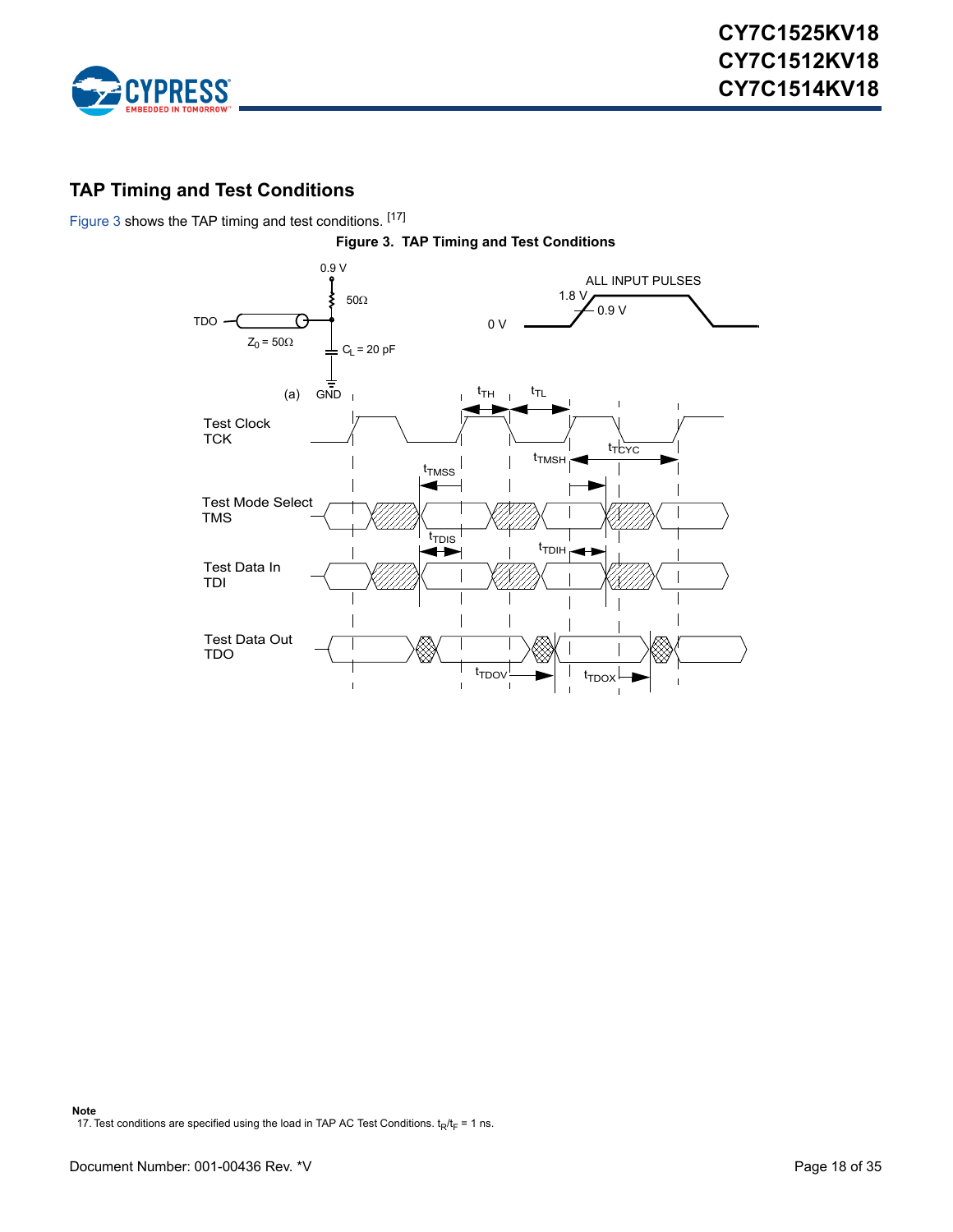

### <span id="page-17-0"></span>**TAP Timing and Test Conditions**

<span id="page-17-1"></span>[Figure 3](#page-17-1) shows the TAP timing and test conditions. [[17\]](#page-17-2)

<span id="page-17-2"></span>

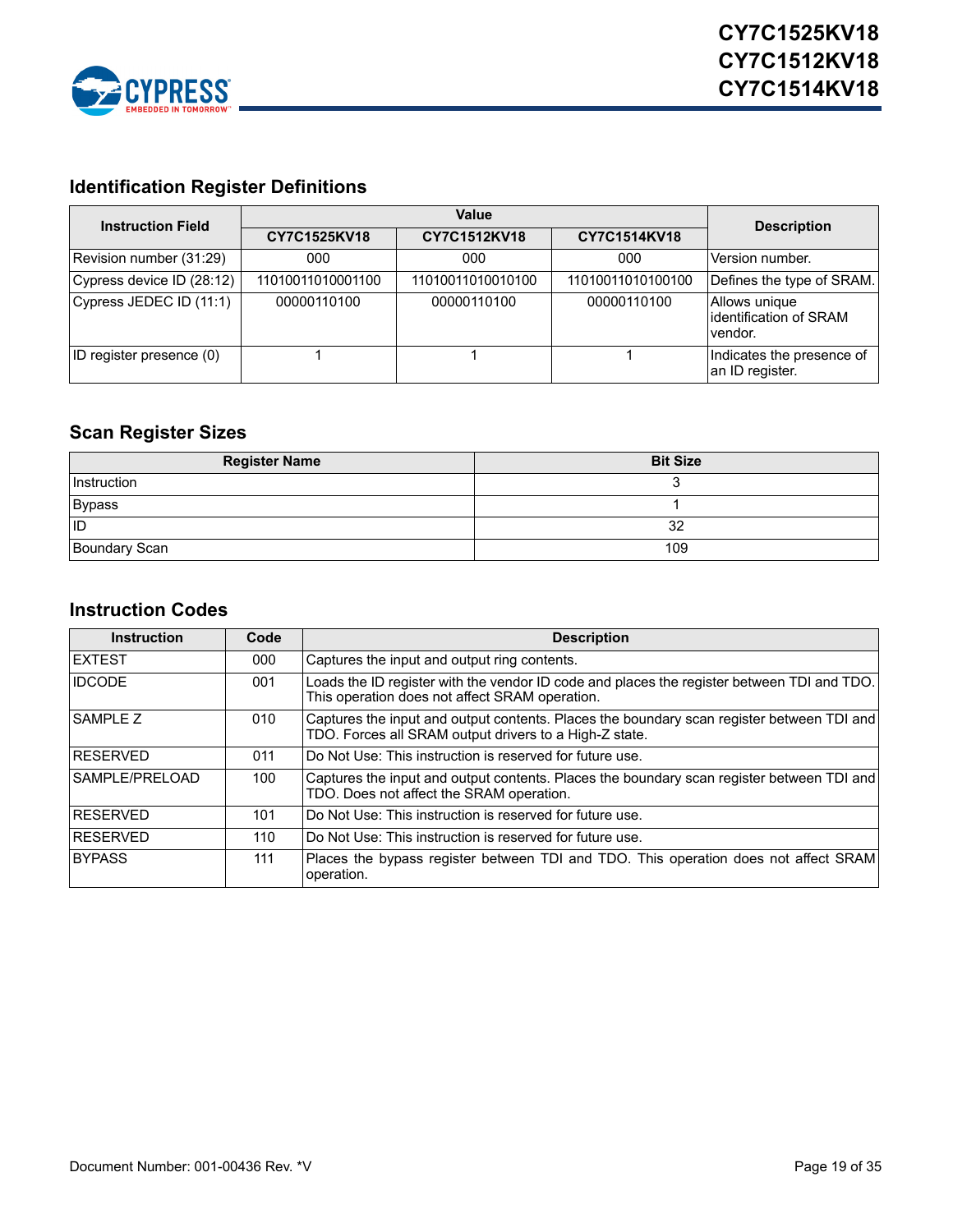

## <span id="page-18-0"></span>**Identification Register Definitions**

| <b>Instruction Field</b>  |                   | <b>Description</b> |                   |                                                    |
|---------------------------|-------------------|--------------------|-------------------|----------------------------------------------------|
|                           | CY7C1525KV18      | CY7C1512KV18       | CY7C1514KV18      |                                                    |
| Revision number (31:29)   | 000               | 000                | 000               | Version number.                                    |
| Cypress device ID (28:12) | 11010011010001100 | 11010011010010100  | 11010011010100100 | Defines the type of SRAM.                          |
| Cypress JEDEC ID (11:1)   | 00000110100       | 00000110100        | 00000110100       | Allows unique<br>identification of SRAM<br>vendor. |
| ID register presence (0)  |                   |                    |                   | Indicates the presence of<br>an ID register.       |

## <span id="page-18-1"></span>**Scan Register Sizes**

| <b>Register Name</b> | <b>Bit Size</b> |
|----------------------|-----------------|
| Instruction          |                 |
| Bypass               |                 |
| <b>ID</b>            | 32              |
| <b>Boundary Scan</b> | 109             |

### <span id="page-18-2"></span>**Instruction Codes**

| <b>Instruction</b> | Code | <b>Description</b>                                                                                                                                  |
|--------------------|------|-----------------------------------------------------------------------------------------------------------------------------------------------------|
| <b>IEXTEST</b>     | 000  | Captures the input and output ring contents.                                                                                                        |
| <b>IDCODE</b>      | 001  | Loads the ID register with the vendor ID code and places the register between TDI and TDO.<br>This operation does not affect SRAM operation.        |
| <b>SAMPLE Z</b>    | 010  | Captures the input and output contents. Places the boundary scan register between TDI and<br>TDO. Forces all SRAM output drivers to a High-Z state. |
| <b>RESERVED</b>    | 011  | Do Not Use: This instruction is reserved for future use.                                                                                            |
| SAMPLE/PRELOAD     | 100  | Captures the input and output contents. Places the boundary scan register between TDI and<br>TDO. Does not affect the SRAM operation.               |
| <b>IRESERVED</b>   | 101  | Do Not Use: This instruction is reserved for future use.                                                                                            |
| <b>RESERVED</b>    | 110  | Do Not Use: This instruction is reserved for future use.                                                                                            |
| <b>BYPASS</b>      | 111  | Places the bypass register between TDI and TDO. This operation does not affect SRAM<br>operation.                                                   |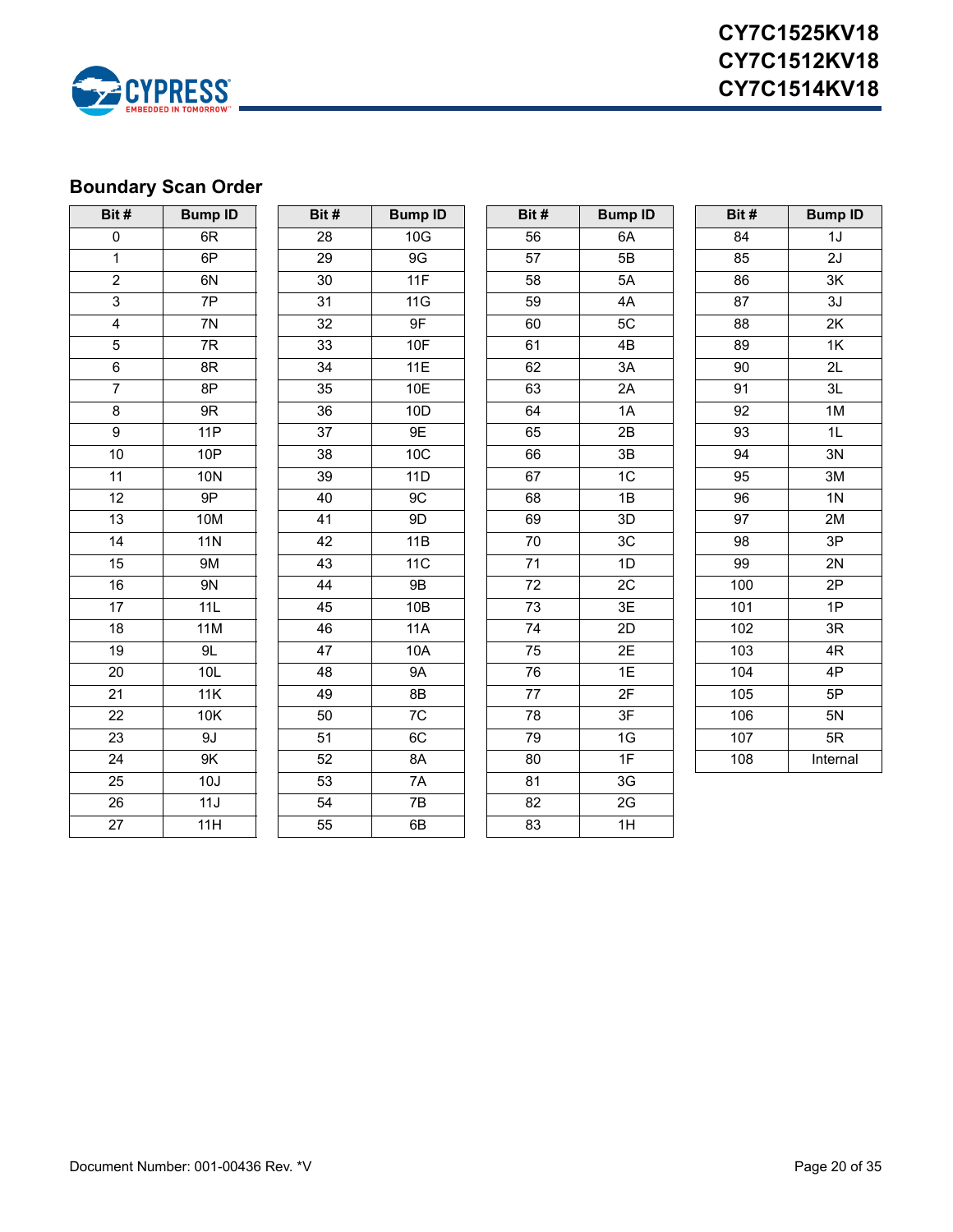

# <span id="page-19-0"></span>**Boundary Scan Order**

| Bit#            | <b>Bump ID</b> | Bit#            | <b>Bump ID</b> | Bit#            | <b>Bump ID</b>  | Bit#            | <b>Bump ID</b>  |
|-----------------|----------------|-----------------|----------------|-----------------|-----------------|-----------------|-----------------|
| $\pmb{0}$       | 6R             | 28              | 10G            | 56              | 6A              | 84              | 1J              |
| $\mathbf 1$     | 6P             | 29              | 9G             | 57              | 5B              | 85              | 2J              |
| $\overline{2}$  | 6N             | 30              | 11F            | 58              | 5A              | 86              | $3\mathsf{K}$   |
| $\overline{3}$  | 7P             | 31              | 11G            | 59              | 4A              | 87              | 3J              |
| $\overline{4}$  | 7N             | 32              | 9F             | 60              | 5C              | 88              | 2K              |
| $\overline{5}$  | 7R             | 33              | 10F            | 61              | 4B              | 89              | 1K              |
| $\overline{6}$  | 8R             | $\overline{34}$ | 11E            | 62              | 3A              | $\overline{90}$ | $\overline{2L}$ |
| $\overline{7}$  | 8P             | 35              | 10E            | 63              | 2A              | 91              | 3L              |
| $\bf 8$         | $9\mathsf{R}$  | 36              | 10D            | 64              | 1A              | 92              | 1M              |
| $\overline{9}$  | 11P            | $\overline{37}$ | 9E             | 65              | 2B              | 93              | $\overline{1}$  |
| 10              | 10P            | 38              | 10C            | 66              | 3B              | 94              | 3N              |
| 11              | <b>10N</b>     | 39              | 11D            | 67              | 1C              | 95              | 3M              |
| 12              | 9P             | 40              | 9C             | 68              | 1B              | 96              | 1 <sub>N</sub>  |
| $\overline{13}$ | <b>10M</b>     | 41              | 9D             | 69              | 3D              | $\overline{97}$ | 2M              |
| 14              | <b>11N</b>     | 42              | 11B            | 70              | 3C              | 98              | 3P              |
| 15              | <b>9M</b>      | 43              | 11C            | $\overline{71}$ | 1D              | 99              | 2N              |
| 16              | 9N             | 44              | 9B             | 72              | 2C              | 100             | 2P              |
| $\overline{17}$ | 11L            | 45              | 10B            | 73              | 3E              | 101             | $\overline{1P}$ |
| 18              | 11M            | 46              | 11A            | $74\,$          | 2D              | 102             | 3R              |
| 19              | 9L             | 47              | 10A            | 75              | 2E              | 103             | 4R              |
| 20              | 10L            | 48              | <b>9A</b>      | 76              | 1E              | 104             | 4P              |
| $\overline{21}$ | 11K            | 49              | 8B             | $\overline{77}$ | 2F              | 105             | 5P              |
| 22              | 10K            | 50              | 7C             | 78              | 3F              | 106             | 5N              |
| $\overline{23}$ | 9J             | 51              | 6C             | 79              | 1G              | 107             | 5R              |
| $\overline{24}$ | 9K             | 52              | 8A             | 80              | 1F              | 108             | Internal        |
| $\overline{25}$ | 10J            | 53              | 7A             | 81              | 3G              |                 |                 |
| $\overline{26}$ | 11J            | 54              | 7B             | 82              | 2G              |                 |                 |
| $\overline{27}$ | 11H            | 55              | 6B             | 83              | $\overline{1H}$ |                 |                 |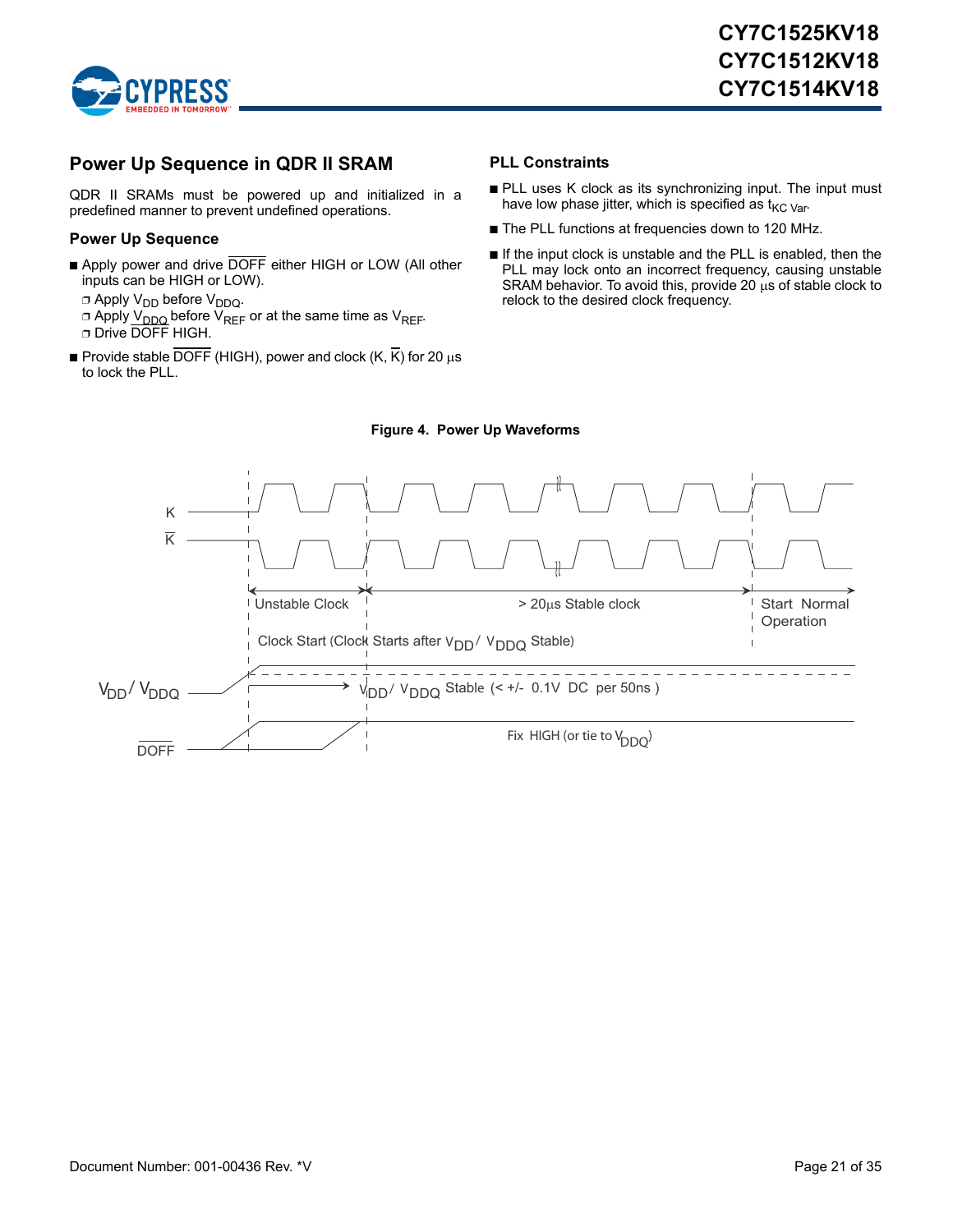

### <span id="page-20-0"></span>**Power Up Sequence in QDR II SRAM**

QDR II SRAMs must be powered up and initialized in a predefined manner to prevent undefined operations.

#### <span id="page-20-1"></span>**Power Up Sequence**

- Apply power and drive DOFF either HIGH or LOW (All other inputs can be HIGH or LOW).
	- $\Box$  Apply V<sub>DD</sub> before V<sub>DDQ</sub>.
	- □ Apply V<sub>DDQ</sub> before V<sub>REF</sub> or at the same time as V<sub>REF</sub>. ❐ Drive DOFF HIGH.
- **Provide stable DOFF** (HIGH), power and clock  $(K, \overline{K})$  for 20  $\mu$ s to lock the PLL.

#### <span id="page-20-2"></span>**PLL Constraints**

- PLL uses K clock as its synchronizing input. The input must have low phase jitter, which is specified as  $t_{\text{KC Var}}$ .
- The PLL functions at frequencies down to 120 MHz.
- If the input clock is unstable and the PLL is enabled, then the PLL may lock onto an incorrect frequency, causing unstable SRAM behavior. To avoid this, provide 20  $\mu$ s of stable clock to relock to the desired clock frequency.

<span id="page-20-3"></span>

#### **Figure 4. Power Up Waveforms**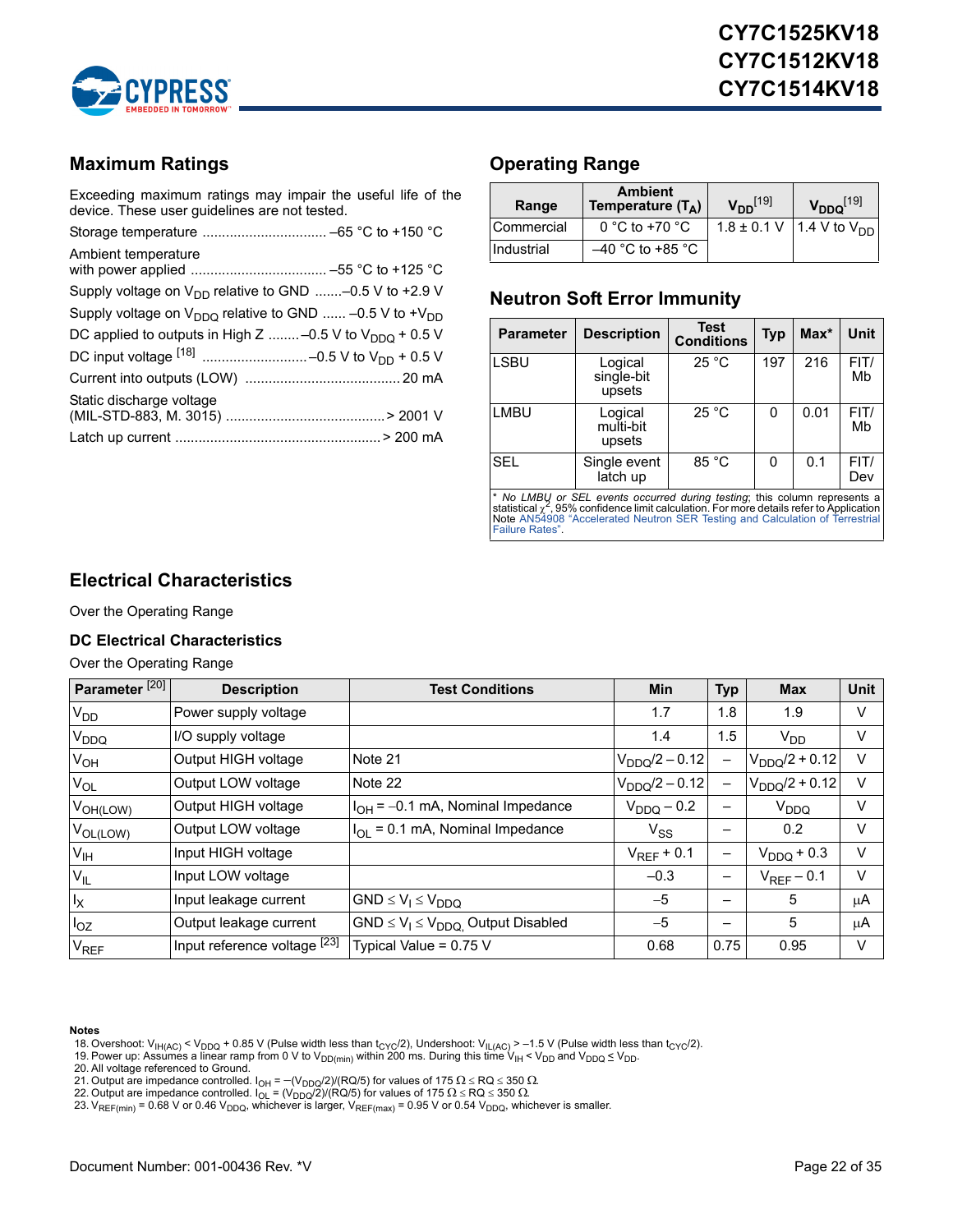

### <span id="page-21-0"></span>**Maximum Ratings**

Exceeding maximum ratings may impair the useful life of the device. These user guidelines are not tested.

| Ambient temperature                                               |
|-------------------------------------------------------------------|
| Supply voltage on $V_{DD}$ relative to GND -0.5 V to +2.9 V       |
| Supply voltage on $V_{DDQ}$ relative to GND  -0.5 V to + $V_{DD}$ |
| DC applied to outputs in High Z  -0.5 V to $V_{DDO}$ + 0.5 V      |
|                                                                   |
|                                                                   |
| Static discharge voltage                                          |
|                                                                   |

### <span id="page-21-1"></span>**Operating Range**

| Range      | <b>Ambient</b><br>Temperature $(T_A)$ |  | $V_{DDQ}$ [19]                  |  |
|------------|---------------------------------------|--|---------------------------------|--|
| Commercial | 0 °C to +70 $\degree$ C               |  | 1.8 ± 0.1 V   1.4 V to $V_{DD}$ |  |
| Industrial | $-40$ °C to +85 °C                    |  |                                 |  |

### <span id="page-21-2"></span>**Neutron Soft Error Immunity**

| <b>Parameter</b> | <b>Description</b>              | Test<br><b>Conditions</b> | <b>Typ</b> | $Max^*$ | Unit        |
|------------------|---------------------------------|---------------------------|------------|---------|-------------|
| <b>LSBU</b>      | Logical<br>single-bit<br>upsets | 25 °C                     | 197        | 216     | FIT/<br>Mb  |
| <b>LMBU</b>      | Logical<br>multi-bit<br>upsets  | 25 °C                     | 0          | 0.01    | FIT/<br>Mb  |
| <b>SEL</b>       | Single event<br>latch up        | 85 °C                     | 0          | 0.1     | FIT/<br>Dev |

\* *No LMBU or SEL events occurred during testing*; this column represents a<br>statistical <sub>X</sub>\*[, 95% confidence limit calculation. For more details refer to Application](http://www.cypress.com/?rID=38369)<br>Note AN54908 "Accelerated Neutron SER Testing and Calcul [Failure Rates".](http://www.cypress.com/?rID=38369)

### <span id="page-21-3"></span>**Electrical Characteristics**

#### Over the Operating Range

#### <span id="page-21-4"></span>**DC Electrical Characteristics**

#### Over the Operating Range

| Parameter <sup>[20]</sup> | <b>Description</b>           | <b>Test Conditions</b>                      | Min                | <b>Typ</b>               | <b>Max</b>         | <b>Unit</b> |
|---------------------------|------------------------------|---------------------------------------------|--------------------|--------------------------|--------------------|-------------|
| V <sub>DD</sub>           | Power supply voltage         |                                             | 1.7                | 1.8                      | 1.9                | V           |
| V <sub>DDQ</sub>          | I/O supply voltage           |                                             | 1.4                | 1.5                      | $V_{DD}$           | V           |
| $V_{OH}$                  | Output HIGH voltage          | Note 21                                     | $V_{DDQ}/2 - 0.12$ | $\overline{\phantom{0}}$ | $V_{DDQ}/2 + 0.12$ | V           |
| $V_{OL}$                  | Output LOW voltage           | Note 22                                     | $V_{DDQ}/2 - 0.12$ | $\overline{\phantom{0}}$ | $V_{DDQ}/2 + 0.12$ | V           |
| V <sub>OH(LOW)</sub>      | Output HIGH voltage          | $I_{OH}$ = -0.1 mA, Nominal Impedance       | $V_{DDQ}$ – 0.2    |                          | V <sub>DDQ</sub>   | V           |
| $V_{OL(LOW)}$             | Output LOW voltage           | $I_{OI}$ = 0.1 mA, Nominal Impedance        | $V_{SS}$           |                          | 0.2                | V           |
| V <sub>IH</sub>           | Input HIGH voltage           |                                             | $V_{RFF}$ + 0.1    | —                        | $V_{DDQ}$ + 0.3    | V           |
| $V_{IL}$                  | Input LOW voltage            |                                             | $-0.3$             | -                        | $V_{REF}$ – 0.1    | V           |
| $I_X$                     | Input leakage current        | $GND \leq V_1 \leq V_{DDQ}$                 | $-5$               |                          | 5                  | μA          |
| $I_{OZ}$                  | Output leakage current       | $GND \leq V_1 \leq V_{DDQ}$ Output Disabled | $-5$               |                          | 5                  | μA          |
| <b>V<sub>REF</sub></b>    | Input reference voltage [23] | Typical Value = $0.75$ V                    | 0.68               | 0.75                     | 0.95               | V           |

#### **Notes**

- <span id="page-21-6"></span>18. Overshoot: V<sub>IH(AC)</sub> < V<sub>DDQ</sub> + 0.85 V (Pulse width less than t<sub>CYC</sub>/2), Undershoot: V<sub>IL(AC)</sub> > −1.5 V (Pulse width less than t<sub>CYC</sub>/2).<br>19. Power up: Assumes a linear ramp from 0 V to V<sub>DD(min)</sub> within 200 ms. Durin
- <span id="page-21-5"></span>
- <span id="page-21-7"></span>20. All voltage referenced to Ground.
- <span id="page-21-9"></span>
- <span id="page-21-8"></span>21. Output are impedance controlled. I<sub>OH</sub> = −(V<sub>DDQ</sub>/2)/(RQ/5) for values of 175 Ω ≤ RQ ≤ 350 Ω.<br>22. Output are impedance controlled. I<sub>OL</sub> = (V<sub>DDQ</sub>/2)/(RQ/5) for values of 175 Ω ≤ RQ ≤ 350 Ω.<br>23. V<sub>REF(min)</sub> = 0.68 V
- <span id="page-21-10"></span>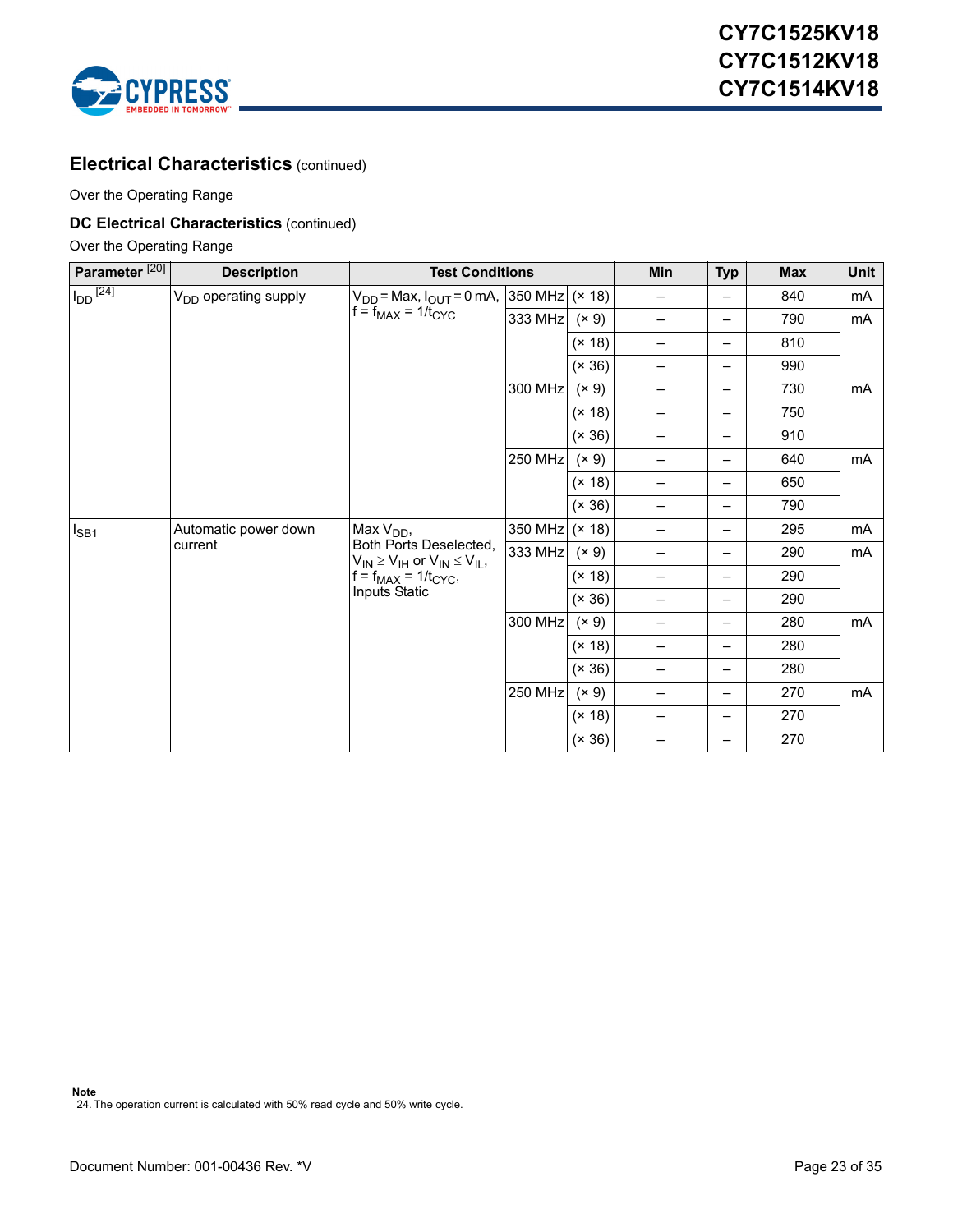

### **Electrical Characteristics** (continued)

Over the Operating Range

### **DC Electrical Characteristics** (continued)

Over the Operating Range

| Parameter <sup>[20]</sup> | <b>Description</b>               | <b>Test Conditions</b>                                                                                                  |         |        | Min                      | <b>Typ</b>               | <b>Max</b> | Unit |
|---------------------------|----------------------------------|-------------------------------------------------------------------------------------------------------------------------|---------|--------|--------------------------|--------------------------|------------|------|
| $I_{DD}$ <sup>[24]</sup>  | V <sub>DD</sub> operating supply | $V_{DD}$ = Max, $I_{OUT}$ = 0 mA,  350 MHz (× 18)                                                                       |         |        | $\qquad \qquad -$        | —                        | 840        | mA   |
|                           |                                  | $f = f_{MAX} = 1/t_{CYC}$                                                                                               | 333 MHz | (x 9)  | $\qquad \qquad -$        | —                        | 790        | mA   |
|                           |                                  |                                                                                                                         |         | (x 18) | $\qquad \qquad -$        | -                        | 810        |      |
|                           |                                  |                                                                                                                         |         | (x 36) | -                        | -                        | 990        |      |
|                           |                                  |                                                                                                                         | 300 MHz | (x 9)  |                          | $\overline{\phantom{0}}$ | 730        | mA   |
|                           |                                  |                                                                                                                         |         | (x 18) | $\overline{\phantom{0}}$ | $\overline{\phantom{0}}$ | 750        |      |
|                           |                                  |                                                                                                                         |         | (x 36) | $\overline{\phantom{0}}$ | $\overline{\phantom{0}}$ | 910        |      |
|                           |                                  |                                                                                                                         | 250 MHz | (x 9)  | $\qquad \qquad -$        | —                        | 640        | mA   |
|                           |                                  |                                                                                                                         | (x 18)  |        | —                        | 650                      |            |      |
|                           |                                  |                                                                                                                         |         | (x 36) | -                        | -                        | 790        |      |
| $I_{SB1}$                 | Automatic power down<br>current  | Max $V_{DD}$ ,<br>Both Ports Deselected,<br>$V_{IN} \geq V_{IH}$ or $V_{IN} \leq V_{IL}$ ,<br>$f = f_{MAX} = 1/t_{CYC}$ | 350 MHz | (x 18) | $\overline{\phantom{0}}$ | —                        | 295        | mA   |
|                           |                                  |                                                                                                                         | 333 MHz | (x 9)  | $\qquad \qquad$          | $\overline{\phantom{0}}$ | 290        | mA   |
|                           |                                  |                                                                                                                         |         | (x 18) | —                        | $\overline{\phantom{0}}$ | 290        |      |
|                           |                                  | Inputs Static                                                                                                           |         | (x 36) |                          | $\overline{\phantom{0}}$ | 290        |      |
|                           |                                  |                                                                                                                         | 300 MHz | (x 9)  | $\qquad \qquad -$        | —                        | 280        | mA   |
|                           |                                  |                                                                                                                         |         | (x 18) | $\qquad \qquad$          | —                        | 280        |      |
|                           |                                  |                                                                                                                         |         | (x 36) | $\qquad \qquad -$        | $\overline{\phantom{0}}$ | 280        |      |
|                           |                                  |                                                                                                                         | 250 MHz | (x 9)  | $\overline{\phantom{0}}$ | $\overline{\phantom{0}}$ | 270        | mA   |
|                           |                                  |                                                                                                                         |         | (x 18) | $\qquad \qquad -$        | $\overline{\phantom{0}}$ | 270        |      |
|                           |                                  |                                                                                                                         |         | (x 36) |                          | -                        | 270        |      |

<span id="page-22-0"></span>**Note** 24. The operation current is calculated with 50% read cycle and 50% write cycle.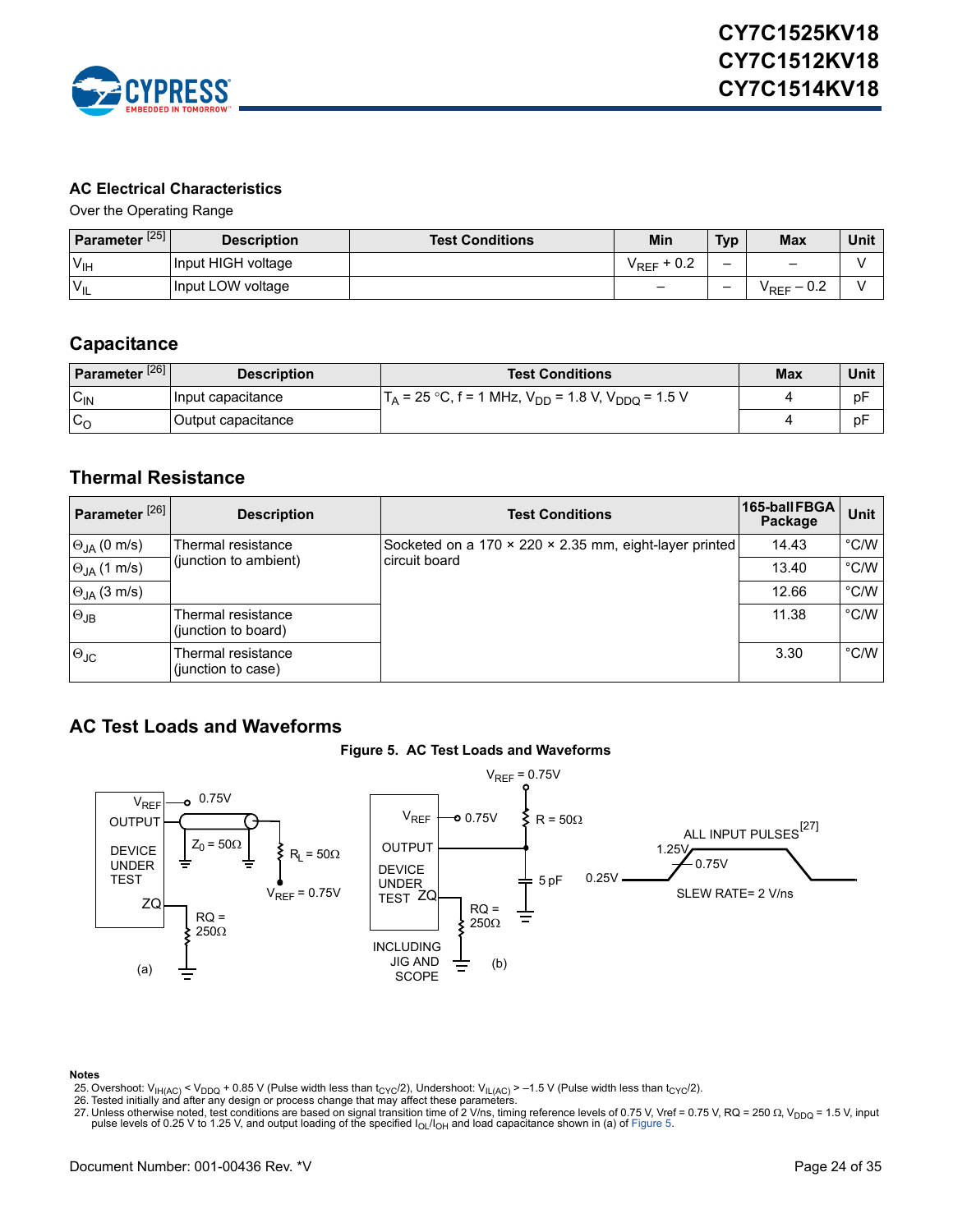

### <span id="page-23-0"></span>**AC Electrical Characteristics**

Over the Operating Range

| Parameter <sup>[25]</sup> | <b>Description</b> | <b>Test Conditions</b> | Min                        | <b>Typ</b> | <b>Max</b>                                          | Unit |
|---------------------------|--------------------|------------------------|----------------------------|------------|-----------------------------------------------------|------|
| $V_{\text{IH}}$           | Input HIGH voltage |                        | $+0.2$<br><sup>V</sup> REF | -          | $\qquad \qquad \blacksquare$                        |      |
| $V_{IL}$                  | Input LOW voltage  |                        | -                          | -          | 0.2<br><sup>V</sup> REF<br>$\overline{\phantom{0}}$ |      |

### <span id="page-23-1"></span>**Capacitance**

| Parameter <sup>[26]</sup> | <b>Description</b> | <b>Test Conditions</b>                                                      | <b>Max</b> | Unit |
|---------------------------|--------------------|-----------------------------------------------------------------------------|------------|------|
| $C_{\text{IN}}$           | Input capacitance  | $T_A$ = 25 °C, f = 1 MHz, V <sub>DD</sub> = 1.8 V, V <sub>DDQ</sub> = 1.5 V |            | рF   |
| $c_{\rm o}$               | Output capacitance |                                                                             |            | рF   |

### <span id="page-23-2"></span>**Thermal Resistance**

| Parameter <sup>[26]</sup> | <b>Description</b>                        | <b>Test Conditions</b>                                 | 165-ball FBGA<br>Package | <b>Unit</b>   |
|---------------------------|-------------------------------------------|--------------------------------------------------------|--------------------------|---------------|
| $\Theta_{JA}$ (0 m/s)     | Thermal resistance                        | Socketed on a 170 × 220 × 2.35 mm, eight-layer printed | 14.43                    | $\degree$ C/W |
| $\Theta_{JA}$ (1 m/s)     | (junction to ambient)                     | circuit board                                          | 13.40                    | $\degree$ C/W |
| $\Theta_{JA}$ (3 m/s)     |                                           |                                                        | 12.66                    | $\degree$ C/W |
| $\Theta$ JB               | Thermal resistance<br>(junction to board) |                                                        | 11.38                    | $\degree$ C/W |
| $\Theta_{\text{JC}}$      | Thermal resistance<br>(junction to case)  |                                                        | 3.30                     | $\degree$ C/W |

### <span id="page-23-6"></span><span id="page-23-3"></span>**AC Test Loads and Waveforms**





#### **Notes**

<span id="page-23-4"></span>25. Overshoot: V<sub>IH(AC)</sub> < V<sub>DDQ</sub> + 0.85 V (Pulse width less than t<sub>CYC</sub>/2), Undershoot: V<sub>IL(AC)</sub> > –1.5 V (Pulse width less than t<sub>CYC</sub>/2).<br>26. Tested initially and after any design or process change that may affect thes

- <span id="page-23-7"></span>
- <span id="page-23-5"></span>27. Unless otherwise noted, test conditions are based on signal transition time of 2 V/ns, timing reference levels of 0.75 V, Vref = 0.75 V, RQ = 250 Ω, V<sub>DDQ</sub> = 1.5 V, input<br>pulse levels of 0.25 V to 1.25 V, and output l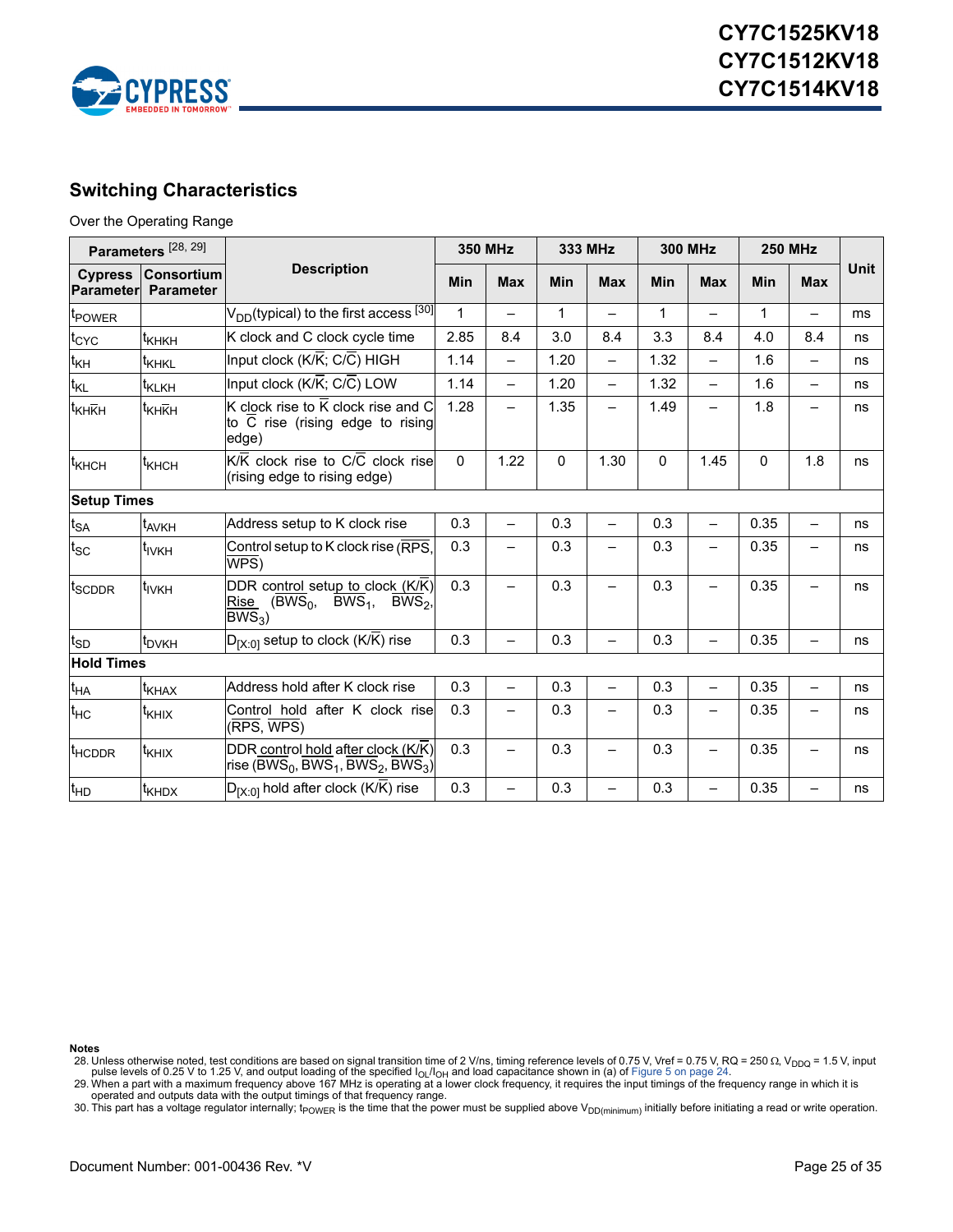

### <span id="page-24-0"></span>**Switching Characteristics**

#### Over the Operating Range

| Parameters <sup>[28, 29]</sup> |                                       |                                                                                                                         | <b>350 MHz</b> |                          | 333 MHz      |                          | <b>300 MHz</b> |                          | <b>250 MHz</b> |                          |             |
|--------------------------------|---------------------------------------|-------------------------------------------------------------------------------------------------------------------------|----------------|--------------------------|--------------|--------------------------|----------------|--------------------------|----------------|--------------------------|-------------|
| <b>Cypress</b><br>Parameterl   | <b>Consortium</b><br><b>Parameter</b> | <b>Description</b>                                                                                                      |                | <b>Max</b>               | Min          | <b>Max</b>               | Min            | <b>Max</b>               | Min            | <b>Max</b>               | <b>Unit</b> |
| t <sub>POWER</sub>             |                                       | V <sub>DD</sub> (typical) to the first access <sup>[30]</sup> ]                                                         | $\mathbf{1}$   |                          | $\mathbf{1}$ | $\overline{\phantom{0}}$ | $\mathbf{1}$   | $\overline{\phantom{0}}$ | $\mathbf{1}$   | $\overline{\phantom{0}}$ | ms          |
| t <sub>CYC</sub>               | t <sub>КНКН</sub>                     | K clock and C clock cycle time                                                                                          | 2.85           | 8.4                      | 3.0          | 8.4                      | 3.3            | 8.4                      | 4.0            | 8.4                      | ns          |
| t <sub>KH</sub>                | t <sub>KHKL</sub>                     | Input clock (K/K; C/C) HIGH                                                                                             | 1.14           | $\overline{\phantom{m}}$ | 1.20         | $\overline{\phantom{0}}$ | 1.32           | $\equiv$                 | 1.6            | $\overline{\phantom{0}}$ | ns          |
| $t_{\mathsf{KL}}$              | t <sub>KLKH</sub>                     | Input clock (K/K; C/C) LOW                                                                                              | 1.14           | $\qquad \qquad -$        | 1.20         | $\overline{\phantom{0}}$ | 1.32           | $\overline{\phantom{0}}$ | 1.6            | $\overline{\phantom{0}}$ | ns          |
| t <sub>KHKH</sub>              | t <sub>KHKH</sub>                     | K clock rise to K clock rise and C<br>to C rise (rising edge to rising<br>edge)                                         | 1.28           | $\overline{\phantom{m}}$ | 1.35         | $\overline{\phantom{0}}$ | 1.49           | $\overline{\phantom{0}}$ | 1.8            | $\overline{\phantom{0}}$ | ns          |
| <sup>1</sup> кнсн              | <sup>t</sup> кнсн                     | K/K clock rise to C/C clock rise<br>(rising edge to rising edge)                                                        | $\mathbf{0}$   | 1.22                     | $\Omega$     | 1.30                     | 0              | 1.45                     | $\Omega$       | 1.8                      | ns          |
| <b>Setup Times</b>             |                                       |                                                                                                                         |                |                          |              |                          |                |                          |                |                          |             |
| $\mathfrak{t}_{\mathsf{SA}}$   | t <sub>AVKH</sub>                     | Address setup to K clock rise                                                                                           | 0.3            | $\overline{\phantom{0}}$ | 0.3          | $\overline{\phantom{0}}$ | 0.3            | $\overline{\phantom{0}}$ | 0.35           | $\overline{\phantom{0}}$ | ns          |
| $t_{\rm SC}$                   | t <sub>IVKH</sub>                     | Control setup to K clock rise (RPS,<br>WPS)                                                                             | 0.3            |                          | 0.3          | $\overline{\phantom{0}}$ | 0.3            | $\overline{\phantom{0}}$ | 0.35           | —                        | ns          |
| <sup>t</sup> SCDDR             | t <sub>ivkh</sub>                     | DDR control setup to clock (K/K)<br>Rise $(BWS_0, BWS_1, BWS_2,$<br>$BWS3$ )                                            | 0.3            | $\overline{\phantom{0}}$ | 0.3          | $\overline{\phantom{0}}$ | 0.3            | —                        | 0.35           |                          | ns          |
| t <sub>SD</sub>                | t <sub>DVKH</sub>                     | $D_{[X:0]}$ setup to clock (K/K) rise                                                                                   | 0.3            | $\overline{\phantom{0}}$ | 0.3          | Ξ.                       | 0.3            |                          | 0.35           | $\overline{\phantom{0}}$ | ns          |
| <b>Hold Times</b>              |                                       |                                                                                                                         |                |                          |              |                          |                |                          |                |                          |             |
| t <sub>HA</sub>                | t <sub>KHAX</sub>                     | Address hold after K clock rise                                                                                         | 0.3            | $\equiv$                 | 0.3          | $\overline{\phantom{0}}$ | 0.3            | $\overline{\phantom{0}}$ | 0.35           | $\overline{\phantom{0}}$ | ns          |
| $t_{HC}$                       | t <sub>KHIX</sub>                     | Control hold after K clock rise<br>(RPS, WPS)                                                                           | 0.3            | $\overline{\phantom{0}}$ | 0.3          | —                        | 0.3            |                          | 0.35           | —                        | ns          |
| <sup>t</sup> HCDDR             | t <sub>KHIX</sub>                     | DDR control hold after clock (K/K)<br>rise (BWS <sub>0</sub> , BWS <sub>1</sub> , BWS <sub>2</sub> , BWS <sub>3</sub> ) | 0.3            | $\qquad \qquad -$        | 0.3          | -                        | 0.3            | —                        | 0.35           | $\overline{\phantom{0}}$ | ns          |
| t <sub>HD</sub>                | t <sub>KHDX</sub>                     | $D_{[X:0]}$ hold after clock (K/ $\overline{K}$ ) rise                                                                  | 0.3            | $\overline{\phantom{0}}$ | 0.3          | $\overline{\phantom{0}}$ | 0.3            | —                        | 0.35           | $\overline{\phantom{0}}$ | ns          |

**Notes**

<span id="page-24-3"></span>

<span id="page-24-1"></span>30. This part has a voltage regulator internally;  $t_{\rm POWER}$  is the time that the power must be supplied above V<sub>DD(minimum)</sub> initially before initiating a read or write operation.

<span id="page-24-2"></span><sup>28.</sup> Unless otherwise noted, test conditions are based on signal transition time of 2 V/ns, timing reference levels of 0.75 V, Vref = 0.75 V, RQ = 250 Ω, V<sub>DDQ</sub> = 1.5 V, input<br>pulse levels of 0.25 V to 1.25 V, and output l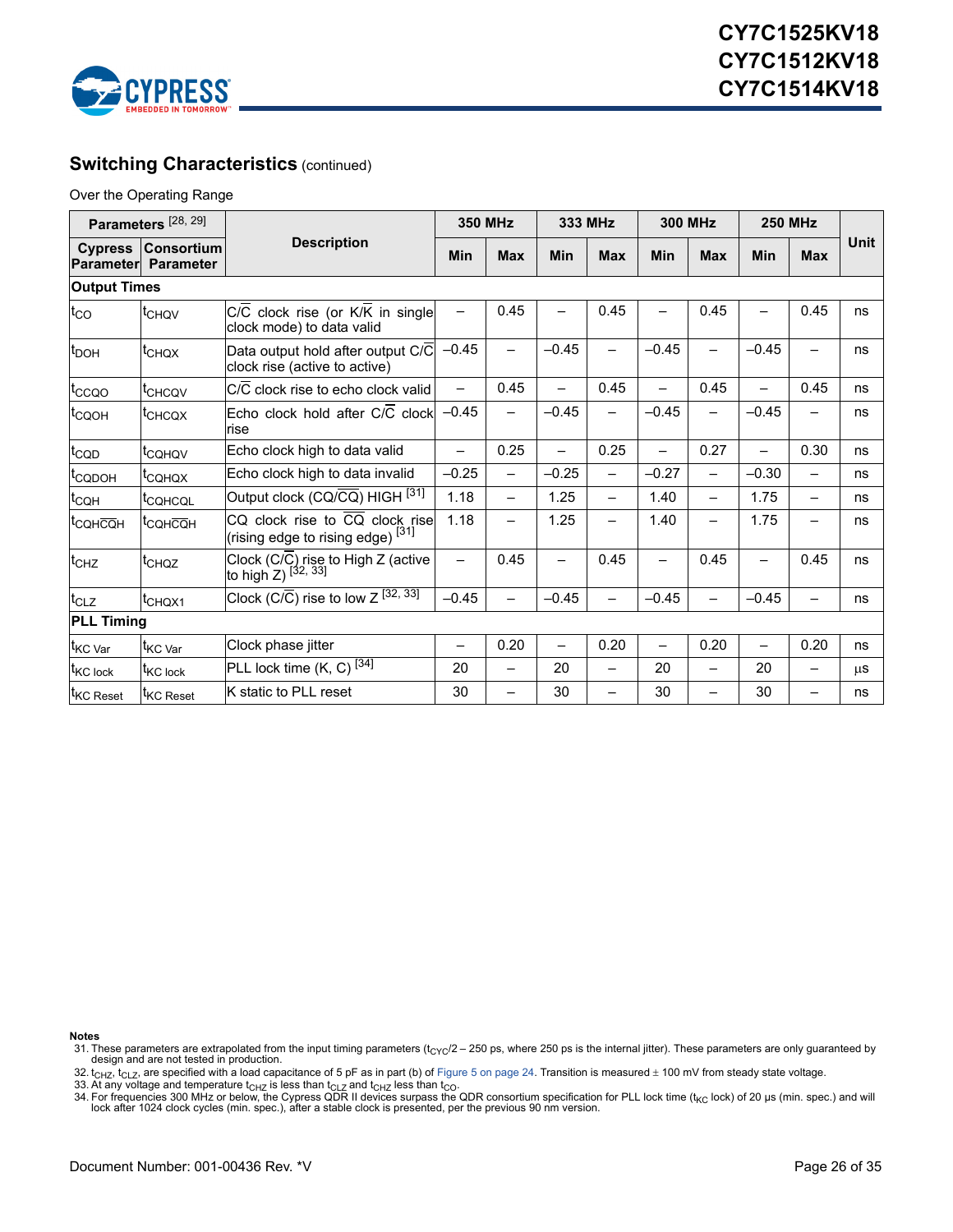

### **Switching Characteristics (continued)**

Over the Operating Range

| Parameters <sup>[28, 29]</sup> |                                       |                                                                                | <b>350 MHz</b>           |                          | 333 MHz                  |                          | <b>300 MHz</b>           |                          | <b>250 MHz</b>           |                          |             |
|--------------------------------|---------------------------------------|--------------------------------------------------------------------------------|--------------------------|--------------------------|--------------------------|--------------------------|--------------------------|--------------------------|--------------------------|--------------------------|-------------|
| <b>Cypress</b><br>Parameterl   | <b>Consortium</b><br><b>Parameter</b> | <b>Description</b>                                                             |                          | <b>Max</b>               | Min                      | <b>Max</b>               | Min                      | <b>Max</b>               | Min                      | <b>Max</b>               | <b>Unit</b> |
| <b>Output Times</b>            |                                       |                                                                                |                          |                          |                          |                          |                          |                          |                          |                          |             |
| $t_{\rm CO}$                   | <sup>t</sup> CHQV                     | C/C clock rise (or K/K in single<br>clock mode) to data valid                  |                          | 0.45                     |                          | 0.45                     |                          | 0.45                     |                          | 0.45                     | ns          |
| <b>t</b> <sub>DOH</sub>        | <sup>t</sup> CHQX                     | Data output hold after output C/C<br>clock rise (active to active)             | $-0.45$                  | $\overline{\phantom{0}}$ | $-0.45$                  | $\qquad \qquad -$        | $-0.45$                  | —                        | $-0.45$                  | $\overline{\phantom{0}}$ | ns          |
| t <sub>ccoo</sub>              | <sup>t</sup> CHCQV                    | C/C clock rise to echo clock valid                                             | $\overline{\phantom{0}}$ | 0.45                     |                          | 0.45                     |                          | 0.45                     | $\overline{\phantom{0}}$ | 0.45                     | ns          |
| <sup>t</sup> CQOH              | <sup>t</sup> CHCQX                    | Echo clock hold after C/C clock<br><b>rise</b>                                 | $-0.45$                  | $\overline{\phantom{0}}$ | $-0.45$                  | $\overline{\phantom{0}}$ | $-0.45$                  | —                        | $-0.45$                  | $\overline{\phantom{0}}$ | ns          |
| t <sub>CQD</sub>               | <sup>t</sup> соноv                    | Echo clock high to data valid                                                  | $\overline{\phantom{0}}$ | 0.25                     | $\overline{\phantom{0}}$ | 0.25                     | $\overline{\phantom{0}}$ | 0.27                     | $\overline{\phantom{0}}$ | 0.30                     | ns          |
| <sup>I</sup> CQDOH             | <sup>т</sup> сонох                    | Echo clock high to data invalid                                                | $-0.25$                  | $\qquad \qquad -$        | $-0.25$                  | $\overline{\phantom{0}}$ | $-0.27$                  |                          | $-0.30$                  | $\overline{\phantom{0}}$ | ns          |
| t <sub>CQH</sub>               | <sup>T</sup> CQHCQL                   | Output clock (CQ/ $\overline{CQ}$ ) HIGH $^{[31]}$                             | 1.18                     | $\qquad \qquad -$        | 1.25                     | $\qquad \qquad -$        | 1.40                     | —                        | 1.75                     | $\overline{\phantom{0}}$ | ns          |
| <sup>t</sup> coнcoн            | <sup>т</sup> сонсон                   | CQ clock rise to CQ clock rise<br>(rising edge to rising edge) <sup>[31]</sup> | 1.18                     |                          | 1.25                     |                          | 1.40                     | —                        | 1.75                     |                          | ns          |
| t <sub>CHZ</sub>               | <sup>t</sup> CHQZ                     | Clock (C/C) rise to High Z (active<br>to high Z) <sup>[32, 33]</sup>           | $\overline{\phantom{0}}$ | 0.45                     | $\qquad \qquad$          | 0.45                     | $\overline{\phantom{0}}$ | 0.45                     | $\overline{\phantom{0}}$ | 0.45                     | ns          |
| $t_{CLZ}$                      | t <sub>CHQX1</sub>                    | Clock (C/C) rise to low $Z^{\overline{[32,33]}}$                               | $-0.45$                  | $\overline{\phantom{0}}$ | $-0.45$                  | $\qquad \qquad -$        | $-0.45$                  | $\overline{\phantom{0}}$ | $-0.45$                  | $\overline{\phantom{m}}$ | ns          |
| <b>PLL Timing</b>              |                                       |                                                                                |                          |                          |                          |                          |                          |                          |                          |                          |             |
| t <sub>KC Var</sub>            | <sup>T</sup> KC Var                   | Clock phase jitter                                                             | $\overline{\phantom{0}}$ | 0.20                     | $\overline{\phantom{0}}$ | 0.20                     | $\overline{\phantom{0}}$ | 0.20                     |                          | 0.20                     | ns          |
| <sup>t</sup> KC lock           | <sup>T</sup> KC lock                  | PLL lock time (K, C) <sup>[34]</sup>                                           | 20                       | $\qquad \qquad -$        | 20                       | $\qquad \qquad -$        | 20                       | $\overline{\phantom{0}}$ | 20                       | $\overline{\phantom{0}}$ | <b>us</b>   |
| <sup>t</sup> KC Reset          | <sup>I</sup> KC Reset                 | K static to PLL reset                                                          | 30                       | $\overline{\phantom{0}}$ | 30                       | $\overline{\phantom{0}}$ | 30                       | -                        | 30                       |                          | ns          |

**Notes**

- <span id="page-25-0"></span>31. These parameters are extrapolated from the input timing parameters ( $t_{\rm CYC}/2 - 250$  ps, where 250 ps is the internal jitter). These parameters are only guaranteed by design and are not tested in production.
- <span id="page-25-1"></span>32. t<sub>CHZ</sub>, t<sub>CLZ</sub>, are specified with a load capacitance of 5 pF as in part (b) of [Figure 5 on page 24](#page-23-6). Transition is measured ± 100 mV from steady state voltage.
- <span id="page-25-3"></span>

<span id="page-25-2"></span>33. At any voltage and temperature t<sub>CHZ</sub> is less than t<sub>CLZ</sub> and t<sub>CHZ</sub> less than t<sub>CO</sub>.<br>34. For frequencies 300 MHz or below, the Cypress QDR II devices surpass the QDR consortium specification for PLL lock time (t<sub>KC</sub> l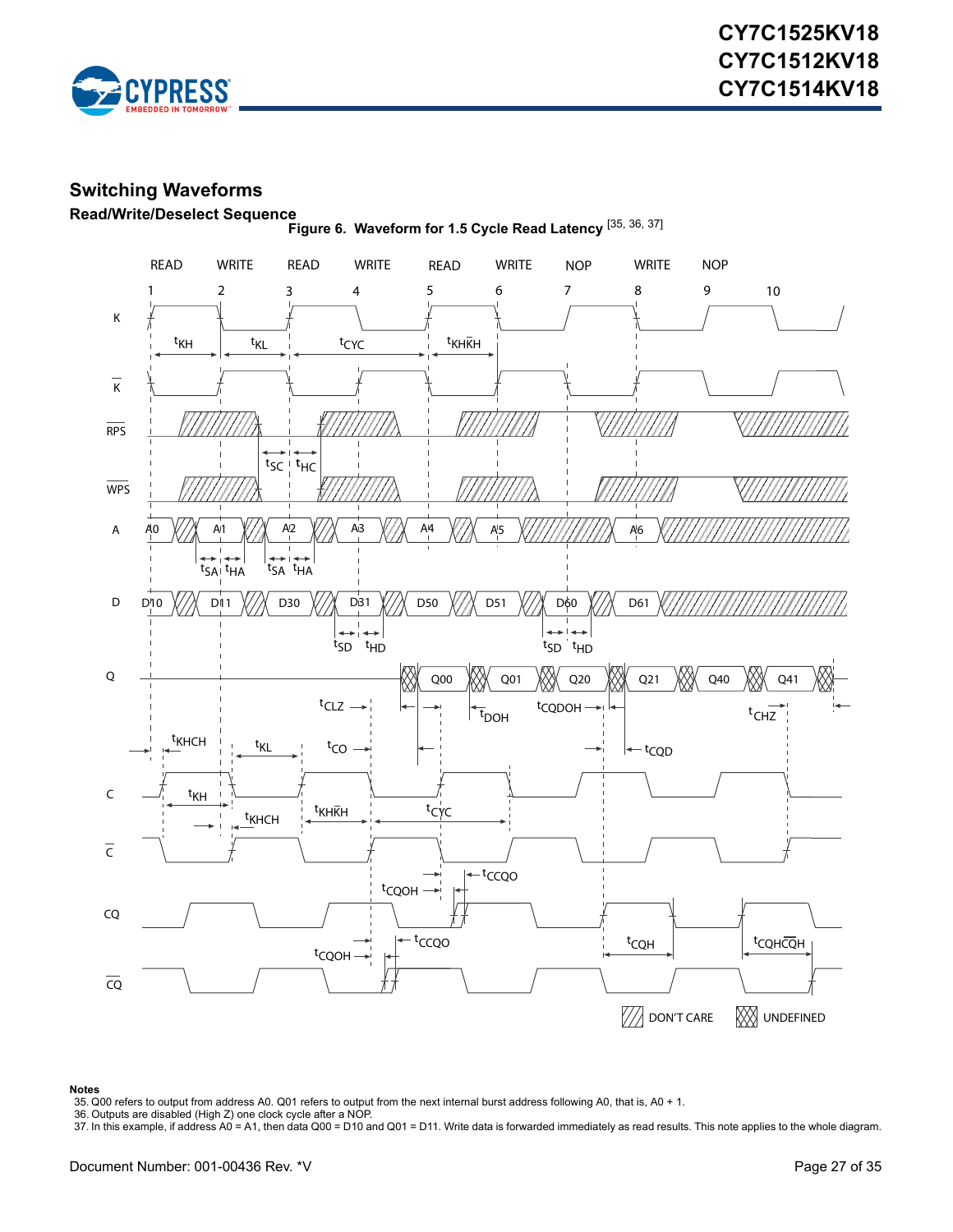

### <span id="page-26-0"></span>**Switching Waveforms**



<span id="page-26-5"></span><span id="page-26-1"></span>**Read/Write/Deselect Sequence Figure 6. Waveform for 1.5 Cycle Read Latency** [\[35](#page-26-4), [36](#page-26-2), [37](#page-26-3)]

#### **Notes**

<span id="page-26-2"></span>

<span id="page-26-4"></span><sup>35.</sup> Q00 refers to output from address A0. Q01 refers to output from the next internal burst address following A0, that is, A0 + 1. 36. Outputs are disabled (High Z) one clock cycle after a NOP.

<span id="page-26-3"></span><sup>37.</sup> In this example, if address A0 = A1, then data Q00 = D10 and Q01 = D11. Write data is forwarded immediately as read results. This note applies to the whole diagram.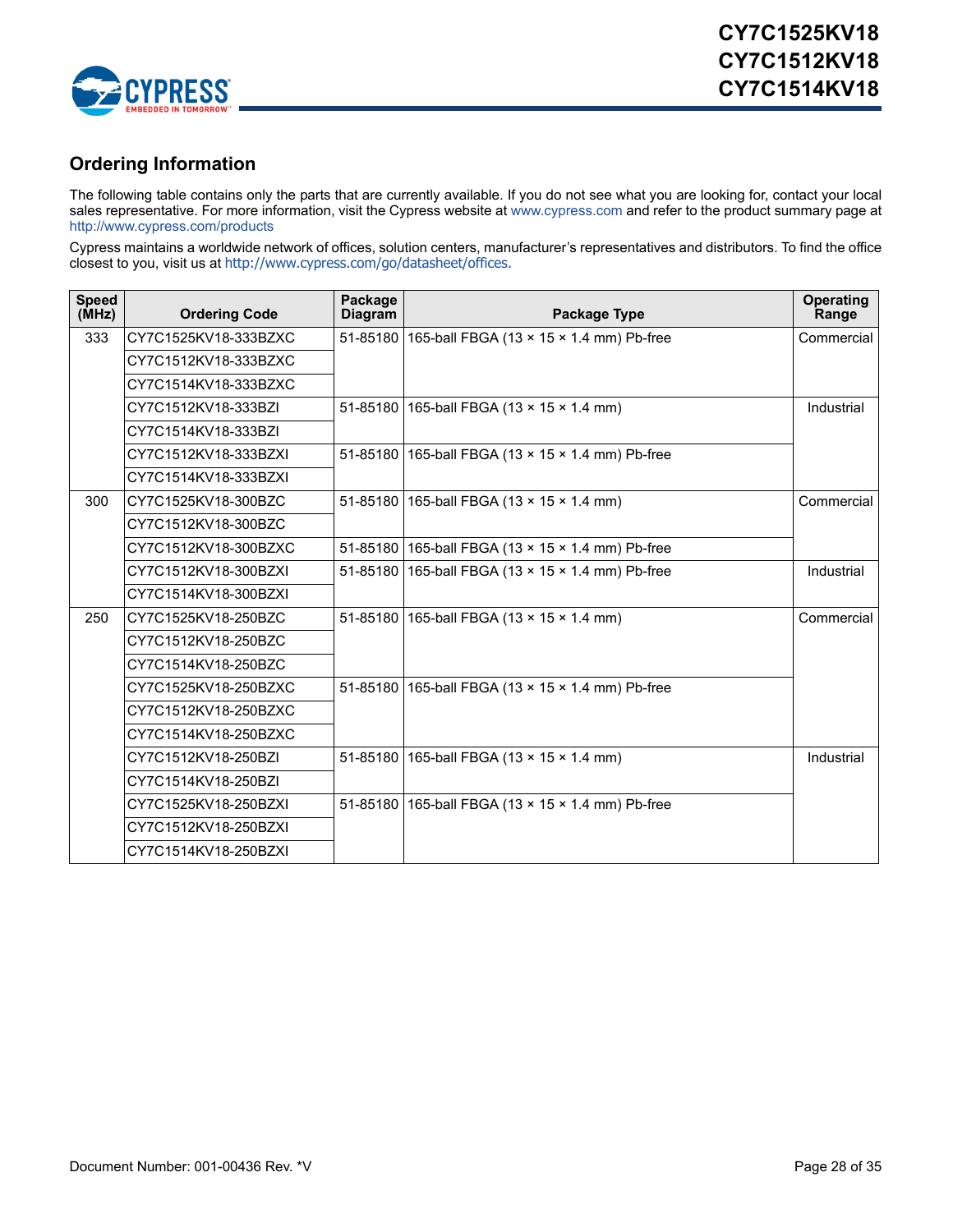

### <span id="page-27-0"></span>**Ordering Information**

The following table contains only the parts that are currently available. If you do not see what you are looking for, contact your local sales representative. For more information, visit the Cypress website at [www.cypress.com](http://www.cypress.com) and refer to the product summary page at [http://www.cypress.com/products](http://www.cypress.com/products/)

Cypress maintains a worldwide network of offices, solution centers, manufacturer's representatives and distributors. To find the office closest to you, visit us at [http://www.cypress.com/go/datasheet/offices.](http://www.cypress.com/go/datasheet/offices)

| <b>Speed</b><br>(MHz) | <b>Ordering Code</b> | Package<br><b>Diagram</b> | Package Type                                      | <b>Operating</b><br>Range |
|-----------------------|----------------------|---------------------------|---------------------------------------------------|---------------------------|
| 333                   | CY7C1525KV18-333BZXC |                           | 51-85180 165-ball FBGA (13 x 15 x 1.4 mm) Pb-free | Commercial                |
|                       | CY7C1512KV18-333BZXC |                           |                                                   |                           |
|                       | CY7C1514KV18-333BZXC |                           |                                                   |                           |
|                       | CY7C1512KV18-333BZI  |                           | 51-85180 165-ball FBGA (13 x 15 x 1.4 mm)         | Industrial                |
|                       | CY7C1514KV18-333BZI  |                           |                                                   |                           |
|                       | CY7C1512KV18-333BZXI |                           | 51-85180 165-ball FBGA (13 x 15 x 1.4 mm) Pb-free |                           |
|                       | CY7C1514KV18-333BZXI |                           |                                                   |                           |
| 300                   | CY7C1525KV18-300BZC  |                           | 51-85180 165-ball FBGA (13 x 15 x 1.4 mm)         | Commercial                |
|                       | CY7C1512KV18-300BZC  |                           |                                                   |                           |
|                       | CY7C1512KV18-300BZXC |                           | 51-85180 165-ball FBGA (13 x 15 x 1.4 mm) Pb-free |                           |
|                       | CY7C1512KV18-300BZXI |                           | 51-85180 165-ball FBGA (13 x 15 x 1.4 mm) Pb-free | Industrial                |
|                       | CY7C1514KV18-300BZXI |                           |                                                   |                           |
| 250                   | CY7C1525KV18-250BZC  |                           | 51-85180 165-ball FBGA (13 x 15 x 1.4 mm)         | Commercial                |
|                       | CY7C1512KV18-250BZC  |                           |                                                   |                           |
|                       | CY7C1514KV18-250BZC  |                           |                                                   |                           |
|                       | CY7C1525KV18-250BZXC |                           | 51-85180 165-ball FBGA (13 x 15 x 1.4 mm) Pb-free |                           |
|                       | CY7C1512KV18-250BZXC |                           |                                                   |                           |
|                       | CY7C1514KV18-250BZXC |                           |                                                   |                           |
|                       | CY7C1512KV18-250BZI  |                           | 51-85180 165-ball FBGA (13 x 15 x 1.4 mm)         | Industrial                |
|                       | CY7C1514KV18-250BZI  |                           |                                                   |                           |
|                       | CY7C1525KV18-250BZXI |                           | 51-85180 165-ball FBGA (13 x 15 x 1.4 mm) Pb-free |                           |
|                       | CY7C1512KV18-250BZXI |                           |                                                   |                           |
|                       | CY7C1514KV18-250BZXI |                           |                                                   |                           |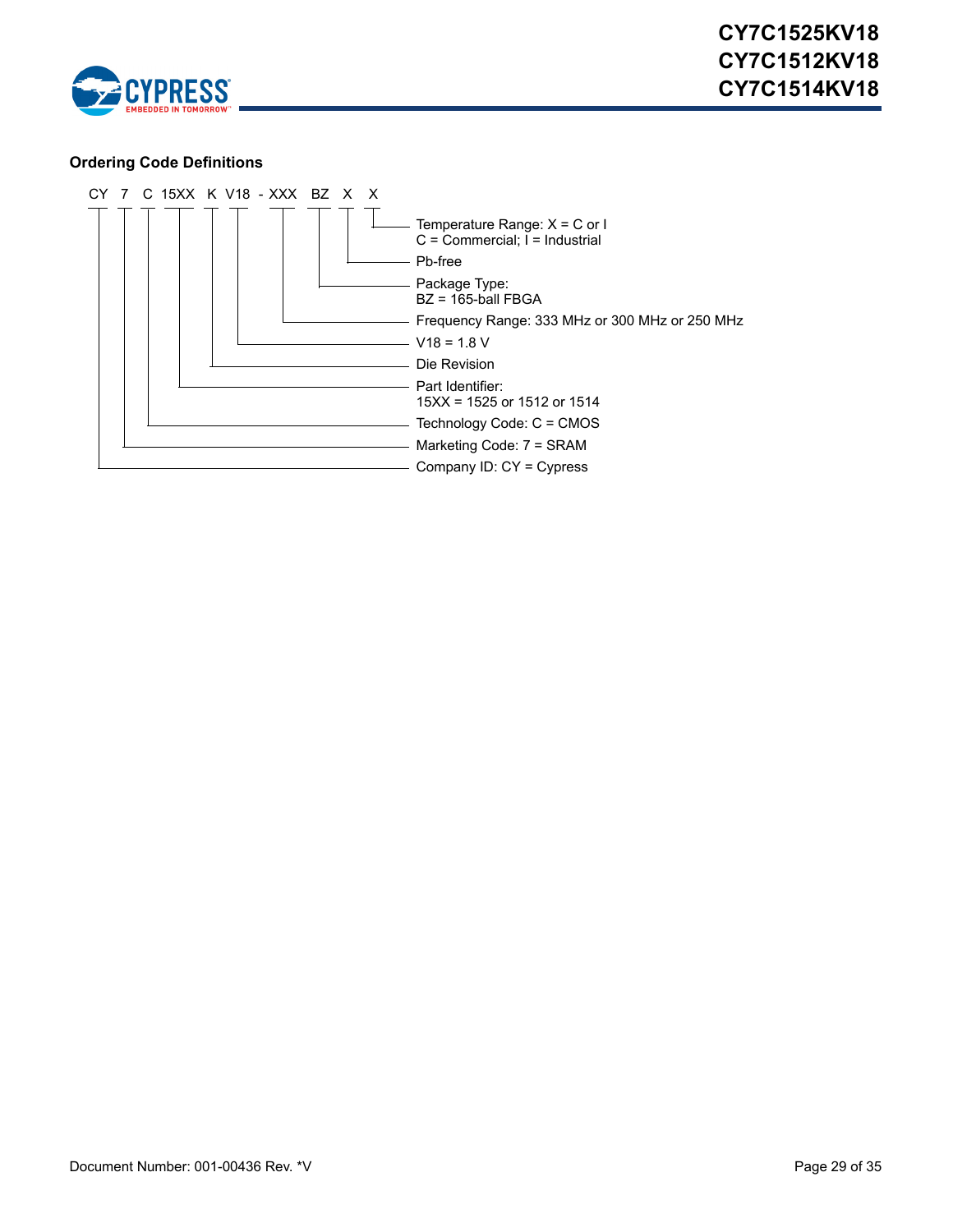

### <span id="page-28-0"></span>**Ordering Code Definitions**

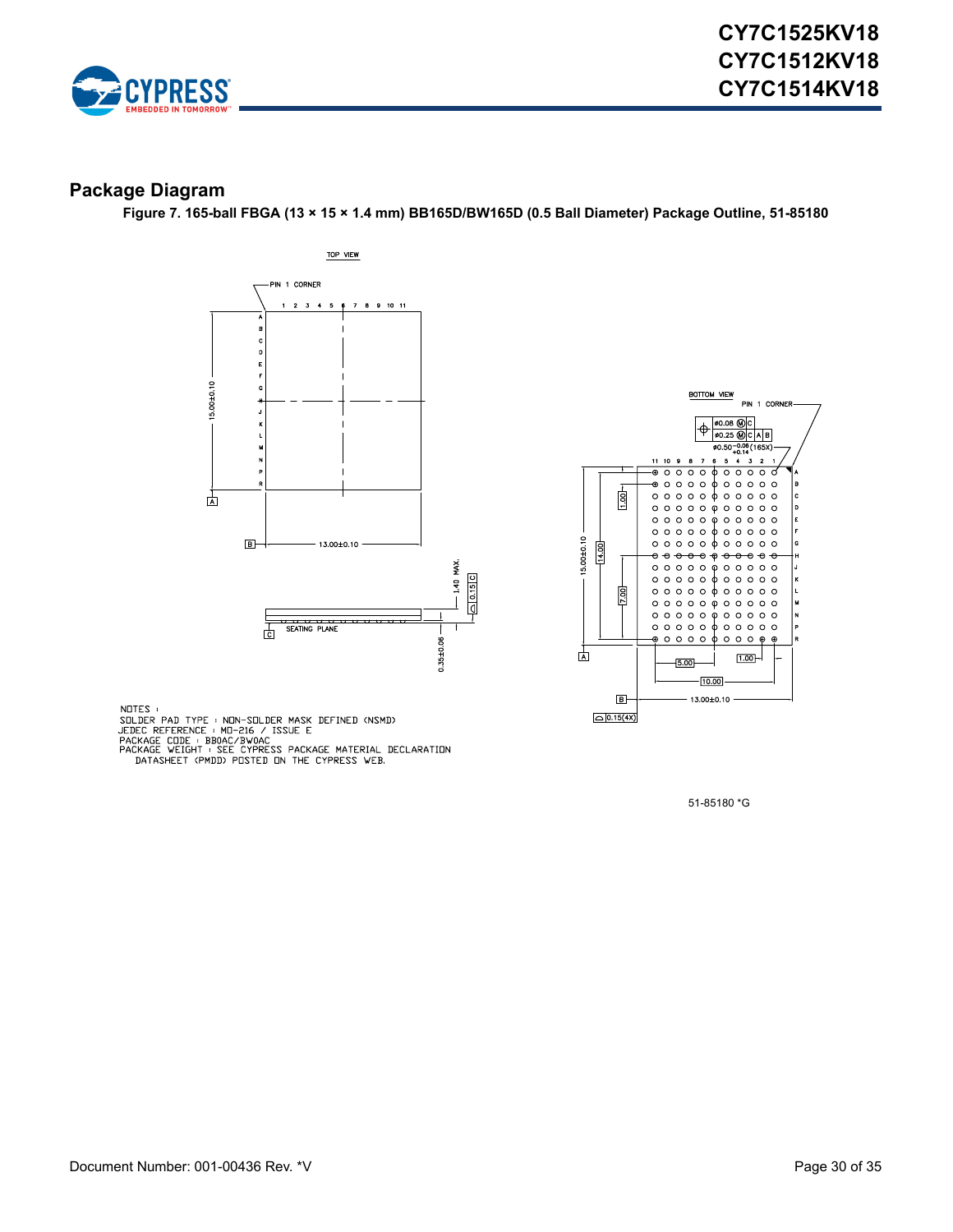![](_page_29_Picture_0.jpeg)

### <span id="page-29-0"></span>**Package Diagram**

**Figure 7. 165-ball FBGA (13 × 15 × 1.4 mm) BB165D/BW165D (0.5 Ball Diameter) Package Outline, 51-85180**

![](_page_29_Figure_4.jpeg)

![](_page_29_Figure_5.jpeg)

NOTES :<br>SOLDER PAD TYPE : NON-SOLDER MASK DEFINED (NSMD)<br>JEDEC REFERENCE : MO-216 / ISSUE E<br>PACKAGE CODE : BBOAC/BVOAC<br>PACKAGE WEIGHT : SEE CYPRESS PACKAGE MATERIAL DECLARATION<br>DATASHEET (PMDD) POSTED ON THE CYPRESS WEB.

51-85180 \*G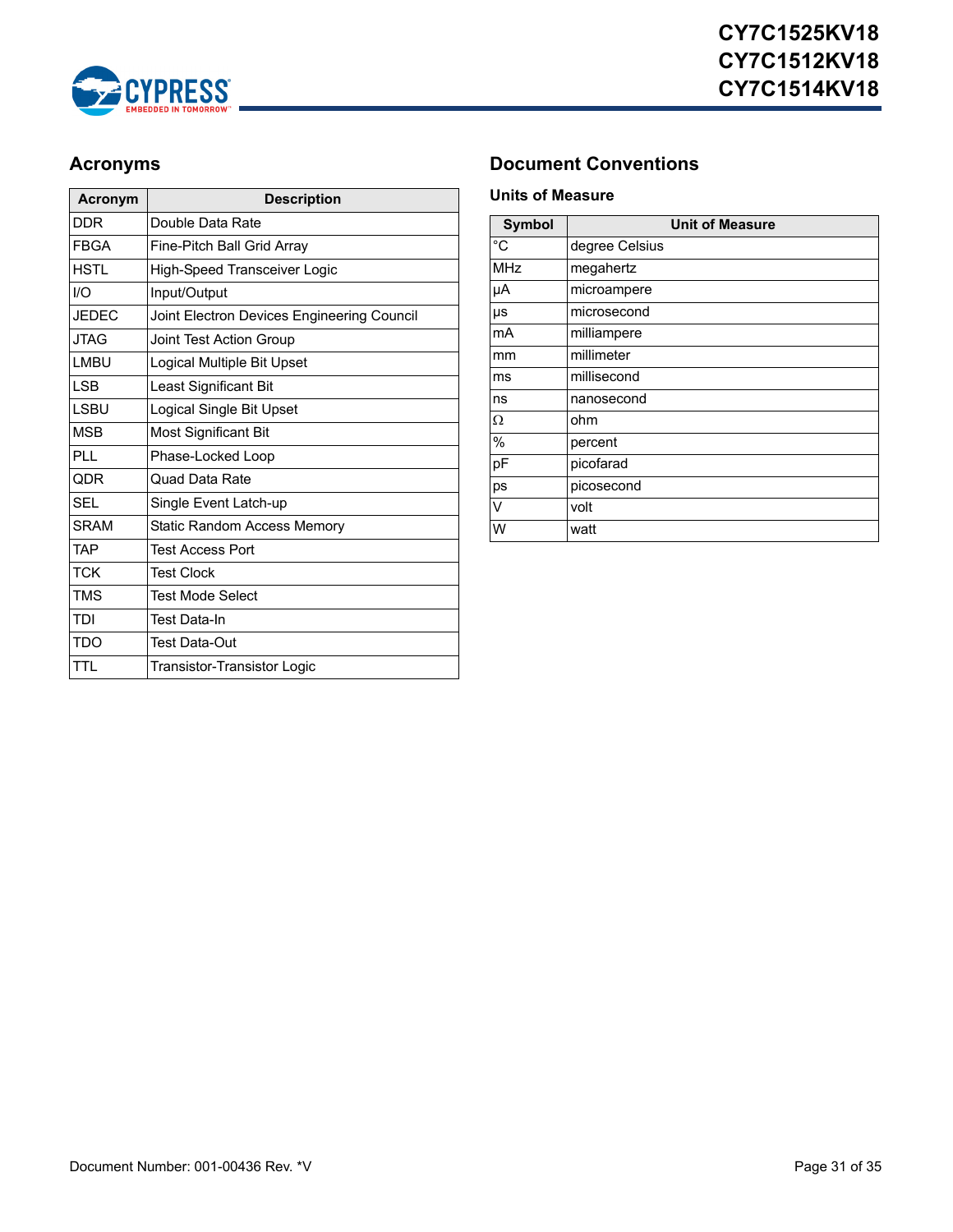![](_page_30_Picture_0.jpeg)

| <b>Acronym</b> | <b>Description</b>                         |
|----------------|--------------------------------------------|
| <b>DDR</b>     | Double Data Rate                           |
| <b>FBGA</b>    | Fine-Pitch Ball Grid Array                 |
| HSTI           | <b>High-Speed Transceiver Logic</b>        |
| 1/O            | Input/Output                               |
| <b>JEDEC</b>   | Joint Electron Devices Engineering Council |
| <b>JTAG</b>    | Joint Test Action Group                    |
| LMBU           | Logical Multiple Bit Upset                 |
| I SB           | Least Significant Bit                      |
| I SBU          | Logical Single Bit Upset                   |
| <b>MSB</b>     | Most Significant Bit                       |
| PLI.           | Phase-Locked Loop                          |
| <b>QDR</b>     | Quad Data Rate                             |
| <b>SFI</b>     | Single Event Latch-up                      |
| <b>SRAM</b>    | Static Random Access Memory                |
| <b>TAP</b>     | <b>Test Access Port</b>                    |
| <b>TCK</b>     | <b>Test Clock</b>                          |
| <b>TMS</b>     | <b>Test Mode Select</b>                    |
| TDI            | <b>Test Data-In</b>                        |
| TDO            | <b>Test Data-Out</b>                       |
| TTL            | Transistor-Transistor Logic                |

## <span id="page-30-0"></span>**Acronyms Document Conventions**

#### <span id="page-30-2"></span><span id="page-30-1"></span>**Units of Measure**

| <b>Symbol</b> | <b>Unit of Measure</b> |
|---------------|------------------------|
| °C            | degree Celsius         |
| <b>MHz</b>    | megahertz              |
| μA            | microampere            |
| μs            | microsecond            |
| mA            | milliampere            |
| mm            | millimeter             |
| ms            | millisecond            |
| ns            | nanosecond             |
| Ω             | ohm                    |
| $\%$          | percent                |
| pF            | picofarad              |
| ps            | picosecond             |
| V             | volt                   |
| W             | watt                   |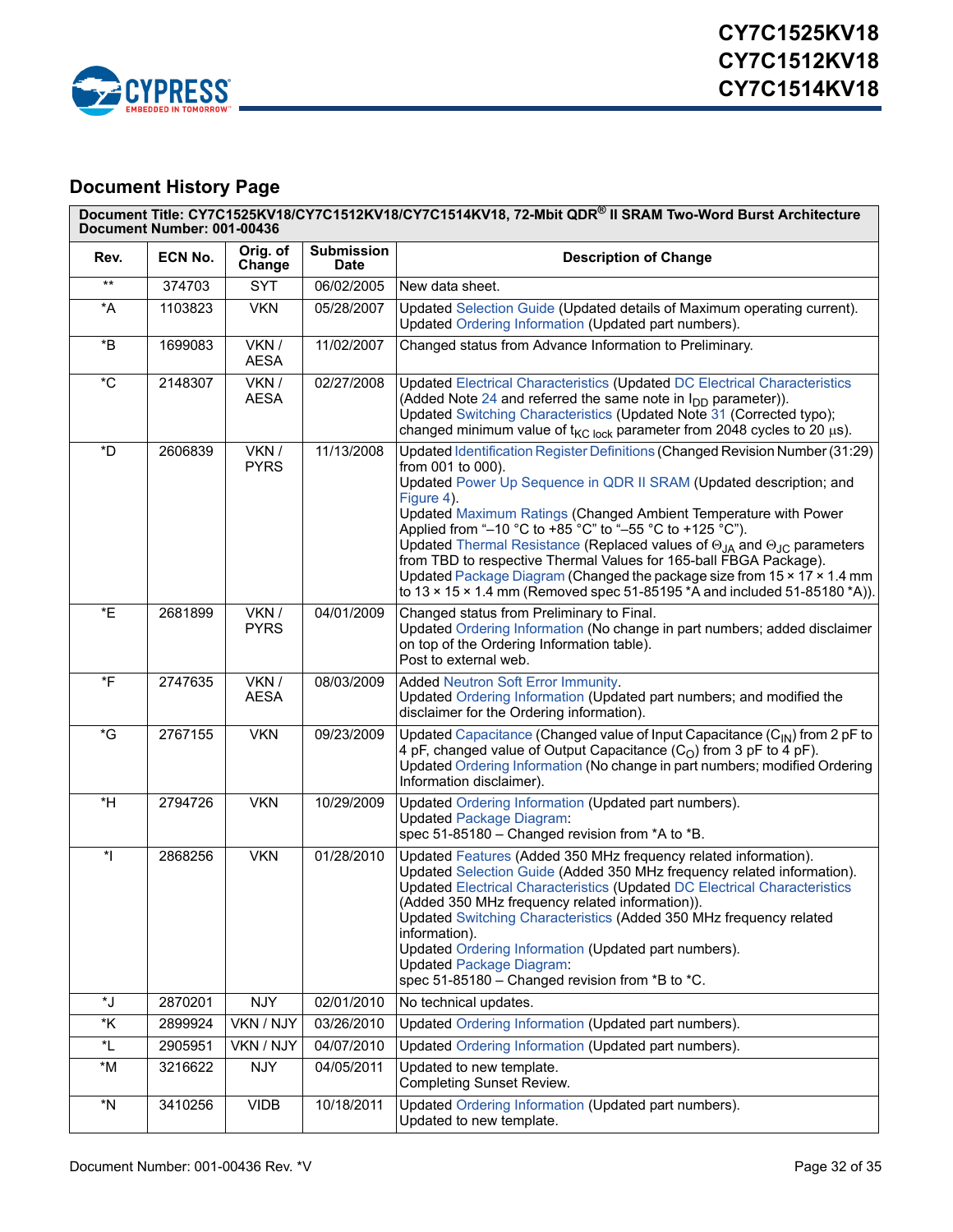![](_page_31_Picture_0.jpeg)

# <span id="page-31-0"></span>**Document History Page**

|                          | Document Title: CY7C1525KV18/CY7C1512KV18/CY7C1514KV18, 72-Mbit QDR® II SRAM Two-Word Burst Architecture<br>Document Number: 001-00436 |                      |                                  |                                                                                                                                                                                                                                                                                                                                                                                                                                                                                                                                                                                                                                                            |  |  |
|--------------------------|----------------------------------------------------------------------------------------------------------------------------------------|----------------------|----------------------------------|------------------------------------------------------------------------------------------------------------------------------------------------------------------------------------------------------------------------------------------------------------------------------------------------------------------------------------------------------------------------------------------------------------------------------------------------------------------------------------------------------------------------------------------------------------------------------------------------------------------------------------------------------------|--|--|
| Rev.                     | ECN No.                                                                                                                                | Orig. of<br>Change   | <b>Submission</b><br><b>Date</b> | <b>Description of Change</b>                                                                                                                                                                                                                                                                                                                                                                                                                                                                                                                                                                                                                               |  |  |
| $^{\star\star}$          | 374703                                                                                                                                 | <b>SYT</b>           | 06/02/2005                       | New data sheet.                                                                                                                                                                                                                                                                                                                                                                                                                                                                                                                                                                                                                                            |  |  |
| *A                       | 1103823                                                                                                                                | <b>VKN</b>           | 05/28/2007                       | Updated Selection Guide (Updated details of Maximum operating current).<br>Updated Ordering Information (Updated part numbers).                                                                                                                                                                                                                                                                                                                                                                                                                                                                                                                            |  |  |
| $\,{}^{\star}\mathsf{B}$ | 1699083                                                                                                                                | VKN /<br><b>AESA</b> | 11/02/2007                       | Changed status from Advance Information to Preliminary.                                                                                                                                                                                                                                                                                                                                                                                                                                                                                                                                                                                                    |  |  |
| $^\star\mathrm{C}$       | 2148307                                                                                                                                | VKN /<br><b>AESA</b> | 02/27/2008                       | Updated Electrical Characteristics (Updated DC Electrical Characteristics<br>(Added Note 24 and referred the same note in $I_{DD}$ parameter)).<br>Updated Switching Characteristics (Updated Note 31 (Corrected typo);<br>changed minimum value of $t_{\text{KC lock}}$ parameter from 2048 cycles to 20 $\mu$ s).                                                                                                                                                                                                                                                                                                                                        |  |  |
| *D                       | 2606839                                                                                                                                | VKN /<br><b>PYRS</b> | 11/13/2008                       | Updated Identification Register Definitions (Changed Revision Number (31:29)<br>from 001 to 000).<br>Updated Power Up Sequence in QDR II SRAM (Updated description; and<br>Figure 4).<br>Updated Maximum Ratings (Changed Ambient Temperature with Power<br>Applied from "-10 °C to +85 °C" to "-55 °C to +125 °C").<br>Updated Thermal Resistance (Replaced values of $\Theta_{JA}$ and $\Theta_{JC}$ parameters<br>from TBD to respective Thermal Values for 165-ball FBGA Package).<br>Updated Package Diagram (Changed the package size from 15 x 17 x 1.4 mm<br>to $13 \times 15 \times 1.4$ mm (Removed spec 51-85195 *A and included 51-85180 *A)). |  |  |
| *E                       | 2681899                                                                                                                                | VKN /<br><b>PYRS</b> | 04/01/2009                       | Changed status from Preliminary to Final.<br>Updated Ordering Information (No change in part numbers; added disclaimer<br>on top of the Ordering Information table).<br>Post to external web.                                                                                                                                                                                                                                                                                                                                                                                                                                                              |  |  |
| $*_{F}$                  | 2747635                                                                                                                                | VKN /<br><b>AESA</b> | 08/03/2009                       | <b>Added Neutron Soft Error Immunity.</b><br>Updated Ordering Information (Updated part numbers; and modified the<br>disclaimer for the Ordering information).                                                                                                                                                                                                                                                                                                                                                                                                                                                                                             |  |  |
| $\overline{G}$           | 2767155                                                                                                                                | <b>VKN</b>           | 09/23/2009                       | Updated Capacitance (Changed value of Input Capacitance (C <sub>IN</sub> ) from 2 pF to<br>4 pF, changed value of Output Capacitance $(CO)$ from 3 pF to 4 pF).<br>Updated Ordering Information (No change in part numbers; modified Ordering<br>Information disclaimer).                                                                                                                                                                                                                                                                                                                                                                                  |  |  |
| $*H$                     | 2794726                                                                                                                                | <b>VKN</b>           | 10/29/2009                       | Updated Ordering Information (Updated part numbers).<br><b>Updated Package Diagram:</b><br>spec 51-85180 - Changed revision from *A to *B.                                                                                                                                                                                                                                                                                                                                                                                                                                                                                                                 |  |  |
| $\ddot{\ }$              | 2868256                                                                                                                                | <b>VKN</b>           | 01/28/2010                       | Updated Features (Added 350 MHz frequency related information).<br>Updated Selection Guide (Added 350 MHz frequency related information).<br>Updated Electrical Characteristics (Updated DC Electrical Characteristics<br>(Added 350 MHz frequency related information)).<br>Updated Switching Characteristics (Added 350 MHz frequency related<br>information).<br>Updated Ordering Information (Updated part numbers).<br><b>Updated Package Diagram:</b><br>spec 51-85180 - Changed revision from *B to *C.                                                                                                                                             |  |  |
| *J                       | 2870201                                                                                                                                | <b>NJY</b>           | 02/01/2010                       | No technical updates.                                                                                                                                                                                                                                                                                                                                                                                                                                                                                                                                                                                                                                      |  |  |
| *K                       | 2899924                                                                                                                                | VKN / NJY            | 03/26/2010                       | Updated Ordering Information (Updated part numbers).                                                                                                                                                                                                                                                                                                                                                                                                                                                                                                                                                                                                       |  |  |
| *L                       | 2905951                                                                                                                                | VKN / NJY            | 04/07/2010                       | Updated Ordering Information (Updated part numbers).                                                                                                                                                                                                                                                                                                                                                                                                                                                                                                                                                                                                       |  |  |
| $^{\star}{\sf M}$        | 3216622                                                                                                                                | <b>NJY</b>           | 04/05/2011                       | Updated to new template.<br><b>Completing Sunset Review.</b>                                                                                                                                                                                                                                                                                                                                                                                                                                                                                                                                                                                               |  |  |
| $^\star \textsf{N}$      | 3410256                                                                                                                                | <b>VIDB</b>          | 10/18/2011                       | Updated Ordering Information (Updated part numbers).<br>Updated to new template.                                                                                                                                                                                                                                                                                                                                                                                                                                                                                                                                                                           |  |  |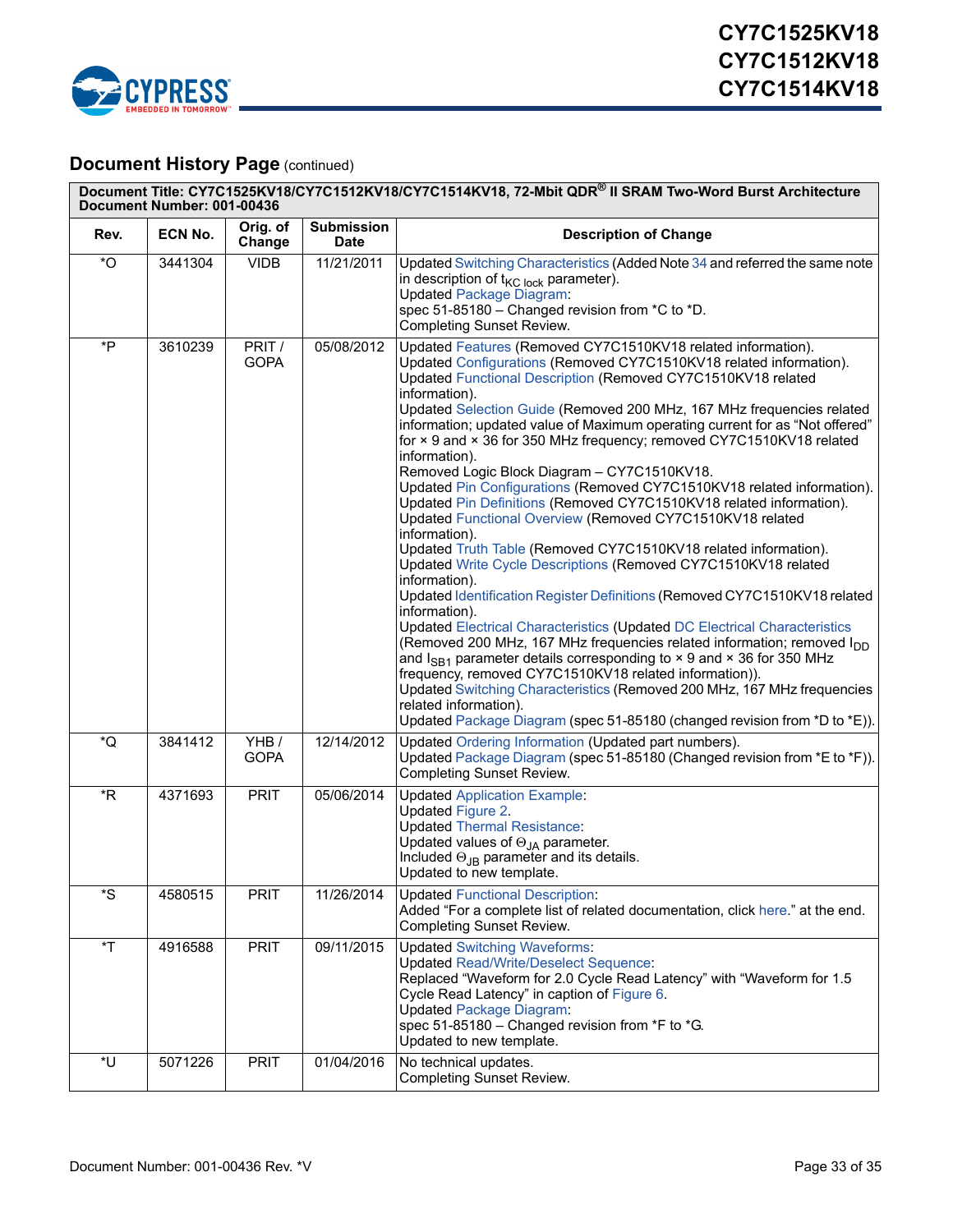![](_page_32_Picture_0.jpeg)

## **Document History Page (continued)**

|                         | Document Title: CY7C1525KV18/CY7C1512KV18/CY7C1514KV18, 72-Mbit QDR® II SRAM Two-Word Burst Architecture<br>Document Number: 001-00436 |                       |                                  |                                                                                                                                                                                                                                                                                                                                                                                                                                                                                                                                                                                                                                                                                                                                                                                                                                                                                                                                                                                                                                                                                                                                                                                                                                                                                                                                                                                                                                                                                                                  |  |  |  |
|-------------------------|----------------------------------------------------------------------------------------------------------------------------------------|-----------------------|----------------------------------|------------------------------------------------------------------------------------------------------------------------------------------------------------------------------------------------------------------------------------------------------------------------------------------------------------------------------------------------------------------------------------------------------------------------------------------------------------------------------------------------------------------------------------------------------------------------------------------------------------------------------------------------------------------------------------------------------------------------------------------------------------------------------------------------------------------------------------------------------------------------------------------------------------------------------------------------------------------------------------------------------------------------------------------------------------------------------------------------------------------------------------------------------------------------------------------------------------------------------------------------------------------------------------------------------------------------------------------------------------------------------------------------------------------------------------------------------------------------------------------------------------------|--|--|--|
| Rev.                    | ECN No.                                                                                                                                | Orig. of<br>Change    | <b>Submission</b><br><b>Date</b> | <b>Description of Change</b>                                                                                                                                                                                                                                                                                                                                                                                                                                                                                                                                                                                                                                                                                                                                                                                                                                                                                                                                                                                                                                                                                                                                                                                                                                                                                                                                                                                                                                                                                     |  |  |  |
| $^{\ast}$ O             | 3441304                                                                                                                                | <b>VIDB</b>           | 11/21/2011                       | Updated Switching Characteristics (Added Note 34 and referred the same note<br>in description of $t_{\text{KC lock}}$ parameter).<br><b>Updated Package Diagram:</b><br>spec 51-85180 - Changed revision from *C to *D.<br><b>Completing Sunset Review.</b>                                                                                                                                                                                                                                                                                                                                                                                                                                                                                                                                                                                                                                                                                                                                                                                                                                                                                                                                                                                                                                                                                                                                                                                                                                                      |  |  |  |
| *P                      | 3610239                                                                                                                                | PRIT /<br><b>GOPA</b> | 05/08/2012                       | Updated Features (Removed CY7C1510KV18 related information).<br>Updated Configurations (Removed CY7C1510KV18 related information).<br>Updated Functional Description (Removed CY7C1510KV18 related<br>information).<br>Updated Selection Guide (Removed 200 MHz, 167 MHz frequencies related<br>information; updated value of Maximum operating current for as "Not offered"<br>for × 9 and × 36 for 350 MHz frequency; removed CY7C1510KV18 related<br>information).<br>Removed Logic Block Diagram - CY7C1510KV18.<br>Updated Pin Configurations (Removed CY7C1510KV18 related information).<br>Updated Pin Definitions (Removed CY7C1510KV18 related information).<br>Updated Functional Overview (Removed CY7C1510KV18 related<br>information).<br>Updated Truth Table (Removed CY7C1510KV18 related information).<br>Updated Write Cycle Descriptions (Removed CY7C1510KV18 related<br>information).<br>Updated Identification Register Definitions (Removed CY7C1510KV18 related<br>information).<br>Updated Electrical Characteristics (Updated DC Electrical Characteristics<br>(Removed 200 MHz, 167 MHz frequencies related information; removed I <sub>DD</sub><br>and $I_{SB1}$ parameter details corresponding to $\times$ 9 and $\times$ 36 for 350 MHz<br>frequency, removed CY7C1510KV18 related information)).<br>Updated Switching Characteristics (Removed 200 MHz, 167 MHz frequencies<br>related information).<br>Updated Package Diagram (spec 51-85180 (changed revision from *D to *E)). |  |  |  |
| *Q                      | 3841412                                                                                                                                | YHB/<br><b>GOPA</b>   | 12/14/2012                       | Updated Ordering Information (Updated part numbers).<br>Updated Package Diagram (spec 51-85180 (Changed revision from *E to *F)).<br><b>Completing Sunset Review.</b>                                                                                                                                                                                                                                                                                                                                                                                                                                                                                                                                                                                                                                                                                                                                                                                                                                                                                                                                                                                                                                                                                                                                                                                                                                                                                                                                            |  |  |  |
| $*R$                    | 4371693                                                                                                                                | <b>PRIT</b>           | 05/06/2014                       | <b>Updated Application Example:</b><br>Updated Figure 2.<br><b>Updated Thermal Resistance:</b><br>Updated values of $\Theta_{JA}$ parameter.<br>Included $\Theta_{JB}$ parameter and its details.<br>Updated to new template.                                                                                                                                                                                                                                                                                                                                                                                                                                                                                                                                                                                                                                                                                                                                                                                                                                                                                                                                                                                                                                                                                                                                                                                                                                                                                    |  |  |  |
| $^{\star}\text{S}$      | 4580515                                                                                                                                | <b>PRIT</b>           | 11/26/2014                       | <b>Updated Functional Description:</b><br>Added "For a complete list of related documentation, click here." at the end.<br><b>Completing Sunset Review.</b>                                                                                                                                                                                                                                                                                                                                                                                                                                                                                                                                                                                                                                                                                                                                                                                                                                                                                                                                                                                                                                                                                                                                                                                                                                                                                                                                                      |  |  |  |
| $\overline{\mathsf{T}}$ | 4916588                                                                                                                                | <b>PRIT</b>           | 09/11/2015                       | <b>Updated Switching Waveforms:</b><br><b>Updated Read/Write/Deselect Sequence:</b><br>Replaced "Waveform for 2.0 Cycle Read Latency" with "Waveform for 1.5<br>Cycle Read Latency" in caption of Figure 6.<br><b>Updated Package Diagram:</b><br>spec 51-85180 - Changed revision from *F to *G.<br>Updated to new template.                                                                                                                                                                                                                                                                                                                                                                                                                                                                                                                                                                                                                                                                                                                                                                                                                                                                                                                                                                                                                                                                                                                                                                                    |  |  |  |
| *U                      | 5071226                                                                                                                                | <b>PRIT</b>           | 01/04/2016                       | No technical updates.<br><b>Completing Sunset Review.</b>                                                                                                                                                                                                                                                                                                                                                                                                                                                                                                                                                                                                                                                                                                                                                                                                                                                                                                                                                                                                                                                                                                                                                                                                                                                                                                                                                                                                                                                        |  |  |  |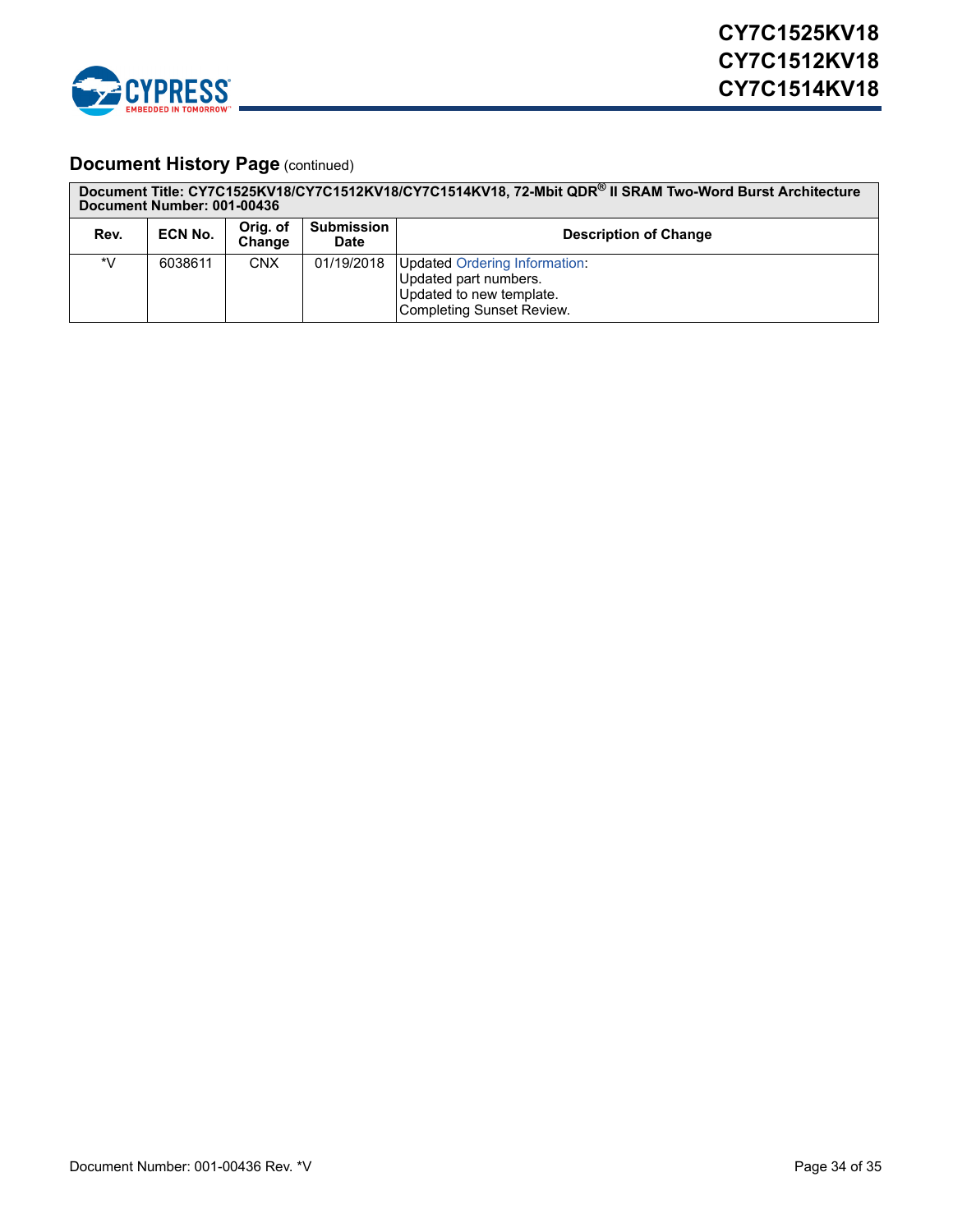![](_page_33_Picture_0.jpeg)

## **Document History Page (continued)**

|      | Document Number: 001-00436 |                    |                                  | Document Title: CY7C1525KV18/CY7C1512KV18/CY7C1514KV18, 72-Mbit QDR® II SRAM Two-Word Burst Architecture               |
|------|----------------------------|--------------------|----------------------------------|------------------------------------------------------------------------------------------------------------------------|
| Rev. | ECN No.                    | Orig. of<br>Change | <b>Submission</b><br><b>Date</b> | <b>Description of Change</b>                                                                                           |
| *V   | 6038611                    | <b>CNX</b>         | 01/19/2018                       | <b>Updated Ordering Information:</b><br>Updated part numbers.<br>Updated to new template.<br>Completing Sunset Review. |